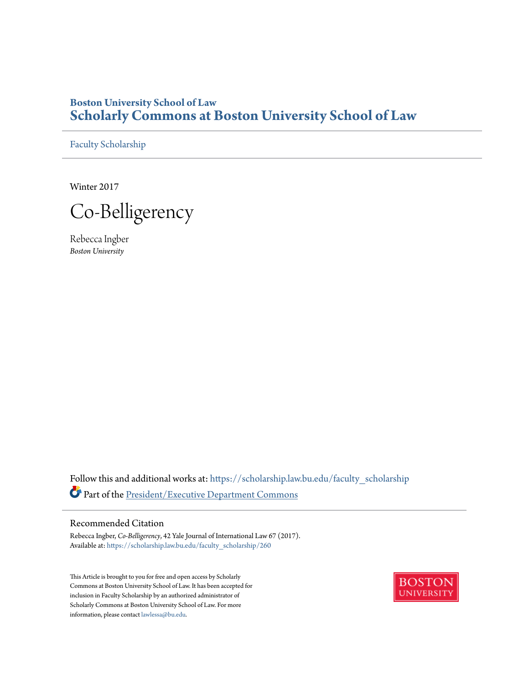# **Boston University School of Law [Scholarly Commons at Boston University School of Law](https://scholarship.law.bu.edu?utm_source=scholarship.law.bu.edu%2Ffaculty_scholarship%2F260&utm_medium=PDF&utm_campaign=PDFCoverPages)**

[Faculty Scholarship](https://scholarship.law.bu.edu/faculty_scholarship?utm_source=scholarship.law.bu.edu%2Ffaculty_scholarship%2F260&utm_medium=PDF&utm_campaign=PDFCoverPages)

Winter 2017

Co-Belligerency

Rebecca Ingber *Boston University*

Follow this and additional works at: [https://scholarship.law.bu.edu/faculty\\_scholarship](https://scholarship.law.bu.edu/faculty_scholarship?utm_source=scholarship.law.bu.edu%2Ffaculty_scholarship%2F260&utm_medium=PDF&utm_campaign=PDFCoverPages) Part of the [President/Executive Department Commons](http://network.bepress.com/hgg/discipline/1118?utm_source=scholarship.law.bu.edu%2Ffaculty_scholarship%2F260&utm_medium=PDF&utm_campaign=PDFCoverPages)

# Recommended Citation

Rebecca Ingber, *Co-Belligerency*, 42 Yale Journal of International Law 67 (2017). Available at: [https://scholarship.law.bu.edu/faculty\\_scholarship/260](https://scholarship.law.bu.edu/faculty_scholarship/260?utm_source=scholarship.law.bu.edu%2Ffaculty_scholarship%2F260&utm_medium=PDF&utm_campaign=PDFCoverPages)

This Article is brought to you for free and open access by Scholarly Commons at Boston University School of Law. It has been accepted for inclusion in Faculty Scholarship by an authorized administrator of Scholarly Commons at Boston University School of Law. For more information, please contact [lawlessa@bu.edu.](mailto:lawlessa@bu.edu)

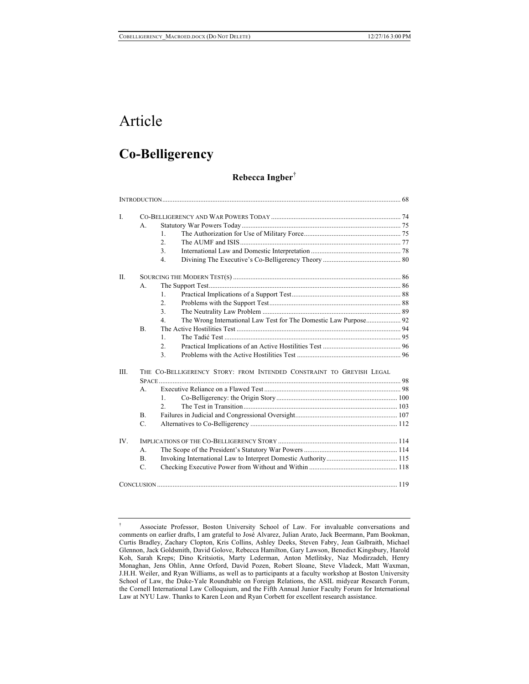# Article

# **Co-Belligerency**

# **Rebecca Ingber**†

| $\mathbf{I}$ . |                                                                      |                  |                                                                  |  |
|----------------|----------------------------------------------------------------------|------------------|------------------------------------------------------------------|--|
|                | $\mathbf{A}$ .                                                       |                  |                                                                  |  |
|                |                                                                      | 1.               |                                                                  |  |
|                |                                                                      | 2 <sup>1</sup>   |                                                                  |  |
|                |                                                                      | 3.               |                                                                  |  |
|                |                                                                      | 4 <sup>1</sup>   |                                                                  |  |
| $\Pi$ .        |                                                                      |                  |                                                                  |  |
|                | $A_{-}$                                                              |                  |                                                                  |  |
|                |                                                                      | 1                |                                                                  |  |
|                |                                                                      | $\overline{2}$ . |                                                                  |  |
|                |                                                                      | 3 <sub>1</sub>   |                                                                  |  |
|                |                                                                      | 4 <sup>1</sup>   | The Wrong International Law Test for The Domestic Law Purpose 92 |  |
|                | B <sub>1</sub>                                                       |                  |                                                                  |  |
|                |                                                                      | $\mathbf{1}$ .   |                                                                  |  |
|                |                                                                      | $\overline{2}$ . |                                                                  |  |
|                |                                                                      | $\overline{3}$ . |                                                                  |  |
| III.           | THE CO-BELLIGERENCY STORY: FROM INTENDED CONSTRAINT TO GREYISH LEGAL |                  |                                                                  |  |
|                | $\mathbf{A}$                                                         |                  |                                                                  |  |
|                |                                                                      | $\mathbf{1}$     |                                                                  |  |
|                |                                                                      | $\mathfrak{D}$   |                                                                  |  |
|                | B <sub>1</sub>                                                       |                  |                                                                  |  |
|                | $\mathcal{C}$                                                        |                  |                                                                  |  |
|                |                                                                      |                  |                                                                  |  |
| IV.            |                                                                      |                  |                                                                  |  |
|                | $A_{-}$                                                              |                  |                                                                  |  |
|                | $\mathbf{B}$ .                                                       |                  |                                                                  |  |
|                | $\mathcal{C}$                                                        |                  |                                                                  |  |
|                |                                                                      |                  |                                                                  |  |

<sup>†</sup> Associate Professor, Boston University School of Law. For invaluable conversations and comments on earlier drafts, I am grateful to José Alvarez, Julian Arato, Jack Beermann, Pam Bookman, Curtis Bradley, Zachary Clopton, Kris Collins, Ashley Deeks, Steven Fabry, Jean Galbraith, Michael Glennon, Jack Goldsmith, David Golove, Rebecca Hamilton, Gary Lawson, Benedict Kingsbury, Harold Koh, Sarah Kreps; Dino Kritsiotis, Marty Lederman, Anton Metlitsky, Naz Modirzadeh, Henry Monaghan, Jens Ohlin, Anne Orford, David Pozen, Robert Sloane, Steve Vladeck, Matt Waxman, J.H.H. Weiler, and Ryan Williams, as well as to participants at a faculty workshop at Boston University School of Law, the Duke-Yale Roundtable on Foreign Relations, the ASIL midyear Research Forum, the Cornell International Law Colloquium, and the Fifth Annual Junior Faculty Forum for International Law at NYU Law. Thanks to Karen Leon and Ryan Corbett for excellent research assistance.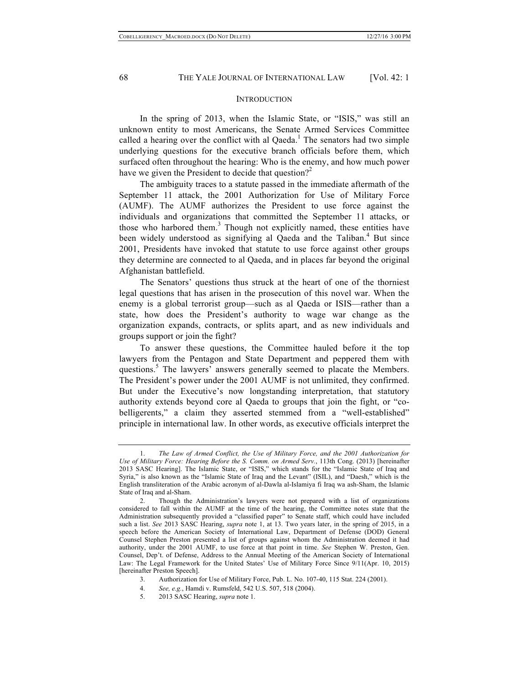#### **INTRODUCTION**

In the spring of 2013, when the Islamic State, or "ISIS," was still an unknown entity to most Americans, the Senate Armed Services Committee called a hearing over the conflict with al Qaeda.<sup>1</sup> The senators had two simple underlying questions for the executive branch officials before them, which surfaced often throughout the hearing: Who is the enemy, and how much power have we given the President to decide that question?<sup>2</sup>

The ambiguity traces to a statute passed in the immediate aftermath of the September 11 attack, the 2001 Authorization for Use of Military Force (AUMF). The AUMF authorizes the President to use force against the individuals and organizations that committed the September 11 attacks, or those who harbored them.<sup>3</sup> Though not explicitly named, these entities have been widely understood as signifying al Qaeda and the Taliban.<sup>4</sup> But since 2001, Presidents have invoked that statute to use force against other groups they determine are connected to al Qaeda, and in places far beyond the original Afghanistan battlefield.

The Senators' questions thus struck at the heart of one of the thorniest legal questions that has arisen in the prosecution of this novel war. When the enemy is a global terrorist group—such as al Qaeda or ISIS—rather than a state, how does the President's authority to wage war change as the organization expands, contracts, or splits apart, and as new individuals and groups support or join the fight?

To answer these questions, the Committee hauled before it the top lawyers from the Pentagon and State Department and peppered them with questions.<sup>5</sup> The lawyers' answers generally seemed to placate the Members. The President's power under the 2001 AUMF is not unlimited, they confirmed. But under the Executive's now longstanding interpretation, that statutory authority extends beyond core al Qaeda to groups that join the fight, or "cobelligerents," a claim they asserted stemmed from a "well-established" principle in international law. In other words, as executive officials interpret the

- 3. Authorization for Use of Military Force, Pub. L. No. 107-40, 115 Stat. 224 (2001).
- 4. *See, e.g.*, Hamdi v. Rumsfeld, 542 U.S. 507, 518 (2004).
- 5. 2013 SASC Hearing, *supra* note 1.

<sup>1.</sup> *The Law of Armed Conflict, the Use of Military Force, and the 2001 Authorization for Use of Military Force: Hearing Before the S. Comm. on Armed Serv.*, 113th Cong. (2013) [hereinafter 2013 SASC Hearing]. The Islamic State, or "ISIS," which stands for the "Islamic State of Iraq and Syria," is also known as the "Islamic State of Iraq and the Levant" (ISIL), and "Daesh," which is the English transliteration of the Arabic acronym of al-Dawla al-Islamiya fi Iraq wa ash-Sham, the Islamic State of Iraq and al-Sham.

<sup>2.</sup> Though the Administration's lawyers were not prepared with a list of organizations considered to fall within the AUMF at the time of the hearing, the Committee notes state that the Administration subsequently provided a "classified paper" to Senate staff, which could have included such a list. *See* 2013 SASC Hearing, *supra* note 1, at 13. Two years later, in the spring of 2015, in a speech before the American Society of International Law, Department of Defense (DOD) General Counsel Stephen Preston presented a list of groups against whom the Administration deemed it had authority, under the 2001 AUMF, to use force at that point in time. *See* Stephen W. Preston, Gen. Counsel, Dep't. of Defense, Address to the Annual Meeting of the American Society of International Law: The Legal Framework for the United States' Use of Military Force Since 9/11(Apr. 10, 2015) [hereinafter Preston Speech].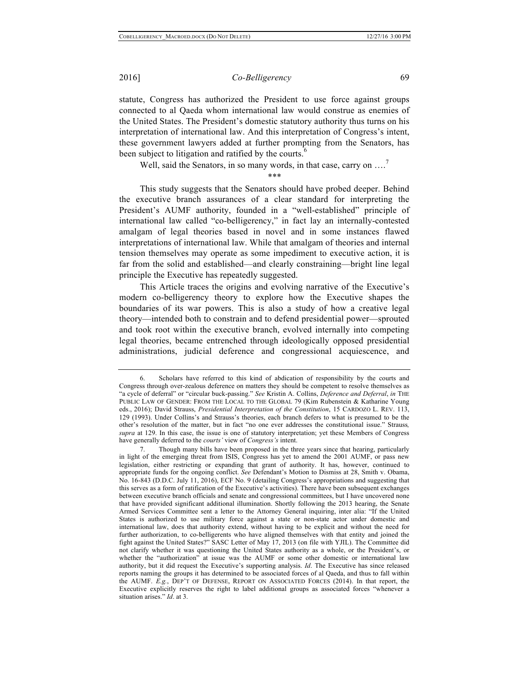statute, Congress has authorized the President to use force against groups connected to al Qaeda whom international law would construe as enemies of the United States. The President's domestic statutory authority thus turns on his interpretation of international law. And this interpretation of Congress's intent, these government lawyers added at further prompting from the Senators, has been subject to litigation and ratified by the courts.<sup>6</sup>

Well, said the Senators, in so many words, in that case, carry on ....<sup>7</sup>

\*\*\*

This study suggests that the Senators should have probed deeper. Behind the executive branch assurances of a clear standard for interpreting the President's AUMF authority, founded in a "well-established" principle of international law called "co-belligerency," in fact lay an internally-contested amalgam of legal theories based in novel and in some instances flawed interpretations of international law. While that amalgam of theories and internal tension themselves may operate as some impediment to executive action, it is far from the solid and established—and clearly constraining—bright line legal principle the Executive has repeatedly suggested.

This Article traces the origins and evolving narrative of the Executive's modern co-belligerency theory to explore how the Executive shapes the boundaries of its war powers. This is also a study of how a creative legal theory—intended both to constrain and to defend presidential power—sprouted and took root within the executive branch, evolved internally into competing legal theories, became entrenched through ideologically opposed presidential administrations, judicial deference and congressional acquiescence, and

<sup>6.</sup> Scholars have referred to this kind of abdication of responsibility by the courts and Congress through over-zealous deference on matters they should be competent to resolve themselves as "a cycle of deferral" or "circular buck-passing." *See* Kristin A. Collins, *Deference and Deferral*, *in* THE PUBLIC LAW OF GENDER: FROM THE LOCAL TO THE GLOBAL 79 (Kim Rubenstein & Katharine Young eds., 2016); David Strauss, *Presidential Interpretation of the Constitution*, 15 CARDOZO L. REV. 113, 129 (1993). Under Collins's and Strauss's theories, each branch defers to what is presumed to be the other's resolution of the matter, but in fact "no one ever addresses the constitutional issue." Strauss*, supra* at 129. In this case, the issue is one of statutory interpretation; yet these Members of Congress have generally deferred to the *courts'* view of *Congress's* intent.

<sup>7.</sup> Though many bills have been proposed in the three years since that hearing, particularly in light of the emerging threat from ISIS, Congress has yet to amend the 2001 AUMF, or pass new legislation, either restricting or expanding that grant of authority. It has, however, continued to appropriate funds for the ongoing conflict. *See* Defendant's Motion to Dismiss at 28, Smith v. Obama, No. 16-843 (D.D.C. July 11, 2016), ECF No. 9 (detailing Congress's appropriations and suggesting that this serves as a form of ratification of the Executive's activities). There have been subsequent exchanges between executive branch officials and senate and congressional committees, but I have uncovered none that have provided significant additional illumination. Shortly following the 2013 hearing, the Senate Armed Services Committee sent a letter to the Attorney General inquiring, inter alia: "If the United States is authorized to use military force against a state or non-state actor under domestic and international law, does that authority extend, without having to be explicit and without the need for further authorization, to co-belligerents who have aligned themselves with that entity and joined the fight against the United States?" SASC Letter of May 17, 2013 (on file with YJIL). The Committee did not clarify whether it was questioning the United States authority as a whole, or the President's, or whether the "authorization" at issue was the AUMF or some other domestic or international law authority, but it did request the Executive's supporting analysis. *Id*. The Executive has since released reports naming the groups it has determined to be associated forces of al Qaeda, and thus to fall within the AUMF. *E.g.*, DEP'T OF DEFENSE, REPORT ON ASSOCIATED FORCES (2014). In that report, the Executive explicitly reserves the right to label additional groups as associated forces "whenever a situation arises." *Id*. at 3.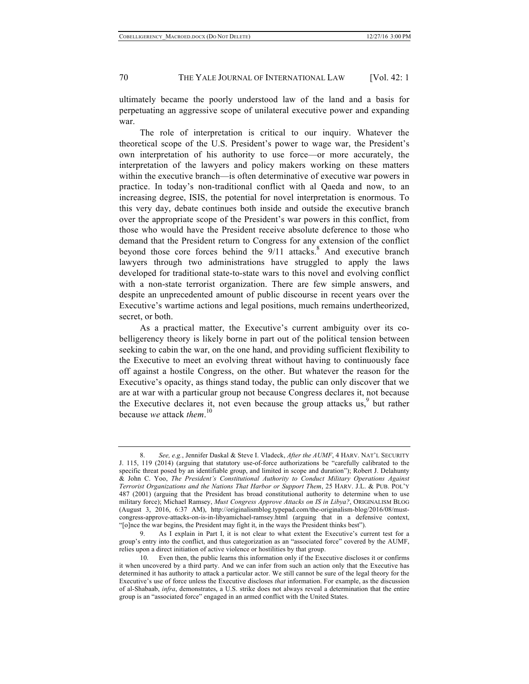ultimately became the poorly understood law of the land and a basis for perpetuating an aggressive scope of unilateral executive power and expanding war.

The role of interpretation is critical to our inquiry. Whatever the theoretical scope of the U.S. President's power to wage war, the President's own interpretation of his authority to use force—or more accurately, the interpretation of the lawyers and policy makers working on these matters within the executive branch—is often determinative of executive war powers in practice. In today's non-traditional conflict with al Qaeda and now, to an increasing degree, ISIS, the potential for novel interpretation is enormous. To this very day, debate continues both inside and outside the executive branch over the appropriate scope of the President's war powers in this conflict, from those who would have the President receive absolute deference to those who demand that the President return to Congress for any extension of the conflict beyond those core forces behind the  $9/11$  attacks.<sup>8</sup> And executive branch lawyers through two administrations have struggled to apply the laws developed for traditional state-to-state wars to this novel and evolving conflict with a non-state terrorist organization. There are few simple answers, and despite an unprecedented amount of public discourse in recent years over the Executive's wartime actions and legal positions, much remains undertheorized, secret, or both.

As a practical matter, the Executive's current ambiguity over its cobelligerency theory is likely borne in part out of the political tension between seeking to cabin the war, on the one hand, and providing sufficient flexibility to the Executive to meet an evolving threat without having to continuously face off against a hostile Congress, on the other. But whatever the reason for the Executive's opacity, as things stand today, the public can only discover that we are at war with a particular group not because Congress declares it, not because the Executive declares it, not even because the group attacks us, <sup>9</sup> but rather because *we* attack *them*. 10

<sup>8.</sup> *See, e.g.*, Jennifer Daskal & Steve I. Vladeck, *After the AUMF*, 4 HARV. NAT'L SECURITY J. 115, 119 (2014) (arguing that statutory use-of-force authorizations be "carefully calibrated to the specific threat posed by an identifiable group, and limited in scope and duration"); Robert J. Delahunty & John C. Yoo, *The President's Constitutional Authority to Conduct Military Operations Against Terrorist Organizations and the Nations That Harbor or Support Them*, 25 HARV. J.L. & PUB. POL'Y 487 (2001) (arguing that the President has broad constitutional authority to determine when to use military force); Michael Ramsey, *Must Congress Approve Attacks on IS in Libya?*, ORIGINALISM BLOG (August 3, 2016, 6:37 AM), http://originalismblog.typepad.com/the-originalism-blog/2016/08/mustcongress-approve-attacks-on-is-in-libyamichael-ramsey.html (arguing that in a defensive context, "[o]nce the war begins, the President may fight it, in the ways the President thinks best").

<sup>9.</sup> As I explain in Part I, it is not clear to what extent the Executive's current test for a group's entry into the conflict, and thus categorization as an "associated force" covered by the AUMF, relies upon a direct initiation of active violence or hostilities by that group.

<sup>10.</sup> Even then, the public learns this information only if the Executive discloses it or confirms it when uncovered by a third party. And we can infer from such an action only that the Executive has determined it has authority to attack a particular actor. We still cannot be sure of the legal theory for the Executive's use of force unless the Executive discloses *that* information. For example, as the discussion of al-Shabaab, *infra*, demonstrates, a U.S. strike does not always reveal a determination that the entire group is an "associated force" engaged in an armed conflict with the United States.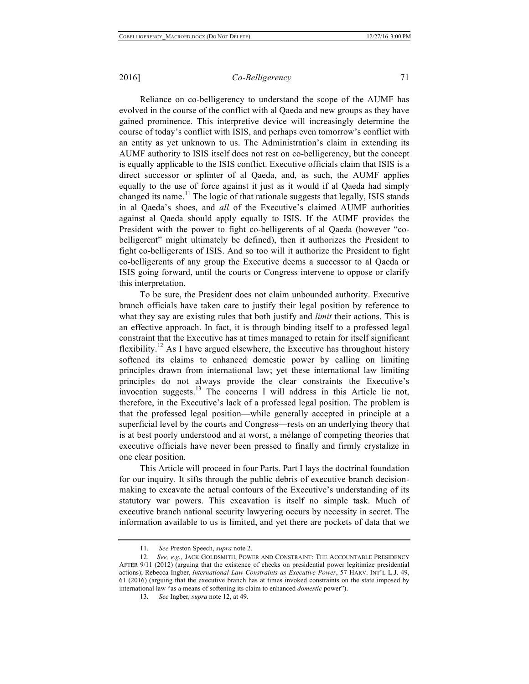Reliance on co-belligerency to understand the scope of the AUMF has evolved in the course of the conflict with al Qaeda and new groups as they have gained prominence. This interpretive device will increasingly determine the course of today's conflict with ISIS, and perhaps even tomorrow's conflict with an entity as yet unknown to us. The Administration's claim in extending its AUMF authority to ISIS itself does not rest on co-belligerency, but the concept is equally applicable to the ISIS conflict. Executive officials claim that ISIS is a direct successor or splinter of al Qaeda, and, as such, the AUMF applies equally to the use of force against it just as it would if al Qaeda had simply changed its name.<sup>11</sup> The logic of that rationale suggests that legally, ISIS stands in al Qaeda's shoes, and *all* of the Executive's claimed AUMF authorities against al Qaeda should apply equally to ISIS. If the AUMF provides the President with the power to fight co-belligerents of al Qaeda (however "cobelligerent" might ultimately be defined), then it authorizes the President to fight co-belligerents of ISIS. And so too will it authorize the President to fight co-belligerents of any group the Executive deems a successor to al Qaeda or ISIS going forward, until the courts or Congress intervene to oppose or clarify this interpretation.

To be sure, the President does not claim unbounded authority. Executive branch officials have taken care to justify their legal position by reference to what they say are existing rules that both justify and *limit* their actions. This is an effective approach. In fact, it is through binding itself to a professed legal constraint that the Executive has at times managed to retain for itself significant flexibility.<sup>12</sup> As I have argued elsewhere, the Executive has throughout history softened its claims to enhanced domestic power by calling on limiting principles drawn from international law; yet these international law limiting principles do not always provide the clear constraints the Executive's invocation suggests.<sup>13</sup> The concerns I will address in this Article lie not, therefore, in the Executive's lack of a professed legal position. The problem is that the professed legal position—while generally accepted in principle at a superficial level by the courts and Congress—rests on an underlying theory that is at best poorly understood and at worst, a mélange of competing theories that executive officials have never been pressed to finally and firmly crystalize in one clear position.

This Article will proceed in four Parts. Part I lays the doctrinal foundation for our inquiry. It sifts through the public debris of executive branch decisionmaking to excavate the actual contours of the Executive's understanding of its statutory war powers. This excavation is itself no simple task. Much of executive branch national security lawyering occurs by necessity in secret. The information available to us is limited, and yet there are pockets of data that we

<sup>11.</sup> *See* Preston Speech, *supra* note 2.

<sup>12</sup>*. See, e.g.*, JACK GOLDSMITH, POWER AND CONSTRAINT: THE ACCOUNTABLE PRESIDENCY AFTER 9/11 (2012) (arguing that the existence of checks on presidential power legitimize presidential actions); Rebecca Ingber, *International Law Constraints as Executive Power*, 57 HARV. INT'L L.J. 49, 61 (2016) (arguing that the executive branch has at times invoked constraints on the state imposed by international law "as a means of softening its claim to enhanced *domestic* power").

<sup>13.</sup> *See* Ingber*, supra* note 12, at 49.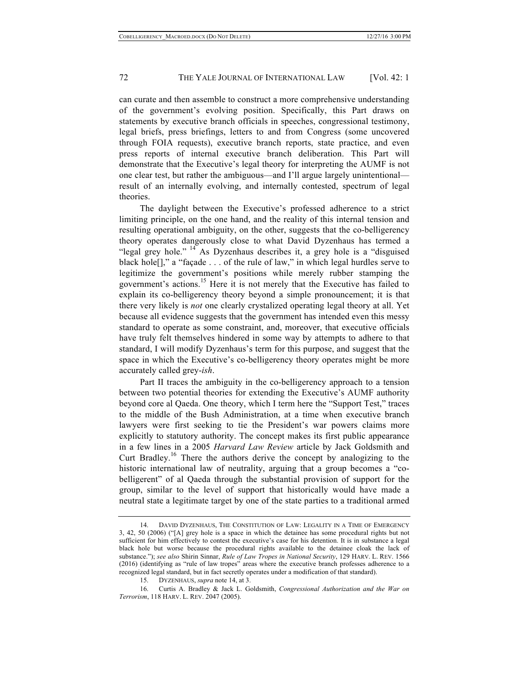can curate and then assemble to construct a more comprehensive understanding of the government's evolving position. Specifically, this Part draws on statements by executive branch officials in speeches, congressional testimony, legal briefs, press briefings, letters to and from Congress (some uncovered through FOIA requests), executive branch reports, state practice, and even press reports of internal executive branch deliberation. This Part will demonstrate that the Executive's legal theory for interpreting the AUMF is not one clear test, but rather the ambiguous—and I'll argue largely unintentional result of an internally evolving, and internally contested, spectrum of legal theories.

The daylight between the Executive's professed adherence to a strict limiting principle, on the one hand, and the reality of this internal tension and resulting operational ambiguity, on the other, suggests that the co-belligerency theory operates dangerously close to what David Dyzenhaus has termed a "legal grey hole." <sup>14</sup> As Dyzenhaus describes it, a grey hole is a "disguised" black hole<sup>[]</sup>," a "façade . . . of the rule of law," in which legal hurdles serve to legitimize the government's positions while merely rubber stamping the government's actions.<sup>15</sup> Here it is not merely that the Executive has failed to explain its co-belligerency theory beyond a simple pronouncement; it is that there very likely is *not* one clearly crystalized operating legal theory at all. Yet because all evidence suggests that the government has intended even this messy standard to operate as some constraint, and, moreover, that executive officials have truly felt themselves hindered in some way by attempts to adhere to that standard, I will modify Dyzenhaus's term for this purpose, and suggest that the space in which the Executive's co-belligerency theory operates might be more accurately called grey-*ish*.

Part II traces the ambiguity in the co-belligerency approach to a tension between two potential theories for extending the Executive's AUMF authority beyond core al Qaeda. One theory, which I term here the "Support Test," traces to the middle of the Bush Administration, at a time when executive branch lawyers were first seeking to tie the President's war powers claims more explicitly to statutory authority. The concept makes its first public appearance in a few lines in a 2005 *Harvard Law Review* article by Jack Goldsmith and Curt Bradley.<sup>16</sup> There the authors derive the concept by analogizing to the historic international law of neutrality, arguing that a group becomes a "cobelligerent" of al Qaeda through the substantial provision of support for the group, similar to the level of support that historically would have made a neutral state a legitimate target by one of the state parties to a traditional armed

<sup>14.</sup> DAVID DYZENHAUS, THE CONSTITUTION OF LAW: LEGALITY IN A TIME OF EMERGENCY 3, 42, 50 (2006) ("[A] grey hole is a space in which the detainee has some procedural rights but not sufficient for him effectively to contest the executive's case for his detention. It is in substance a legal black hole but worse because the procedural rights available to the detainee cloak the lack of substance."); *see also* Shirin Sinnar, *Rule of Law Tropes in National Security*, 129 HARV. L. REV. 1566 (2016) (identifying as "rule of law tropes" areas where the executive branch professes adherence to a recognized legal standard, but in fact secretly operates under a modification of that standard).

<sup>15.</sup> DYZENHAUS, *supra* note 14, at 3.

<sup>16.</sup> Curtis A. Bradley & Jack L. Goldsmith, *Congressional Authorization and the War on Terrorism*, 118 HARV. L. REV. 2047 (2005).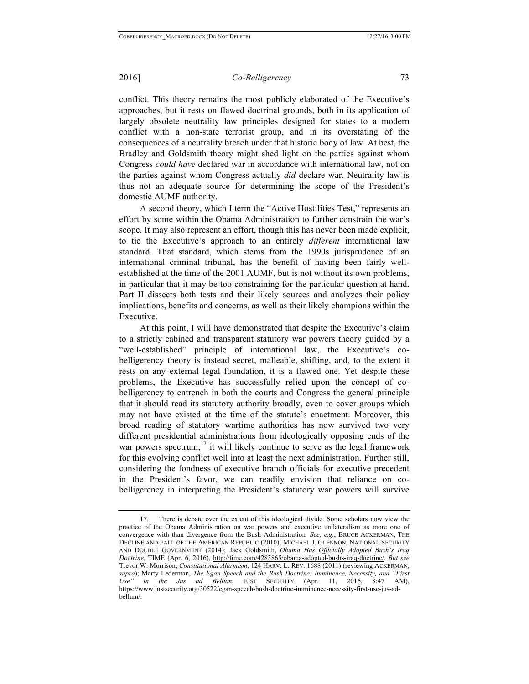conflict. This theory remains the most publicly elaborated of the Executive's approaches, but it rests on flawed doctrinal grounds, both in its application of largely obsolete neutrality law principles designed for states to a modern conflict with a non-state terrorist group, and in its overstating of the consequences of a neutrality breach under that historic body of law. At best, the Bradley and Goldsmith theory might shed light on the parties against whom Congress *could have* declared war in accordance with international law, not on the parties against whom Congress actually *did* declare war. Neutrality law is thus not an adequate source for determining the scope of the President's domestic AUMF authority.

A second theory, which I term the "Active Hostilities Test," represents an effort by some within the Obama Administration to further constrain the war's scope. It may also represent an effort, though this has never been made explicit, to tie the Executive's approach to an entirely *different* international law standard. That standard, which stems from the 1990s jurisprudence of an international criminal tribunal, has the benefit of having been fairly wellestablished at the time of the 2001 AUMF, but is not without its own problems, in particular that it may be too constraining for the particular question at hand. Part II dissects both tests and their likely sources and analyzes their policy implications, benefits and concerns, as well as their likely champions within the Executive.

At this point, I will have demonstrated that despite the Executive's claim to a strictly cabined and transparent statutory war powers theory guided by a "well-established" principle of international law, the Executive's cobelligerency theory is instead secret, malleable, shifting, and, to the extent it rests on any external legal foundation, it is a flawed one. Yet despite these problems, the Executive has successfully relied upon the concept of cobelligerency to entrench in both the courts and Congress the general principle that it should read its statutory authority broadly, even to cover groups which may not have existed at the time of the statute's enactment. Moreover, this broad reading of statutory wartime authorities has now survived two very different presidential administrations from ideologically opposing ends of the war powers spectrum;<sup>17</sup> it will likely continue to serve as the legal framework for this evolving conflict well into at least the next administration. Further still, considering the fondness of executive branch officials for executive precedent in the President's favor, we can readily envision that reliance on cobelligerency in interpreting the President's statutory war powers will survive

<sup>17.</sup> There is debate over the extent of this ideological divide. Some scholars now view the practice of the Obama Administration on war powers and executive unilateralism as more one of convergence with than divergence from the Bush Administration*. See, e.g.*, BRUCE ACKERMAN, THE DECLINE AND FALL OF THE AMERICAN REPUBLIC (2010); MICHAEL J. GLENNON, NATIONAL SECURITY AND DOUBLE GOVERNMENT (2014); Jack Goldsmith, *Obama Has Officially Adopted Bush's Iraq Doctrine*, TIME (Apr. 6, 2016), http://time.com/4283865/obama-adopted-bushs-iraq-doctrine/. *But see* Trevor W. Morrison, *Constitutional Alarmism*, 124 HARV. L. REV. 1688 (2011) (reviewing ACKERMAN, *supra*); Marty Lederman, *The Egan Speech and the Bush Doctrine: Imminence, Necessity, and "First Use" in the Jus ad Bellum*, JUST SECURITY (Apr. 11, 2016, 8:47 AM), https://www.justsecurity.org/30522/egan-speech-bush-doctrine-imminence-necessity-first-use-jus-adbellum/.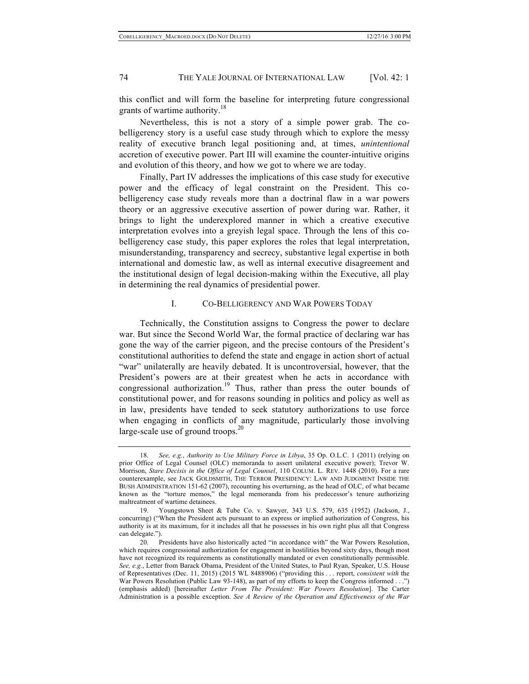this conflict and will form the baseline for interpreting future congressional grants of wartime authority.<sup>18</sup>

Nevertheless, this is not a story of a simple power grab. The cobelligerency story is a useful case study through which to explore the messy reality of executive branch legal positioning and, at times, *unintentional* accretion of executive power. Part III will examine the counter-intuitive origins and evolution of this theory, and how we got to where we are today.

Finally, Part IV addresses the implications of this case study for executive power and the efficacy of legal constraint on the President. This cobelligerency case study reveals more than a doctrinal flaw in a war powers theory or an aggressive executive assertion of power during war. Rather, it brings to light the underexplored manner in which a creative executive interpretation evolves into a greyish legal space. Through the lens of this cobelligerency case study, this paper explores the roles that legal interpretation, misunderstanding, transparency and secrecy, substantive legal expertise in both international and domestic law, as well as internal executive disagreement and the institutional design of legal decision-making within the Executive, all play in determining the real dynamics of presidential power.

# I. CO-BELLIGERENCY AND WAR POWERS TODAY

Technically, the Constitution assigns to Congress the power to declare war. But since the Second World War, the formal practice of declaring war has gone the way of the carrier pigeon, and the precise contours of the President's constitutional authorities to defend the state and engage in action short of actual "war" unilaterally are heavily debated. It is uncontroversial, however, that the President's powers are at their greatest when he acts in accordance with congressional authorization.<sup>19</sup> Thus, rather than press the outer bounds of constitutional power, and for reasons sounding in politics and policy as well as in law, presidents have tended to seek statutory authorizations to use force when engaging in conflicts of any magnitude, particularly those involving large-scale use of ground troops. $^{20}$ 

<sup>18.</sup> *See, e.g.*, *Authority to Use Military Force in Libya*, 35 Op. O.L.C. 1 (2011) (relying on prior Office of Legal Counsel (OLC) memoranda to assert unilateral executive power); Trevor W. Morrison, *Stare Decisis in the Office of Legal Counsel*, 110 COLUM. L. REV. 1448 (2010). For a rare counterexample, see JACK GOLDSMITH, THE TERROR PRESIDENCY: LAW AND JUDGMENT INSIDE THE BUSH ADMINISTRATION 151-62 (2007), recounting his overturning, as the head of OLC, of what became known as the "torture memos," the legal memoranda from his predecessor's tenure authorizing maltreatment of wartime detainees.

<sup>19.</sup> Youngstown Sheet & Tube Co. v. Sawyer, 343 U.S. 579, 635 (1952) (Jackson, J., concurring) ("When the President acts pursuant to an express or implied authorization of Congress, his authority is at its maximum, for it includes all that he possesses in his own right plus all that Congress can delegate.").

<sup>20.</sup> Presidents have also historically acted "in accordance with" the War Powers Resolution, which requires congressional authorization for engagement in hostilities beyond sixty days, though most have not recognized its requirements as constitutionally mandated or even constitutionally permissible. *See, e.g.*, Letter from Barack Obama, President of the United States, to Paul Ryan, Speaker, U.S. House of Representatives (Dec. 11, 2015) (2015 WL 8488906) ("providing this . . . report, *consistent with* the War Powers Resolution (Public Law 93-148), as part of my efforts to keep the Congress informed . . .") (emphasis added) [hereinafter *Letter From The President: War Powers Resolution*]. The Carter Administration is a possible exception. *See A Review of the Operation and Effectiveness of the War*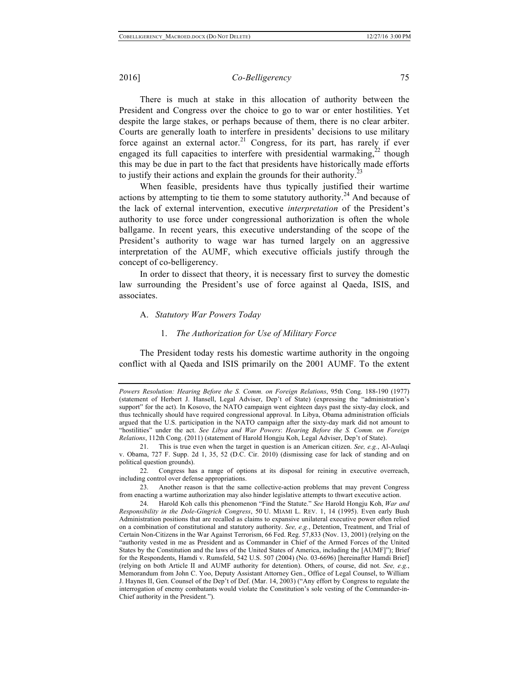There is much at stake in this allocation of authority between the President and Congress over the choice to go to war or enter hostilities. Yet despite the large stakes, or perhaps because of them, there is no clear arbiter. Courts are generally loath to interfere in presidents' decisions to use military force against an external actor.<sup>21</sup> Congress, for its part, has rarely if ever engaged its full capacities to interfere with presidential warmaking,  $^{22}$  though this may be due in part to the fact that presidents have historically made efforts to justify their actions and explain the grounds for their authority.<sup>2</sup>

When feasible, presidents have thus typically justified their wartime actions by attempting to tie them to some statutory authority.<sup>24</sup> And because of the lack of external intervention, executive *interpretation* of the President's authority to use force under congressional authorization is often the whole ballgame. In recent years, this executive understanding of the scope of the President's authority to wage war has turned largely on an aggressive interpretation of the AUMF, which executive officials justify through the concept of co-belligerency.

In order to dissect that theory, it is necessary first to survey the domestic law surrounding the President's use of force against al Qaeda, ISIS, and associates.

#### A. *Statutory War Powers Today*

# 1. *The Authorization for Use of Military Force*

The President today rests his domestic wartime authority in the ongoing conflict with al Qaeda and ISIS primarily on the 2001 AUMF. To the extent

*Powers Resolution: Hearing Before the S. Comm. on Foreign Relations*, 95th Cong. 188-190 (1977) (statement of Herbert J. Hansell, Legal Adviser, Dep't of State) (expressing the "administration's support" for the act). In Kosovo, the NATO campaign went eighteen days past the sixty-day clock, and thus technically should have required congressional approval. In Libya, Obama administration officials argued that the U.S. participation in the NATO campaign after the sixty-day mark did not amount to "hostilities" under the act. *See Libya and War Powers*: *Hearing Before the S. Comm. on Foreign Relations*, 112th Cong. (2011) (statement of Harold Hongju Koh, Legal Adviser, Dep't of State).

<sup>21.</sup> This is true even when the target in question is an American citizen. *See, e.g.*, Al-Aulaqi v. Obama, 727 F. Supp. 2d 1, 35, 52 (D.C. Cir. 2010) (dismissing case for lack of standing and on political question grounds).

<sup>22.</sup> Congress has a range of options at its disposal for reining in executive overreach, including control over defense appropriations.

<sup>23.</sup> Another reason is that the same collective-action problems that may prevent Congress from enacting a wartime authorization may also hinder legislative attempts to thwart executive action.

<sup>24.</sup> Harold Koh calls this phenomenon "Find the Statute." *See* Harold Hongju Koh, *War and Responsibility in the Dole-Gingrich Congress*, 50 U. MIAMI L. REV. 1, 14 (1995). Even early Bush Administration positions that are recalled as claims to expansive unilateral executive power often relied on a combination of constitutional and statutory authority. *See, e.g.*, Detention, Treatment, and Trial of Certain Non-Citizens in the War Against Terrorism, 66 Fed. Reg. 57,833 (Nov. 13, 2001) (relying on the "authority vested in me as President and as Commander in Chief of the Armed Forces of the United States by the Constitution and the laws of the United States of America, including the [AUMF]"); Brief for the Respondents, Hamdi v. Rumsfeld, 542 U.S. 507 (2004) (No. 03-6696) [hereinafter Hamdi Brief] (relying on both Article II and AUMF authority for detention). Others, of course, did not. *See, e.g.*, Memorandum from John C. Yoo, Deputy Assistant Attorney Gen., Office of Legal Counsel, to William J. Haynes II, Gen. Counsel of the Dep't of Def. (Mar. 14, 2003) ("Any effort by Congress to regulate the interrogation of enemy combatants would violate the Constitution's sole vesting of the Commander-in-Chief authority in the President.").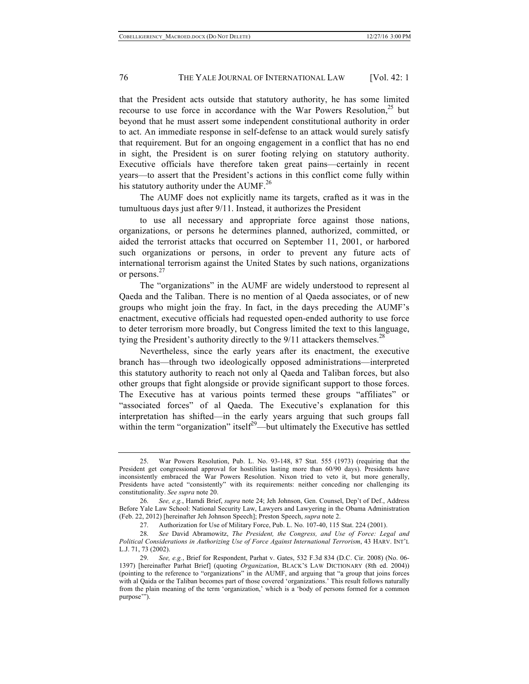that the President acts outside that statutory authority, he has some limited recourse to use force in accordance with the War Powers Resolution, $25$  but beyond that he must assert some independent constitutional authority in order to act. An immediate response in self-defense to an attack would surely satisfy that requirement. But for an ongoing engagement in a conflict that has no end in sight, the President is on surer footing relying on statutory authority. Executive officials have therefore taken great pains—certainly in recent years—to assert that the President's actions in this conflict come fully within his statutory authority under the AUMF.<sup>26</sup>

The AUMF does not explicitly name its targets, crafted as it was in the tumultuous days just after 9/11. Instead, it authorizes the President

to use all necessary and appropriate force against those nations, organizations, or persons he determines planned, authorized, committed, or aided the terrorist attacks that occurred on September 11, 2001, or harbored such organizations or persons, in order to prevent any future acts of international terrorism against the United States by such nations, organizations or persons.<sup>27</sup>

The "organizations" in the AUMF are widely understood to represent al Qaeda and the Taliban. There is no mention of al Qaeda associates, or of new groups who might join the fray. In fact, in the days preceding the AUMF's enactment, executive officials had requested open-ended authority to use force to deter terrorism more broadly, but Congress limited the text to this language, tying the President's authority directly to the  $9/11$  attackers themselves.<sup>28</sup>

Nevertheless, since the early years after its enactment, the executive branch has—through two ideologically opposed administrations—interpreted this statutory authority to reach not only al Qaeda and Taliban forces, but also other groups that fight alongside or provide significant support to those forces. The Executive has at various points termed these groups "affiliates" or "associated forces" of al Qaeda. The Executive's explanation for this interpretation has shifted—in the early years arguing that such groups fall within the term "organization" itself<sup>29</sup>—but ultimately the Executive has settled

<sup>25.</sup> War Powers Resolution, Pub. L. No. 93-148, 87 Stat. 555 (1973) (requiring that the President get congressional approval for hostilities lasting more than 60/90 days). Presidents have inconsistently embraced the War Powers Resolution. Nixon tried to veto it, but more generally, Presidents have acted "consistently" with its requirements: neither conceding nor challenging its constitutionality. *See supra* note 20.

<sup>26.</sup> *See, e.g.*, Hamdi Brief, *supra* note 24; Jeh Johnson, Gen. Counsel, Dep't of Def., Address Before Yale Law School: National Security Law, Lawyers and Lawyering in the Obama Administration (Feb. 22, 2012) [hereinafter Jeh Johnson Speech]; Preston Speech, *supra* note 2.

<sup>27.</sup> Authorization for Use of Military Force, Pub. L. No. 107-40, 115 Stat. 224 (2001).

<sup>28.</sup> *See* David Abramowitz, *The President, the Congress, and Use of Force: Legal and Political Considerations in Authorizing Use of Force Against International Terrorism*, 43 HARV. INT'L L.J. 71, 73 (2002).

<sup>29.</sup> *See, e.g.*, Brief for Respondent, Parhat v. Gates, 532 F.3d 834 (D.C. Cir. 2008) (No. 06- 1397) [hereinafter Parhat Brief] (quoting *Organization*, BLACK'S LAW DICTIONARY (8th ed. 2004)) (pointing to the reference to "organizations" in the AUMF, and arguing that "a group that joins forces with al Qaida or the Taliban becomes part of those covered 'organizations.' This result follows naturally from the plain meaning of the term 'organization,' which is a 'body of persons formed for a common purpose'").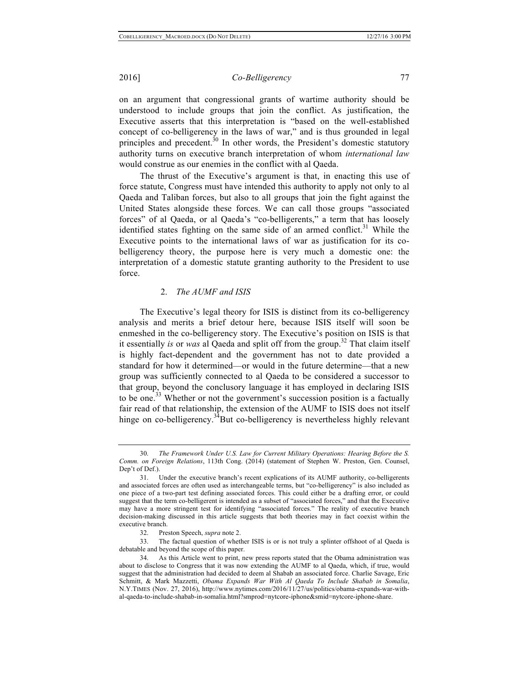on an argument that congressional grants of wartime authority should be understood to include groups that join the conflict. As justification, the Executive asserts that this interpretation is "based on the well-established concept of co-belligerency in the laws of war," and is thus grounded in legal principles and precedent.<sup>30</sup> In other words, the President's domestic statutory authority turns on executive branch interpretation of whom *international law*  would construe as our enemies in the conflict with al Qaeda.

The thrust of the Executive's argument is that, in enacting this use of force statute, Congress must have intended this authority to apply not only to al Qaeda and Taliban forces, but also to all groups that join the fight against the United States alongside these forces. We can call those groups "associated forces" of al Qaeda, or al Qaeda's "co-belligerents," a term that has loosely identified states fighting on the same side of an armed conflict.<sup>31</sup> While the Executive points to the international laws of war as justification for its cobelligerency theory, the purpose here is very much a domestic one: the interpretation of a domestic statute granting authority to the President to use force.

#### 2. *The AUMF and ISIS*

The Executive's legal theory for ISIS is distinct from its co-belligerency analysis and merits a brief detour here, because ISIS itself will soon be enmeshed in the co-belligerency story. The Executive's position on ISIS is that it essentially *is* or *was* al Qaeda and split off from the group.<sup>32</sup> That claim itself is highly fact-dependent and the government has not to date provided a standard for how it determined—or would in the future determine—that a new group was sufficiently connected to al Qaeda to be considered a successor to that group, beyond the conclusory language it has employed in declaring ISIS to be one.<sup>33</sup> Whether or not the government's succession position is a factually fair read of that relationship, the extension of the AUMF to ISIS does not itself hinge on co-belligerency.<sup>34</sup>But co-belligerency is nevertheless highly relevant

<sup>30.</sup> *The Framework Under U.S. Law for Current Military Operations: Hearing Before the S. Comm. on Foreign Relations*, 113th Cong. (2014) (statement of Stephen W. Preston, Gen. Counsel, Dep't of Def.).

<sup>31.</sup> Under the executive branch's recent explications of its AUMF authority, co-belligerents and associated forces are often used as interchangeable terms, but "co-belligerency" is also included as one piece of a two-part test defining associated forces. This could either be a drafting error, or could suggest that the term co-belligerent is intended as a subset of "associated forces," and that the Executive may have a more stringent test for identifying "associated forces." The reality of executive branch decision-making discussed in this article suggests that both theories may in fact coexist within the executive branch.

<sup>32.</sup> Preston Speech, *supra* note 2.

<sup>33.</sup> The factual question of whether ISIS is or is not truly a splinter offshoot of al Qaeda is debatable and beyond the scope of this paper.

<sup>34.</sup> As this Article went to print, new press reports stated that the Obama administration was about to disclose to Congress that it was now extending the AUMF to al Qaeda, which, if true, would suggest that the administration had decided to deem al Shabab an associated force. Charlie Savage, Eric Schmitt, & Mark Mazzetti, *Obama Expands War With Al Qaeda To Include Shabab in Somalia*, N.Y.TIMES (Nov. 27, 2016), http://www.nytimes.com/2016/11/27/us/politics/obama-expands-war-withal-qaeda-to-include-shabab-in-somalia.html?smprod=nytcore-iphone&smid=nytcore-iphone-share.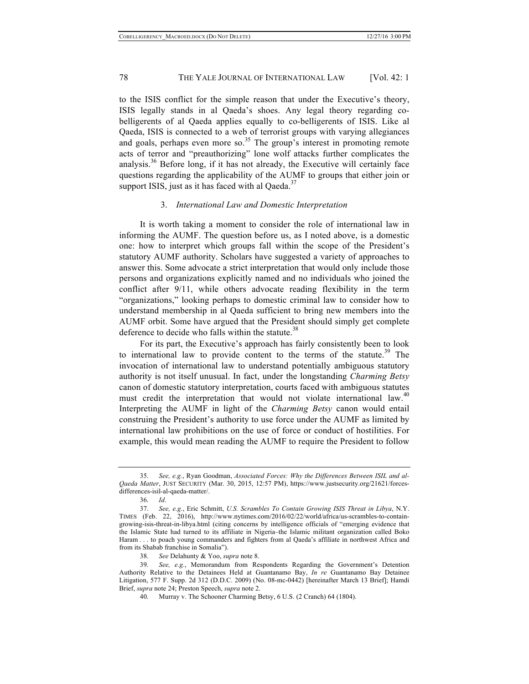to the ISIS conflict for the simple reason that under the Executive's theory, ISIS legally stands in al Qaeda's shoes. Any legal theory regarding cobelligerents of al Qaeda applies equally to co-belligerents of ISIS. Like al Qaeda, ISIS is connected to a web of terrorist groups with varying allegiances and goals, perhaps even more so.<sup>35</sup> The group's interest in promoting remote acts of terror and "preauthorizing" lone wolf attacks further complicates the analysis.<sup>36</sup> Before long, if it has not already, the Executive will certainly face questions regarding the applicability of the AUMF to groups that either join or support ISIS, just as it has faced with al Qaeda. $37$ 

# 3. *International Law and Domestic Interpretation*

It is worth taking a moment to consider the role of international law in informing the AUMF. The question before us, as I noted above, is a domestic one: how to interpret which groups fall within the scope of the President's statutory AUMF authority. Scholars have suggested a variety of approaches to answer this. Some advocate a strict interpretation that would only include those persons and organizations explicitly named and no individuals who joined the conflict after 9/11, while others advocate reading flexibility in the term "organizations," looking perhaps to domestic criminal law to consider how to understand membership in al Qaeda sufficient to bring new members into the AUMF orbit. Some have argued that the President should simply get complete deference to decide who falls within the statute.<sup>38</sup>

For its part, the Executive's approach has fairly consistently been to look to international law to provide content to the terms of the statute.<sup>39</sup> The invocation of international law to understand potentially ambiguous statutory authority is not itself unusual. In fact, under the longstanding *Charming Betsy* canon of domestic statutory interpretation, courts faced with ambiguous statutes must credit the interpretation that would not violate international law.<sup>40</sup> Interpreting the AUMF in light of the *Charming Betsy* canon would entail construing the President's authority to use force under the AUMF as limited by international law prohibitions on the use of force or conduct of hostilities. For example, this would mean reading the AUMF to require the President to follow

38. *See* Delahunty & Yoo, *supra* note 8.

<sup>35.</sup> *See, e.g.*, Ryan Goodman, *Associated Forces: Why the Differences Between ISIL and al-Qaeda Matter*, JUST SECURITY (Mar. 30, 2015, 12:57 PM), https://www.justsecurity.org/21621/forcesdifferences-isil-al-qaeda-matter/.

<sup>36.</sup> *Id*.

<sup>37.</sup> *See, e.g.*, Eric Schmitt, *U.S. Scrambles To Contain Growing ISIS Threat in Libya*, N.Y. TIMES (Feb. 22, 2016), http://www.nytimes.com/2016/02/22/world/africa/us-scrambles-to-containgrowing-isis-threat-in-libya.html (citing concerns by intelligence officials of "emerging evidence that the Islamic State had turned to its affiliate in Nigeria–the Islamic militant organization called Boko Haram . . . to poach young commanders and fighters from al Qaeda's affiliate in northwest Africa and from its Shabab franchise in Somalia").

<sup>39.</sup> *See, e.g.*, Memorandum from Respondents Regarding the Government's Detention Authority Relative to the Detainees Held at Guantanamo Bay, *In re* Guantanamo Bay Detainee Litigation, 577 F. Supp. 2d 312 (D.D.C. 2009) (No. 08-mc-0442) [hereinafter March 13 Brief]; Hamdi Brief, *supra* note 24; Preston Speech, *supra* note 2.

<sup>40.</sup> Murray v. The Schooner Charming Betsy, 6 U.S. (2 Cranch) 64 (1804).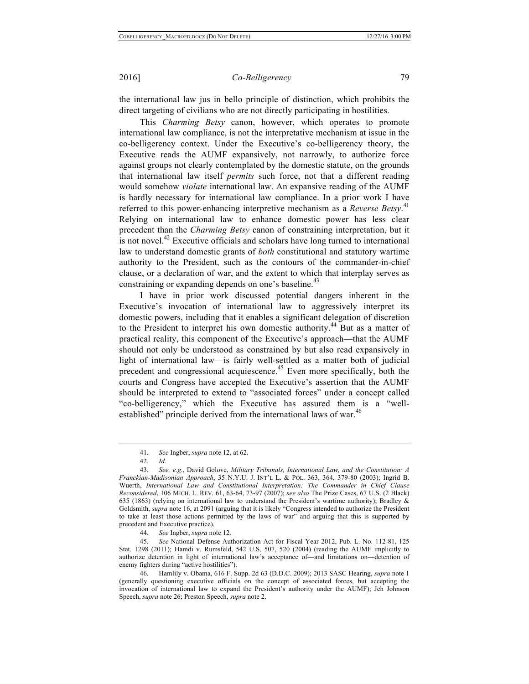the international law jus in bello principle of distinction, which prohibits the direct targeting of civilians who are not directly participating in hostilities.

This *Charming Betsy* canon, however, which operates to promote international law compliance, is not the interpretative mechanism at issue in the co-belligerency context. Under the Executive's co-belligerency theory, the Executive reads the AUMF expansively, not narrowly, to authorize force against groups not clearly contemplated by the domestic statute, on the grounds that international law itself *permits* such force, not that a different reading would somehow *violate* international law. An expansive reading of the AUMF is hardly necessary for international law compliance. In a prior work I have referred to this power-enhancing interpretive mechanism as a *Reverse Betsy*. 41 Relying on international law to enhance domestic power has less clear precedent than the *Charming Betsy* canon of constraining interpretation, but it is not novel.<sup>42</sup> Executive officials and scholars have long turned to international law to understand domestic grants of *both* constitutional and statutory wartime authority to the President, such as the contours of the commander-in-chief clause, or a declaration of war, and the extent to which that interplay serves as constraining or expanding depends on one's baseline.<sup>43</sup>

I have in prior work discussed potential dangers inherent in the Executive's invocation of international law to aggressively interpret its domestic powers, including that it enables a significant delegation of discretion to the President to interpret his own domestic authority.<sup>44</sup> But as a matter of practical reality, this component of the Executive's approach—that the AUMF should not only be understood as constrained by but also read expansively in light of international law—is fairly well-settled as a matter both of judicial precedent and congressional acquiescence.<sup>45</sup> Even more specifically, both the courts and Congress have accepted the Executive's assertion that the AUMF should be interpreted to extend to "associated forces" under a concept called "co-belligerency," which the Executive has assured them is a "wellestablished" principle derived from the international laws of war.<sup>46</sup>

<sup>41.</sup> *See* Ingber, *supra* note 12, at 62.

<sup>42.</sup> *Id*.

<sup>43.</sup> *See, e.g.*, David Golove, *Military Tribunals, International Law, and the Constitution: A Franckian-Madisonian Approach*, 35 N.Y.U. J. INT'L L. & POL. 363, 364, 379-80 (2003); Ingrid B. Wuerth, *International Law and Constitutional Interpretation: The Commander in Chief Clause Reconsidered*, 106 MICH. L. REV. 61, 63-64, 73-97 (2007); *see also* The Prize Cases, 67 U.S. (2 Black) 635 (1863) (relying on international law to understand the President's wartime authority); Bradley & Goldsmith, *supra* note 16, at 2091 (arguing that it is likely "Congress intended to authorize the President to take at least those actions permitted by the laws of war" and arguing that this is supported by precedent and Executive practice).

<sup>44.</sup> *See* Ingber, *supra* note 12.

<sup>45.</sup> *See* National Defense Authorization Act for Fiscal Year 2012, Pub. L. No. 112-81, 125 Stat. 1298 (2011); Hamdi v. Rumsfeld, 542 U.S. 507, 520 (2004) (reading the AUMF implicitly to authorize detention in light of international law's acceptance of—and limitations on—detention of enemy fighters during "active hostilities").

<sup>46.</sup> Hamlily v. Obama, 616 F. Supp. 2d 63 (D.D.C. 2009); 2013 SASC Hearing, *supra* note 1 (generally questioning executive officials on the concept of associated forces, but accepting the invocation of international law to expand the President's authority under the AUMF); Jeh Johnson Speech, *supra* note 26; Preston Speech, *supra* note 2.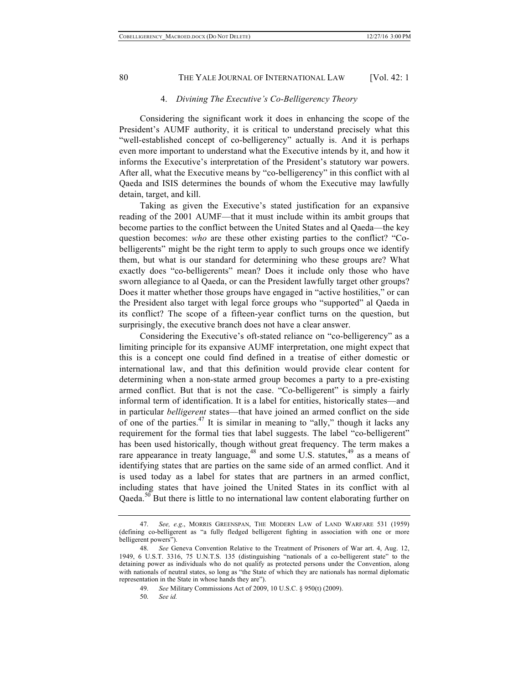# 4. *Divining The Executive's Co-Belligerency Theory*

Considering the significant work it does in enhancing the scope of the President's AUMF authority, it is critical to understand precisely what this "well-established concept of co-belligerency" actually is. And it is perhaps even more important to understand what the Executive intends by it, and how it informs the Executive's interpretation of the President's statutory war powers. After all, what the Executive means by "co-belligerency" in this conflict with al Qaeda and ISIS determines the bounds of whom the Executive may lawfully detain, target, and kill.

Taking as given the Executive's stated justification for an expansive reading of the 2001 AUMF—that it must include within its ambit groups that become parties to the conflict between the United States and al Qaeda—the key question becomes: *who* are these other existing parties to the conflict? "Cobelligerents" might be the right term to apply to such groups once we identify them, but what is our standard for determining who these groups are? What exactly does "co-belligerents" mean? Does it include only those who have sworn allegiance to al Qaeda, or can the President lawfully target other groups? Does it matter whether those groups have engaged in "active hostilities," or can the President also target with legal force groups who "supported" al Qaeda in its conflict? The scope of a fifteen-year conflict turns on the question, but surprisingly, the executive branch does not have a clear answer.

Considering the Executive's oft-stated reliance on "co-belligerency" as a limiting principle for its expansive AUMF interpretation, one might expect that this is a concept one could find defined in a treatise of either domestic or international law, and that this definition would provide clear content for determining when a non-state armed group becomes a party to a pre-existing armed conflict. But that is not the case. "Co-belligerent" is simply a fairly informal term of identification. It is a label for entities, historically states—and in particular *belligerent* states—that have joined an armed conflict on the side of one of the parties.<sup>47</sup> It is similar in meaning to "ally," though it lacks any requirement for the formal ties that label suggests. The label "co-belligerent" has been used historically, though without great frequency. The term makes a rare appearance in treaty language,  $48$  and some U.S. statutes,  $49$  as a means of identifying states that are parties on the same side of an armed conflict. And it is used today as a label for states that are partners in an armed conflict, including states that have joined the United States in its conflict with al Qaeda.<sup>50</sup> But there is little to no international law content elaborating further on

<sup>47.</sup> *See, e.g*., MORRIS GREENSPAN, THE MODERN LAW of LAND WARFARE 531 (1959) (defining co-belligerent as "a fully fledged belligerent fighting in association with one or more belligerent powers").

<sup>48.</sup> *See* Geneva Convention Relative to the Treatment of Prisoners of War art. 4, Aug. 12, 1949, 6 U.S.T. 3316, 75 U.N.T.S. 135 (distinguishing "nationals of a co-belligerent state" to the detaining power as individuals who do not qualify as protected persons under the Convention, along with nationals of neutral states, so long as "the State of which they are nationals has normal diplomatic representation in the State in whose hands they are").

<sup>49.</sup> *See* Military Commissions Act of 2009, 10 U.S.C. § 950(t) (2009).

<sup>50.</sup> *See id.*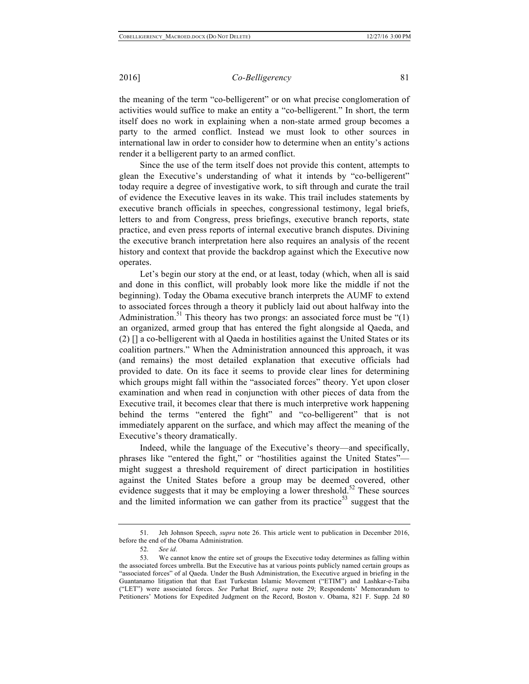the meaning of the term "co-belligerent" or on what precise conglomeration of activities would suffice to make an entity a "co-belligerent." In short, the term itself does no work in explaining when a non-state armed group becomes a party to the armed conflict. Instead we must look to other sources in international law in order to consider how to determine when an entity's actions render it a belligerent party to an armed conflict.

Since the use of the term itself does not provide this content, attempts to glean the Executive's understanding of what it intends by "co-belligerent" today require a degree of investigative work, to sift through and curate the trail of evidence the Executive leaves in its wake. This trail includes statements by executive branch officials in speeches, congressional testimony, legal briefs, letters to and from Congress, press briefings, executive branch reports, state practice, and even press reports of internal executive branch disputes. Divining the executive branch interpretation here also requires an analysis of the recent history and context that provide the backdrop against which the Executive now operates.

Let's begin our story at the end, or at least, today (which, when all is said and done in this conflict, will probably look more like the middle if not the beginning). Today the Obama executive branch interprets the AUMF to extend to associated forces through a theory it publicly laid out about halfway into the Administration.<sup>51</sup> This theory has two prongs: an associated force must be " $(1)$ " an organized, armed group that has entered the fight alongside al Qaeda, and (2) [] a co-belligerent with al Qaeda in hostilities against the United States or its coalition partners." When the Administration announced this approach, it was (and remains) the most detailed explanation that executive officials had provided to date. On its face it seems to provide clear lines for determining which groups might fall within the "associated forces" theory. Yet upon closer examination and when read in conjunction with other pieces of data from the Executive trail, it becomes clear that there is much interpretive work happening behind the terms "entered the fight" and "co-belligerent" that is not immediately apparent on the surface, and which may affect the meaning of the Executive's theory dramatically.

Indeed, while the language of the Executive's theory—and specifically, phrases like "entered the fight," or "hostilities against the United States" might suggest a threshold requirement of direct participation in hostilities against the United States before a group may be deemed covered, other evidence suggests that it may be employing a lower threshold.<sup>52</sup> These sources and the limited information we can gather from its practice<sup>53</sup> suggest that the

<sup>51.</sup> Jeh Johnson Speech, *supra* note 26. This article went to publication in December 2016, before the end of the Obama Administration.

<sup>52.</sup> *See id*.

<sup>53.</sup> We cannot know the entire set of groups the Executive today determines as falling within the associated forces umbrella. But the Executive has at various points publicly named certain groups as "associated forces" of al Qaeda. Under the Bush Administration, the Executive argued in briefing in the Guantanamo litigation that that East Turkestan Islamic Movement ("ETIM") and Lashkar-e-Taiba ("LET") were associated forces. *See* Parhat Brief, *supra* note 29; Respondents' Memorandum to Petitioners' Motions for Expedited Judgment on the Record, Boston v. Obama, 821 F. Supp. 2d 80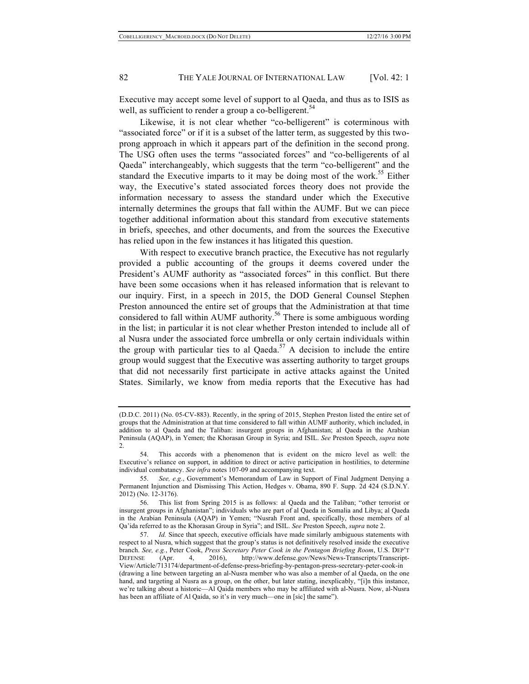Executive may accept some level of support to al Qaeda, and thus as to ISIS as well, as sufficient to render a group a co-belligerent.<sup>54</sup>

Likewise, it is not clear whether "co-belligerent" is coterminous with "associated force" or if it is a subset of the latter term, as suggested by this twoprong approach in which it appears part of the definition in the second prong. The USG often uses the terms "associated forces" and "co-belligerents of al Qaeda" interchangeably, which suggests that the term "co-belligerent" and the standard the Executive imparts to it may be doing most of the work.<sup>55</sup> Either way, the Executive's stated associated forces theory does not provide the information necessary to assess the standard under which the Executive internally determines the groups that fall within the AUMF. But we can piece together additional information about this standard from executive statements in briefs, speeches, and other documents, and from the sources the Executive has relied upon in the few instances it has litigated this question.

With respect to executive branch practice, the Executive has not regularly provided a public accounting of the groups it deems covered under the President's AUMF authority as "associated forces" in this conflict. But there have been some occasions when it has released information that is relevant to our inquiry. First, in a speech in 2015, the DOD General Counsel Stephen Preston announced the entire set of groups that the Administration at that time considered to fall within AUMF authority.<sup>56</sup> There is some ambiguous wording in the list; in particular it is not clear whether Preston intended to include all of al Nusra under the associated force umbrella or only certain individuals within the group with particular ties to al Qaeda.<sup>57</sup> A decision to include the entire group would suggest that the Executive was asserting authority to target groups that did not necessarily first participate in active attacks against the United States. Similarly, we know from media reports that the Executive has had

<sup>(</sup>D.D.C. 2011) (No. 05-CV-883). Recently, in the spring of 2015, Stephen Preston listed the entire set of groups that the Administration at that time considered to fall within AUMF authority, which included, in addition to al Qaeda and the Taliban: insurgent groups in Afghanistan; al Qaeda in the Arabian Peninsula (AQAP), in Yemen; the Khorasan Group in Syria; and ISIL. *See* Preston Speech, *supra* note 2.

<sup>54.</sup> This accords with a phenomenon that is evident on the micro level as well: the Executive's reliance on support, in addition to direct or active participation in hostilities, to determine individual combatancy. *See infra* notes 107-09 and accompanying text.

<sup>55.</sup> *See, e.g.*, Government's Memorandum of Law in Support of Final Judgment Denying a Permanent Injunction and Dismissing This Action, Hedges v. Obama, 890 F. Supp. 2d 424 (S.D.N.Y. 2012) (No. 12-3176).

<sup>56.</sup> This list from Spring 2015 is as follows: al Qaeda and the Taliban; "other terrorist or insurgent groups in Afghanistan"; individuals who are part of al Qaeda in Somalia and Libya; al Qaeda in the Arabian Peninsula (AQAP) in Yemen; "Nusrah Front and, specifically, those members of al Qa'ida referred to as the Khorasan Group in Syria"; and ISIL. *See* Preston Speech, *supra* note 2.

<sup>57.</sup> *Id.* Since that speech, executive officials have made similarly ambiguous statements with respect to al Nusra, which suggest that the group's status is not definitively resolved inside the executive branch. *See, e.g.*, Peter Cook, *Press Secretary Peter Cook in the Pentagon Briefing Room*, U.S. DEP'T DEFENSE (Apr. 4, 2016), http://www.defense.gov/News/News-Transcripts/Transcript-View/Article/713174/department-of-defense-press-briefing-by-pentagon-press-secretary-peter-cook-in (drawing a line between targeting an al-Nusra member who was also a member of al Qaeda, on the one hand, and targeting al Nusra as a group, on the other, but later stating, inexplicably, "[i]n this instance, we're talking about a historic—Al Qaida members who may be affiliated with al-Nusra. Now, al-Nusra has been an affiliate of Al Qaida, so it's in very much—one in [sic] the same").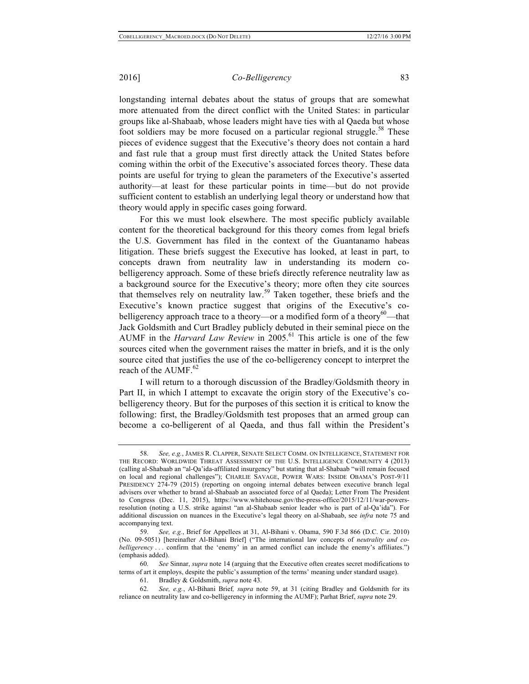longstanding internal debates about the status of groups that are somewhat more attenuated from the direct conflict with the United States: in particular groups like al-Shabaab, whose leaders might have ties with al Qaeda but whose foot soldiers may be more focused on a particular regional struggle.<sup>58</sup> These pieces of evidence suggest that the Executive's theory does not contain a hard and fast rule that a group must first directly attack the United States before coming within the orbit of the Executive's associated forces theory. These data points are useful for trying to glean the parameters of the Executive's asserted authority—at least for these particular points in time—but do not provide sufficient content to establish an underlying legal theory or understand how that theory would apply in specific cases going forward.

For this we must look elsewhere. The most specific publicly available content for the theoretical background for this theory comes from legal briefs the U.S. Government has filed in the context of the Guantanamo habeas litigation. These briefs suggest the Executive has looked, at least in part, to concepts drawn from neutrality law in understanding its modern cobelligerency approach. Some of these briefs directly reference neutrality law as a background source for the Executive's theory; more often they cite sources that themselves rely on neutrality law.<sup>59</sup> Taken together, these briefs and the Executive's known practice suggest that origins of the Executive's cobelligerency approach trace to a theory—or a modified form of a theory<sup>60</sup>—that Jack Goldsmith and Curt Bradley publicly debuted in their seminal piece on the AUMF in the *Harvard Law Review* in 2005.<sup>61</sup> This article is one of the few sources cited when the government raises the matter in briefs, and it is the only source cited that justifies the use of the co-belligerency concept to interpret the reach of the  $\text{AUMF.}^{62}$ 

I will return to a thorough discussion of the Bradley/Goldsmith theory in Part II, in which I attempt to excavate the origin story of the Executive's cobelligerency theory. But for the purposes of this section it is critical to know the following: first, the Bradley/Goldsmith test proposes that an armed group can become a co-belligerent of al Qaeda, and thus fall within the President's

<sup>58.</sup> *See, e.g.*, JAMES R. CLAPPER, SENATE SELECT COMM. ON INTELLIGENCE, STATEMENT FOR THE RECORD: WORLDWIDE THREAT ASSESSMENT OF THE U.S. INTELLIGENCE COMMUNITY 4 (2013) (calling al-Shabaab an "al-Qa'ida-affiliated insurgency" but stating that al-Shabaab "will remain focused on local and regional challenges"); CHARLIE SAVAGE, POWER WARS: INSIDE OBAMA'S POST-9/11 PRESIDENCY 274-79 (2015) (reporting on ongoing internal debates between executive branch legal advisers over whether to brand al-Shabaab an associated force of al Qaeda); Letter From The President to Congress (Dec. 11, 2015), https://www.whitehouse.gov/the-press-office/2015/12/11/war-powersresolution (noting a U.S. strike against "an al-Shabaab senior leader who is part of al-Qa'ida"). For additional discussion on nuances in the Executive's legal theory on al-Shabaab, see *infra* note 75 and accompanying text.

<sup>59.</sup> *See, e.g.*, Brief for Appellees at 31, Al-Bihani v. Obama, 590 F.3d 866 (D.C. Cir. 2010) (No. 09-5051) [hereinafter Al-Bihani Brief] ("The international law concepts of *neutrality and cobelligerency* . . . confirm that the 'enemy' in an armed conflict can include the enemy's affiliates.") (emphasis added).

<sup>60.</sup> *See* Sinnar, *supra* note 14 (arguing that the Executive often creates secret modifications to terms of art it employs, despite the public's assumption of the terms' meaning under standard usage).

<sup>61.</sup> Bradley & Goldsmith, *supra* note 43.

<sup>62.</sup> *See, e.g.*, Al-Bihani Brief*, supra* note 59, at 31 (citing Bradley and Goldsmith for its reliance on neutrality law and co-belligerency in informing the AUMF); Parhat Brief, *supra* note 29.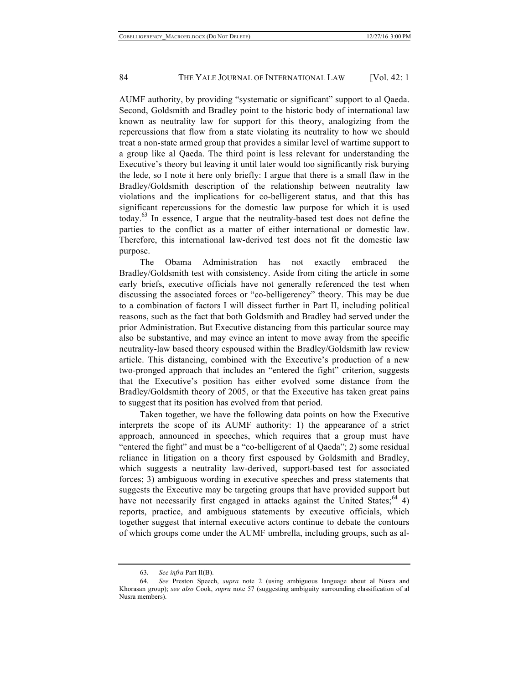AUMF authority, by providing "systematic or significant" support to al Qaeda. Second, Goldsmith and Bradley point to the historic body of international law known as neutrality law for support for this theory, analogizing from the repercussions that flow from a state violating its neutrality to how we should treat a non-state armed group that provides a similar level of wartime support to a group like al Qaeda. The third point is less relevant for understanding the Executive's theory but leaving it until later would too significantly risk burying the lede, so I note it here only briefly: I argue that there is a small flaw in the Bradley/Goldsmith description of the relationship between neutrality law violations and the implications for co-belligerent status, and that this has significant repercussions for the domestic law purpose for which it is used today.<sup>63</sup> In essence, I argue that the neutrality-based test does not define the parties to the conflict as a matter of either international or domestic law. Therefore, this international law-derived test does not fit the domestic law purpose.

The Obama Administration has not exactly embraced the Bradley/Goldsmith test with consistency. Aside from citing the article in some early briefs, executive officials have not generally referenced the test when discussing the associated forces or "co-belligerency" theory. This may be due to a combination of factors I will dissect further in Part II, including political reasons, such as the fact that both Goldsmith and Bradley had served under the prior Administration. But Executive distancing from this particular source may also be substantive, and may evince an intent to move away from the specific neutrality-law based theory espoused within the Bradley/Goldsmith law review article. This distancing, combined with the Executive's production of a new two-pronged approach that includes an "entered the fight" criterion, suggests that the Executive's position has either evolved some distance from the Bradley/Goldsmith theory of 2005, or that the Executive has taken great pains to suggest that its position has evolved from that period.

Taken together, we have the following data points on how the Executive interprets the scope of its AUMF authority: 1) the appearance of a strict approach, announced in speeches, which requires that a group must have "entered the fight" and must be a "co-belligerent of al Qaeda"; 2) some residual reliance in litigation on a theory first espoused by Goldsmith and Bradley, which suggests a neutrality law-derived, support-based test for associated forces; 3) ambiguous wording in executive speeches and press statements that suggests the Executive may be targeting groups that have provided support but have not necessarily first engaged in attacks against the United States;  $64$  4) reports, practice, and ambiguous statements by executive officials, which together suggest that internal executive actors continue to debate the contours of which groups come under the AUMF umbrella, including groups, such as al-

<sup>63.</sup> *See infra* Part II(B).

<sup>64.</sup> *See* Preston Speech, *supra* note 2 (using ambiguous language about al Nusra and Khorasan group); *see also* Cook, *supra* note 57 (suggesting ambiguity surrounding classification of al Nusra members).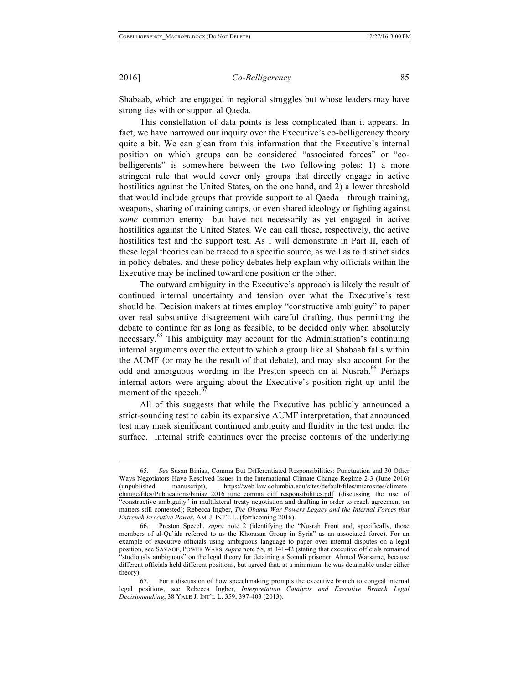Shabaab, which are engaged in regional struggles but whose leaders may have strong ties with or support al Qaeda.

This constellation of data points is less complicated than it appears. In fact, we have narrowed our inquiry over the Executive's co-belligerency theory quite a bit. We can glean from this information that the Executive's internal position on which groups can be considered "associated forces" or "cobelligerents" is somewhere between the two following poles: 1) a more stringent rule that would cover only groups that directly engage in active hostilities against the United States, on the one hand, and 2) a lower threshold that would include groups that provide support to al Qaeda—through training, weapons, sharing of training camps, or even shared ideology or fighting against *some* common enemy—but have not necessarily as yet engaged in active hostilities against the United States. We can call these, respectively, the active hostilities test and the support test. As I will demonstrate in Part II, each of these legal theories can be traced to a specific source, as well as to distinct sides in policy debates, and these policy debates help explain why officials within the Executive may be inclined toward one position or the other.

The outward ambiguity in the Executive's approach is likely the result of continued internal uncertainty and tension over what the Executive's test should be. Decision makers at times employ "constructive ambiguity" to paper over real substantive disagreement with careful drafting, thus permitting the debate to continue for as long as feasible, to be decided only when absolutely necessary. <sup>65</sup> This ambiguity may account for the Administration's continuing internal arguments over the extent to which a group like al Shabaab falls within the AUMF (or may be the result of that debate), and may also account for the odd and ambiguous wording in the Preston speech on al Nusrah.<sup>66</sup> Perhaps internal actors were arguing about the Executive's position right up until the moment of the speech.<sup>6</sup>

All of this suggests that while the Executive has publicly announced a strict-sounding test to cabin its expansive AUMF interpretation, that announced test may mask significant continued ambiguity and fluidity in the test under the surface. Internal strife continues over the precise contours of the underlying

<sup>65.</sup> *See* Susan Biniaz, Comma But Differentiated Responsibilities: Punctuation and 30 Other Ways Negotiators Have Resolved Issues in the International Climate Change Regime 2-3 (June 2016) (unpublished manuscript), https://web.law.columbia.edu/sites/default/files/microsites/climatechange/files/Publications/biniaz\_2016\_june\_comma\_diff\_responsibilities.pdf (discussing the use of "constructive ambiguity" in multilateral treaty negotiation and drafting in order to reach agreement on matters still contested); Rebecca Ingber, *The Obama War Powers Legacy and the Internal Forces that Entrench Executive Power*, AM. J. INT'L L. (forthcoming 2016).

<sup>66.</sup> Preston Speech, *supra* note 2 (identifying the "Nusrah Front and, specifically, those members of al-Qa'ida referred to as the Khorasan Group in Syria" as an associated force). For an example of executive officials using ambiguous language to paper over internal disputes on a legal position, see SAVAGE, POWER WARS, *supra* note 58, at 341-42 (stating that executive officials remained "studiously ambiguous" on the legal theory for detaining a Somali prisoner, Ahmed Warsame, because different officials held different positions, but agreed that, at a minimum, he was detainable under either theory).

<sup>67.</sup> For a discussion of how speechmaking prompts the executive branch to congeal internal legal positions, see Rebecca Ingber, *Interpretation Catalysts and Executive Branch Legal Decisionmaking*, 38 YALE J. INT'L L. 359, 397-403 (2013).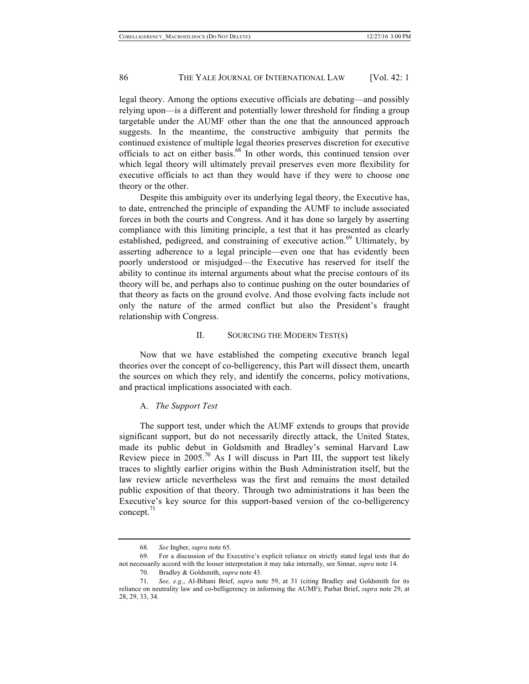legal theory. Among the options executive officials are debating—and possibly relying upon—is a different and potentially lower threshold for finding a group targetable under the AUMF other than the one that the announced approach suggests. In the meantime, the constructive ambiguity that permits the continued existence of multiple legal theories preserves discretion for executive officials to act on either basis.<sup>68</sup> In other words, this continued tension over which legal theory will ultimately prevail preserves even more flexibility for executive officials to act than they would have if they were to choose one theory or the other.

Despite this ambiguity over its underlying legal theory, the Executive has, to date, entrenched the principle of expanding the AUMF to include associated forces in both the courts and Congress. And it has done so largely by asserting compliance with this limiting principle, a test that it has presented as clearly established, pedigreed, and constraining of executive action.<sup>69</sup> Ultimately, by asserting adherence to a legal principle—even one that has evidently been poorly understood or misjudged—the Executive has reserved for itself the ability to continue its internal arguments about what the precise contours of its theory will be, and perhaps also to continue pushing on the outer boundaries of that theory as facts on the ground evolve. And those evolving facts include not only the nature of the armed conflict but also the President's fraught relationship with Congress.

### II. SOURCING THE MODERN TEST(S)

Now that we have established the competing executive branch legal theories over the concept of co-belligerency, this Part will dissect them, unearth the sources on which they rely, and identify the concerns, policy motivations, and practical implications associated with each.

#### A. *The Support Test*

The support test, under which the AUMF extends to groups that provide significant support, but do not necessarily directly attack, the United States, made its public debut in Goldsmith and Bradley's seminal Harvard Law Review piece in 2005.<sup>70</sup> As I will discuss in Part III, the support test likely traces to slightly earlier origins within the Bush Administration itself, but the law review article nevertheless was the first and remains the most detailed public exposition of that theory. Through two administrations it has been the Executive's key source for this support-based version of the co-belligerency  $concept.'$ 

<sup>68.</sup> *See* Ingber, *supra* note 65.

<sup>69.</sup> For a discussion of the Executive's explicit reliance on strictly stated legal tests that do not necessarily accord with the looser interpretation it may take internally, see Sinnar, *supra* note 14.

<sup>70.</sup> Bradley & Goldsmith, *supra* note 43.

<sup>71.</sup> *See, e.g*., Al-Bihani Brief, *supra* note 59, at 31 (citing Bradley and Goldsmith for its reliance on neutrality law and co-belligerency in informing the AUMF); Parhat Brief, *supra* note 29, at 28, 29, 33, 34.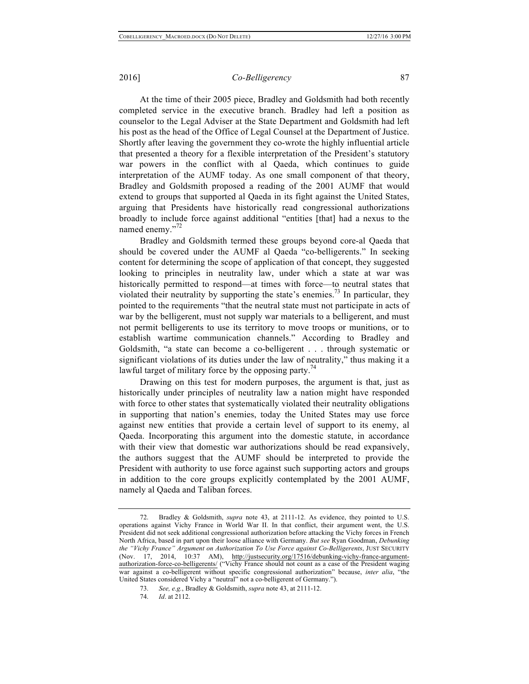At the time of their 2005 piece, Bradley and Goldsmith had both recently completed service in the executive branch. Bradley had left a position as counselor to the Legal Adviser at the State Department and Goldsmith had left his post as the head of the Office of Legal Counsel at the Department of Justice. Shortly after leaving the government they co-wrote the highly influential article that presented a theory for a flexible interpretation of the President's statutory war powers in the conflict with al Qaeda, which continues to guide interpretation of the AUMF today. As one small component of that theory, Bradley and Goldsmith proposed a reading of the 2001 AUMF that would extend to groups that supported al Qaeda in its fight against the United States, arguing that Presidents have historically read congressional authorizations broadly to include force against additional "entities [that] had a nexus to the named enemy."<sup>72</sup>

Bradley and Goldsmith termed these groups beyond core-al Qaeda that should be covered under the AUMF al Qaeda "co-belligerents." In seeking content for determining the scope of application of that concept, they suggested looking to principles in neutrality law, under which a state at war was historically permitted to respond—at times with force—to neutral states that violated their neutrality by supporting the state's enemies.<sup>73</sup> In particular, they pointed to the requirements "that the neutral state must not participate in acts of war by the belligerent, must not supply war materials to a belligerent, and must not permit belligerents to use its territory to move troops or munitions, or to establish wartime communication channels." According to Bradley and Goldsmith, "a state can become a co-belligerent . . . through systematic or significant violations of its duties under the law of neutrality," thus making it a lawful target of military force by the opposing party.<sup>74</sup>

Drawing on this test for modern purposes, the argument is that, just as historically under principles of neutrality law a nation might have responded with force to other states that systematically violated their neutrality obligations in supporting that nation's enemies, today the United States may use force against new entities that provide a certain level of support to its enemy, al Qaeda. Incorporating this argument into the domestic statute, in accordance with their view that domestic war authorizations should be read expansively, the authors suggest that the AUMF should be interpreted to provide the President with authority to use force against such supporting actors and groups in addition to the core groups explicitly contemplated by the 2001 AUMF, namely al Qaeda and Taliban forces.

<sup>72.</sup> Bradley & Goldsmith, *supra* note 43, at 2111-12. As evidence, they pointed to U.S. operations against Vichy France in World War II. In that conflict, their argument went, the U.S. President did not seek additional congressional authorization before attacking the Vichy forces in French North Africa, based in part upon their loose alliance with Germany. *But see* Ryan Goodman, *Debunking the "Vichy France" Argument on Authorization To Use Force against Co-Belligerents*, JUST SECURITY (Nov. 17, 2014, 10:37 AM), http://justsecurity.org/17516/debunking-vichy-france-argumentauthorization-force-co-belligerents/ ("Vichy France should not count as a case of the President waging war against a co-belligerent without specific congressional authorization" because, *inter alia*, "the United States considered Vichy a "neutral" not a co-belligerent of Germany.").

<sup>73.</sup> *See, e.g.*, Bradley & Goldsmith, *supra* note 43, at 2111-12.

<sup>74.</sup> *Id*. at 2112.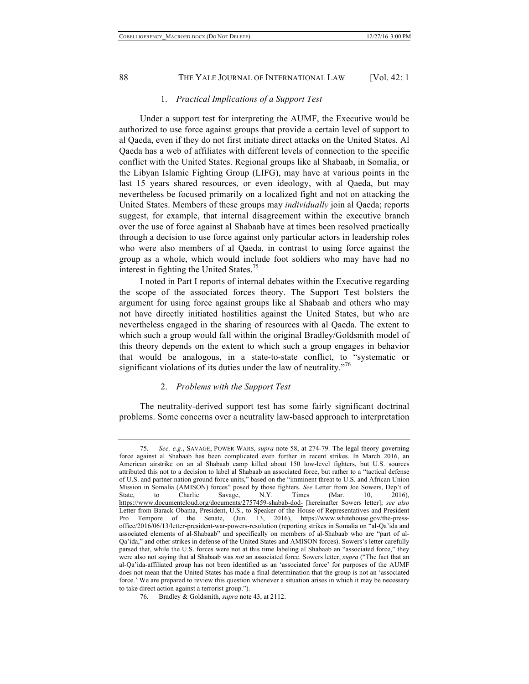# 1. *Practical Implications of a Support Test*

Under a support test for interpreting the AUMF, the Executive would be authorized to use force against groups that provide a certain level of support to al Qaeda, even if they do not first initiate direct attacks on the United States. Al Qaeda has a web of affiliates with different levels of connection to the specific conflict with the United States. Regional groups like al Shabaab, in Somalia, or the Libyan Islamic Fighting Group (LIFG), may have at various points in the last 15 years shared resources, or even ideology, with al Qaeda, but may nevertheless be focused primarily on a localized fight and not on attacking the United States. Members of these groups may *individually* join al Qaeda; reports suggest, for example, that internal disagreement within the executive branch over the use of force against al Shabaab have at times been resolved practically through a decision to use force against only particular actors in leadership roles who were also members of al Qaeda, in contrast to using force against the group as a whole, which would include foot soldiers who may have had no interest in fighting the United States.<sup>75</sup>

I noted in Part I reports of internal debates within the Executive regarding the scope of the associated forces theory. The Support Test bolsters the argument for using force against groups like al Shabaab and others who may not have directly initiated hostilities against the United States, but who are nevertheless engaged in the sharing of resources with al Qaeda. The extent to which such a group would fall within the original Bradley/Goldsmith model of this theory depends on the extent to which such a group engages in behavior that would be analogous, in a state-to-state conflict, to "systematic or significant violations of its duties under the law of neutrality."<sup>76</sup>

### 2. *Problems with the Support Test*

The neutrality-derived support test has some fairly significant doctrinal problems. Some concerns over a neutrality law-based approach to interpretation

<sup>75.</sup> *See, e.g.*, SAVAGE, POWER WARS, *supra* note 58, at 274-79. The legal theory governing force against al Shabaab has been complicated even further in recent strikes. In March 2016, an American airstrike on an al Shabaab camp killed about 150 low-level fighters, but U.S. sources attributed this not to a decision to label al Shabaab an associated force, but rather to a "tactical defense of U.S. and partner nation ground force units," based on the "imminent threat to U.S. and African Union Mission in Somalia (AMISON) forces" posed by those fighters. *See* Letter from Joe Sowers, Dep't of State, to Charlie Savage, N.Y. Times (Mar. 10, 2016), https://www.documentcloud.org/documents/2757459-shabab-dod- [hereinafter Sowers letter]; *see also* Letter from Barack Obama, President, U.S., to Speaker of the House of Representatives and President Pro Tempore of the Senate, (Jun. 13, 2016), https://www.whitehouse.gov/the-pressoffice/2016/06/13/letter-president-war-powers-resolution (reporting strikes in Somalia on "al-Qa'ida and associated elements of al-Shabaab" and specifically on members of al-Shabaab who are "part of al-Qa'ida," and other strikes in defense of the United States and AMISON forces). Sowers's letter carefully parsed that, while the U.S. forces were not at this time labeling al Shabaab an "associated force," they were also not saying that al Shabaab was *not* an associated force. Sowers letter, *supra* ("The fact that an al-Qa'ida-affiliated group has not been identified as an 'associated force' for purposes of the AUMF does not mean that the United States has made a final determination that the group is not an 'associated force.' We are prepared to review this question whenever a situation arises in which it may be necessary to take direct action against a terrorist group.").

<sup>76.</sup> Bradley & Goldsmith, *supra* note 43, at 2112.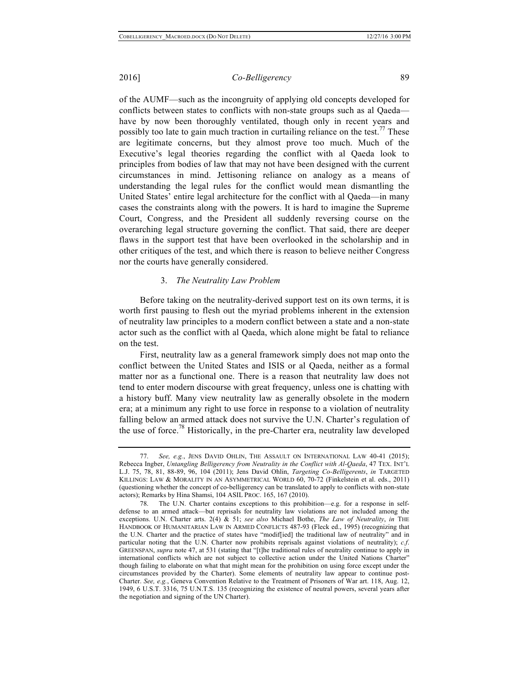of the AUMF—such as the incongruity of applying old concepts developed for conflicts between states to conflicts with non-state groups such as al Qaeda have by now been thoroughly ventilated, though only in recent years and possibly too late to gain much traction in curtailing reliance on the test.<sup>77</sup> These are legitimate concerns, but they almost prove too much. Much of the Executive's legal theories regarding the conflict with al Qaeda look to principles from bodies of law that may not have been designed with the current circumstances in mind. Jettisoning reliance on analogy as a means of understanding the legal rules for the conflict would mean dismantling the United States' entire legal architecture for the conflict with al Qaeda—in many cases the constraints along with the powers. It is hard to imagine the Supreme Court, Congress, and the President all suddenly reversing course on the overarching legal structure governing the conflict. That said, there are deeper flaws in the support test that have been overlooked in the scholarship and in other critiques of the test, and which there is reason to believe neither Congress nor the courts have generally considered.

#### 3. *The Neutrality Law Problem*

Before taking on the neutrality-derived support test on its own terms, it is worth first pausing to flesh out the myriad problems inherent in the extension of neutrality law principles to a modern conflict between a state and a non-state actor such as the conflict with al Qaeda, which alone might be fatal to reliance on the test.

First, neutrality law as a general framework simply does not map onto the conflict between the United States and ISIS or al Qaeda, neither as a formal matter nor as a functional one. There is a reason that neutrality law does not tend to enter modern discourse with great frequency, unless one is chatting with a history buff. Many view neutrality law as generally obsolete in the modern era; at a minimum any right to use force in response to a violation of neutrality falling below an armed attack does not survive the U.N. Charter's regulation of the use of force.<sup>78</sup> Historically, in the pre-Charter era, neutrality law developed

<sup>77.</sup> *See, e.g.*, JENS DAVID OHLIN, THE ASSAULT ON INTERNATIONAL LAW 40-41 (2015); Rebecca Ingber, *Untangling Belligerency from Neutrality in the Conflict with Al-Qaeda*, 47 TEX. INT'L L.J. 75, 78, 81, 88-89, 96, 104 (2011); Jens David Ohlin, *Targeting Co-Belligerents*, *in* TARGETED KILLINGS: LAW & MORALITY IN AN ASYMMETRICAL WORLD 60, 70-72 (Finkelstein et al. eds., 2011) (questioning whether the concept of co-belligerency can be translated to apply to conflicts with non-state actors); Remarks by Hina Shamsi, 104 ASIL PROC. 165, 167 (2010).

<sup>78.</sup> The U.N. Charter contains exceptions to this prohibition—e.g. for a response in selfdefense to an armed attack—but reprisals for neutrality law violations are not included among the exceptions. U.N. Charter arts. 2(4) & 51; *see also* Michael Bothe, *The Law of Neutrality*, *in* THE HANDBOOK OF HUMANITARIAN LAW IN ARMED CONFLICTS 487-93 (Fleck ed., 1995) (recognizing that the U.N. Charter and the practice of states have "modif[ied] the traditional law of neutrality" and in particular noting that the U.N. Charter now prohibits reprisals against violations of neutrality); *c.f*. GREENSPAN, *supra* note 47, at 531 (stating that "[t]he traditional rules of neutrality continue to apply in international conflicts which are not subject to collective action under the United Nations Charter" though failing to elaborate on what that might mean for the prohibition on using force except under the circumstances provided by the Charter). Some elements of neutrality law appear to continue post-Charter. *See, e.g.*, Geneva Convention Relative to the Treatment of Prisoners of War art. 118, Aug. 12, 1949, 6 U.S.T. 3316, 75 U.N.T.S. 135 (recognizing the existence of neutral powers, several years after the negotiation and signing of the UN Charter).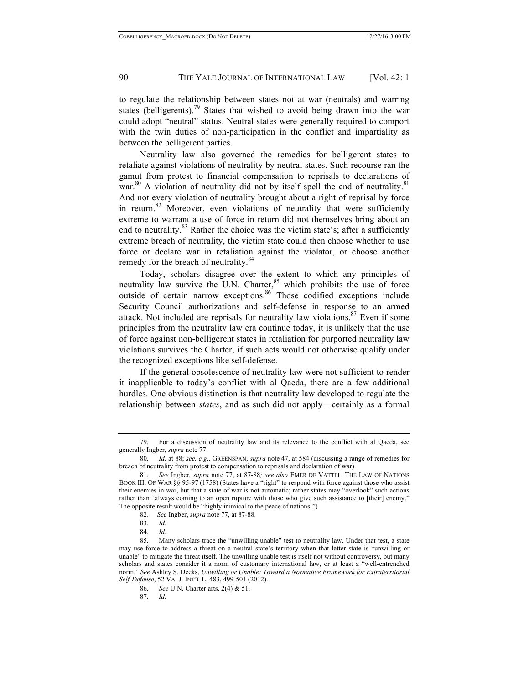to regulate the relationship between states not at war (neutrals) and warring states (belligerents).<sup>79</sup> States that wished to avoid being drawn into the war could adopt "neutral" status. Neutral states were generally required to comport with the twin duties of non-participation in the conflict and impartiality as between the belligerent parties.

Neutrality law also governed the remedies for belligerent states to retaliate against violations of neutrality by neutral states. Such recourse ran the gamut from protest to financial compensation to reprisals to declarations of war.<sup>80</sup> A violation of neutrality did not by itself spell the end of neutrality.<sup>81</sup> And not every violation of neutrality brought about a right of reprisal by force in return.<sup>82</sup> Moreover, even violations of neutrality that were sufficiently extreme to warrant a use of force in return did not themselves bring about an end to neutrality. $83$  Rather the choice was the victim state's; after a sufficiently extreme breach of neutrality, the victim state could then choose whether to use force or declare war in retaliation against the violator, or choose another remedy for the breach of neutrality.<sup>84</sup>

Today, scholars disagree over the extent to which any principles of neutrality law survive the U.N. Charter, $85$  which prohibits the use of force outside of certain narrow exceptions.<sup>86</sup> Those codified exceptions include Security Council authorizations and self-defense in response to an armed attack. Not included are reprisals for neutrality law violations.<sup>87</sup> Even if some principles from the neutrality law era continue today, it is unlikely that the use of force against non-belligerent states in retaliation for purported neutrality law violations survives the Charter, if such acts would not otherwise qualify under the recognized exceptions like self-defense.

If the general obsolescence of neutrality law were not sufficient to render it inapplicable to today's conflict with al Qaeda, there are a few additional hurdles. One obvious distinction is that neutrality law developed to regulate the relationship between *states*, and as such did not apply—certainly as a formal

For a discussion of neutrality law and its relevance to the conflict with al Qaeda, see generally Ingber, *supra* note 77.

<sup>80.</sup> *Id.* at 88; *see, e.g*., GREENSPAN, *supra* note 47, at 584 (discussing a range of remedies for breach of neutrality from protest to compensation to reprisals and declaration of war).

<sup>81.</sup> *See* Ingber, *supra* note 77, at 87-88*; see also* EMER DE VATTEL, THE LAW OF NATIONS BOOK III: OF WAR §§ 95-97 (1758) (States have a "right" to respond with force against those who assist their enemies in war, but that a state of war is not automatic; rather states may "overlook" such actions rather than "always coming to an open rupture with those who give such assistance to [their] enemy." The opposite result would be "highly inimical to the peace of nations!")

<sup>82</sup>*. See* Ingber, *supra* note 77, at 87-88.

<sup>83.</sup> *Id*.

<sup>84.</sup> *Id*.

<sup>85.</sup> Many scholars trace the "unwilling unable" test to neutrality law. Under that test, a state may use force to address a threat on a neutral state's territory when that latter state is "unwilling or unable" to mitigate the threat itself. The unwilling unable test is itself not without controversy, but many scholars and states consider it a norm of customary international law, or at least a "well-entrenched norm." *See* Ashley S. Deeks, *Unwilling or Unable: Toward a Normative Framework for Extraterritorial Self-Defense*, 52 VA. J. INT'L L. 483, 499-501 (2012).

<sup>86.</sup> *See* U.N. Charter arts. 2(4) & 51.

<sup>87.</sup> *Id.*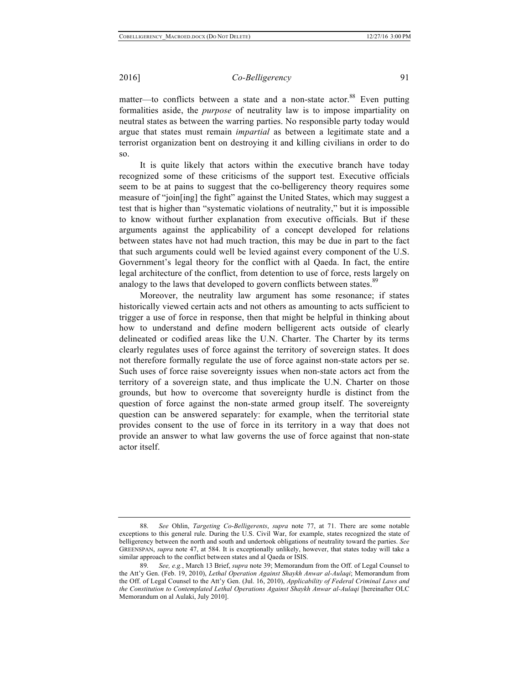matter—to conflicts between a state and a non-state actor.<sup>88</sup> Even putting formalities aside, the *purpose* of neutrality law is to impose impartiality on neutral states as between the warring parties. No responsible party today would argue that states must remain *impartial* as between a legitimate state and a terrorist organization bent on destroying it and killing civilians in order to do so.

It is quite likely that actors within the executive branch have today recognized some of these criticisms of the support test. Executive officials seem to be at pains to suggest that the co-belligerency theory requires some measure of "join[ing] the fight" against the United States, which may suggest a test that is higher than "systematic violations of neutrality," but it is impossible to know without further explanation from executive officials. But if these arguments against the applicability of a concept developed for relations between states have not had much traction, this may be due in part to the fact that such arguments could well be levied against every component of the U.S. Government's legal theory for the conflict with al Qaeda. In fact, the entire legal architecture of the conflict, from detention to use of force, rests largely on analogy to the laws that developed to govern conflicts between states.<sup>89</sup>

Moreover, the neutrality law argument has some resonance; if states historically viewed certain acts and not others as amounting to acts sufficient to trigger a use of force in response, then that might be helpful in thinking about how to understand and define modern belligerent acts outside of clearly delineated or codified areas like the U.N. Charter. The Charter by its terms clearly regulates uses of force against the territory of sovereign states. It does not therefore formally regulate the use of force against non-state actors per se. Such uses of force raise sovereignty issues when non-state actors act from the territory of a sovereign state, and thus implicate the U.N. Charter on those grounds, but how to overcome that sovereignty hurdle is distinct from the question of force against the non-state armed group itself. The sovereignty question can be answered separately: for example, when the territorial state provides consent to the use of force in its territory in a way that does not provide an answer to what law governs the use of force against that non-state actor itself.

<sup>88.</sup> *See* Ohlin, *Targeting Co-Belligerents*, *supra* note 77, at 71. There are some notable exceptions to this general rule. During the U.S. Civil War, for example, states recognized the state of belligerency between the north and south and undertook obligations of neutrality toward the parties. *See* GREENSPAN, *supra* note 47, at 584. It is exceptionally unlikely, however, that states today will take a similar approach to the conflict between states and al Qaeda or ISIS.

<sup>89.</sup> *See, e.g.*, March 13 Brief, *supra* note 39; Memorandum from the Off. of Legal Counsel to the Att'y Gen. (Feb. 19, 2010), *Lethal Operation Against Shaykh Anwar al-Aulaqi*; Memorandum from the Off. of Legal Counsel to the Att'y Gen. (Jul. 16, 2010), *Applicability of Federal Criminal Laws and the Constitution to Contemplated Lethal Operations Against Shaykh Anwar al-Aulaqi* [hereinafter OLC Memorandum on al Aulaki, July 2010].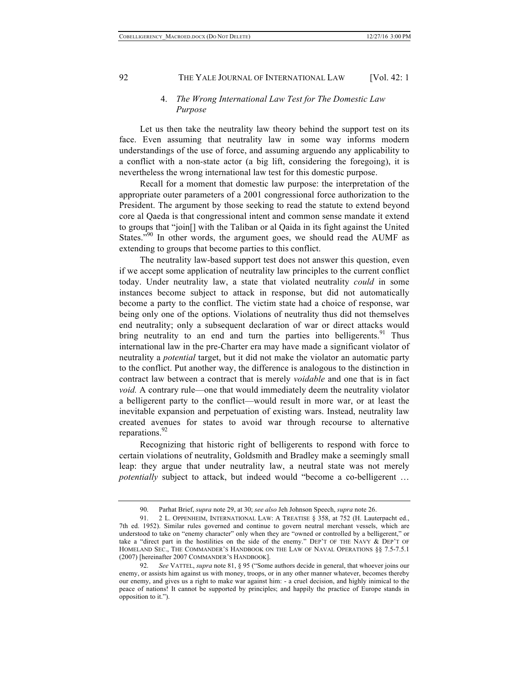# 4. *The Wrong International Law Test for The Domestic Law Purpose*

Let us then take the neutrality law theory behind the support test on its face. Even assuming that neutrality law in some way informs modern understandings of the use of force, and assuming arguendo any applicability to a conflict with a non-state actor (a big lift, considering the foregoing), it is nevertheless the wrong international law test for this domestic purpose.

Recall for a moment that domestic law purpose: the interpretation of the appropriate outer parameters of a 2001 congressional force authorization to the President. The argument by those seeking to read the statute to extend beyond core al Qaeda is that congressional intent and common sense mandate it extend to groups that "join[] with the Taliban or al Qaida in its fight against the United States."<sup>90</sup> In other words, the argument goes, we should read the AUMF as extending to groups that become parties to this conflict.

The neutrality law-based support test does not answer this question, even if we accept some application of neutrality law principles to the current conflict today. Under neutrality law, a state that violated neutrality *could* in some instances become subject to attack in response, but did not automatically become a party to the conflict. The victim state had a choice of response, war being only one of the options. Violations of neutrality thus did not themselves end neutrality; only a subsequent declaration of war or direct attacks would bring neutrality to an end and turn the parties into belligerents.<sup>91</sup> Thus international law in the pre-Charter era may have made a significant violator of neutrality a *potential* target, but it did not make the violator an automatic party to the conflict. Put another way, the difference is analogous to the distinction in contract law between a contract that is merely *voidable* and one that is in fact *void.* A contrary rule—one that would immediately deem the neutrality violator a belligerent party to the conflict—would result in more war, or at least the inevitable expansion and perpetuation of existing wars. Instead, neutrality law created avenues for states to avoid war through recourse to alternative reparations.<sup>92</sup>

Recognizing that historic right of belligerents to respond with force to certain violations of neutrality, Goldsmith and Bradley make a seemingly small leap: they argue that under neutrality law, a neutral state was not merely *potentially* subject to attack, but indeed would "become a co-belligerent ...

<sup>90.</sup> Parhat Brief, *supra* note 29, at 30; *see also* Jeh Johnson Speech, *supra* note 26.

<sup>91.</sup> 2 L. OPPENHEIM, INTERNATIONAL LAW: A TREATISE § 358, at 752 (H. Lauterpacht ed., 7th ed. 1952). Similar rules governed and continue to govern neutral merchant vessels, which are understood to take on "enemy character" only when they are "owned or controlled by a belligerent," or take a "direct part in the hostilities on the side of the enemy." DEP'T OF THE NAVY & DEP'T OF HOMELAND SEC., THE COMMANDER'S HANDBOOK ON THE LAW OF NAVAL OPERATIONS §§ 7.5-7.5.1 (2007) [hereinafter 2007 COMMANDER'S HANDBOOK].

<sup>92.</sup> *See* VATTEL, *supra* note 81, § 95 ("Some authors decide in general, that whoever joins our enemy, or assists him against us with money, troops, or in any other manner whatever, becomes thereby our enemy, and gives us a right to make war against him: - a cruel decision, and highly inimical to the peace of nations! It cannot be supported by principles; and happily the practice of Europe stands in opposition to it.").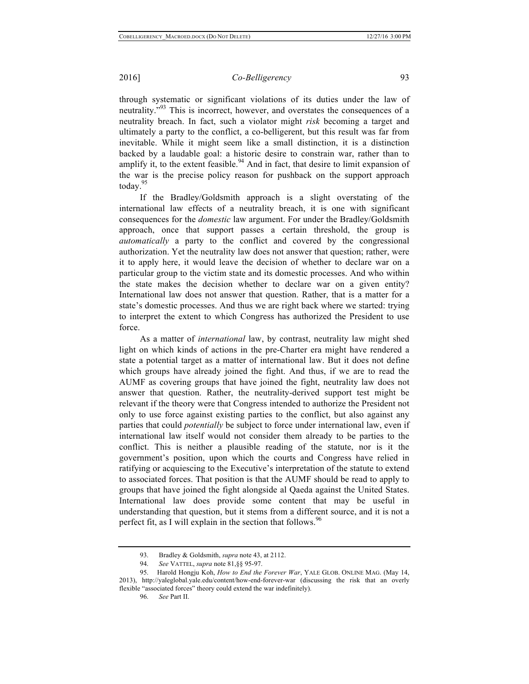through systematic or significant violations of its duties under the law of neutrality."<sup>93</sup> This is incorrect, however, and overstates the consequences of a neutrality breach. In fact, such a violator might *risk* becoming a target and ultimately a party to the conflict, a co-belligerent, but this result was far from inevitable. While it might seem like a small distinction, it is a distinction backed by a laudable goal: a historic desire to constrain war, rather than to amplify it, to the extent feasible.<sup>94</sup> And in fact, that desire to limit expansion of the war is the precise policy reason for pushback on the support approach today.<sup>95</sup>

If the Bradley/Goldsmith approach is a slight overstating of the international law effects of a neutrality breach, it is one with significant consequences for the *domestic* law argument. For under the Bradley/Goldsmith approach, once that support passes a certain threshold, the group is *automatically* a party to the conflict and covered by the congressional authorization. Yet the neutrality law does not answer that question; rather, were it to apply here, it would leave the decision of whether to declare war on a particular group to the victim state and its domestic processes. And who within the state makes the decision whether to declare war on a given entity? International law does not answer that question. Rather, that is a matter for a state's domestic processes. And thus we are right back where we started: trying to interpret the extent to which Congress has authorized the President to use force.

As a matter of *international* law, by contrast, neutrality law might shed light on which kinds of actions in the pre-Charter era might have rendered a state a potential target as a matter of international law. But it does not define which groups have already joined the fight. And thus, if we are to read the AUMF as covering groups that have joined the fight, neutrality law does not answer that question. Rather, the neutrality-derived support test might be relevant if the theory were that Congress intended to authorize the President not only to use force against existing parties to the conflict, but also against any parties that could *potentially* be subject to force under international law, even if international law itself would not consider them already to be parties to the conflict. This is neither a plausible reading of the statute, nor is it the government's position, upon which the courts and Congress have relied in ratifying or acquiescing to the Executive's interpretation of the statute to extend to associated forces. That position is that the AUMF should be read to apply to groups that have joined the fight alongside al Qaeda against the United States. International law does provide some content that may be useful in understanding that question, but it stems from a different source, and it is not a perfect fit, as I will explain in the section that follows.  $96$ 

<sup>93.</sup> Bradley & Goldsmith, *supra* note 43, at 2112.

<sup>94.</sup> *See* VATTEL, *supra* note 81,§§ 95-97.

<sup>95.</sup> Harold Hongju Koh, *How to End the Forever War*, YALE GLOB. ONLINE MAG. (May 14, 2013), http://yaleglobal.yale.edu/content/how-end-forever-war (discussing the risk that an overly flexible "associated forces" theory could extend the war indefinitely).

<sup>96.</sup> *See* Part II.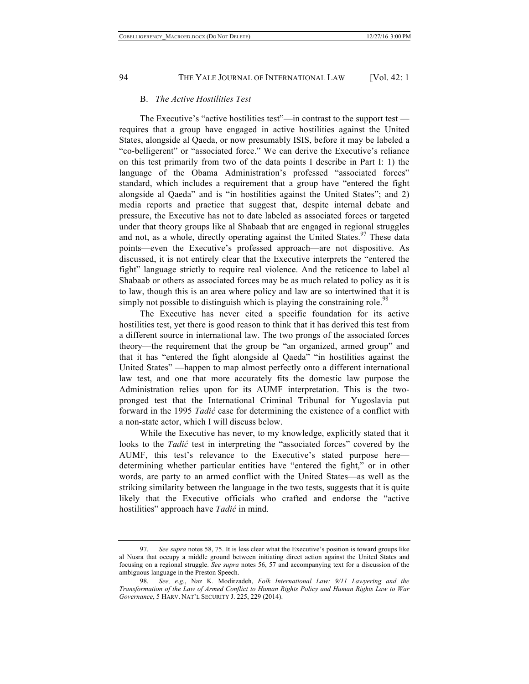# B. *The Active Hostilities Test*

The Executive's "active hostilities test"—in contrast to the support test requires that a group have engaged in active hostilities against the United States, alongside al Qaeda, or now presumably ISIS, before it may be labeled a "co-belligerent" or "associated force." We can derive the Executive's reliance on this test primarily from two of the data points I describe in Part I: 1) the language of the Obama Administration's professed "associated forces" standard, which includes a requirement that a group have "entered the fight alongside al Qaeda" and is "in hostilities against the United States"; and 2) media reports and practice that suggest that, despite internal debate and pressure, the Executive has not to date labeled as associated forces or targeted under that theory groups like al Shabaab that are engaged in regional struggles and not, as a whole, directly operating against the United States.  $97$  These data points—even the Executive's professed approach—are not dispositive. As discussed, it is not entirely clear that the Executive interprets the "entered the fight" language strictly to require real violence. And the reticence to label al Shabaab or others as associated forces may be as much related to policy as it is to law, though this is an area where policy and law are so intertwined that it is simply not possible to distinguish which is playing the constraining role.<sup>98</sup>

The Executive has never cited a specific foundation for its active hostilities test, yet there is good reason to think that it has derived this test from a different source in international law. The two prongs of the associated forces theory—the requirement that the group be "an organized, armed group" and that it has "entered the fight alongside al Qaeda" "in hostilities against the United States" —happen to map almost perfectly onto a different international law test, and one that more accurately fits the domestic law purpose the Administration relies upon for its AUMF interpretation. This is the twopronged test that the International Criminal Tribunal for Yugoslavia put forward in the 1995 *Tadić* case for determining the existence of a conflict with a non-state actor, which I will discuss below.

While the Executive has never, to my knowledge, explicitly stated that it looks to the *Tadić* test in interpreting the "associated forces" covered by the AUMF, this test's relevance to the Executive's stated purpose here determining whether particular entities have "entered the fight," or in other words, are party to an armed conflict with the United States—as well as the striking similarity between the language in the two tests, suggests that it is quite likely that the Executive officials who crafted and endorse the "active hostilities" approach have *Tadić* in mind.

<sup>97.</sup> *See supra* notes 58, 75. It is less clear what the Executive's position is toward groups like al Nusra that occupy a middle ground between initiating direct action against the United States and focusing on a regional struggle. *See supra* notes 56, 57 and accompanying text for a discussion of the ambiguous language in the Preston Speech.

<sup>98.</sup> *See, e.g.*, Naz K. Modirzadeh, *Folk International Law: 9/11 Lawyering and the Transformation of the Law of Armed Conflict to Human Rights Policy and Human Rights Law to War Governance*, 5 HARV. NAT'L SECURITY J. 225, 229 (2014).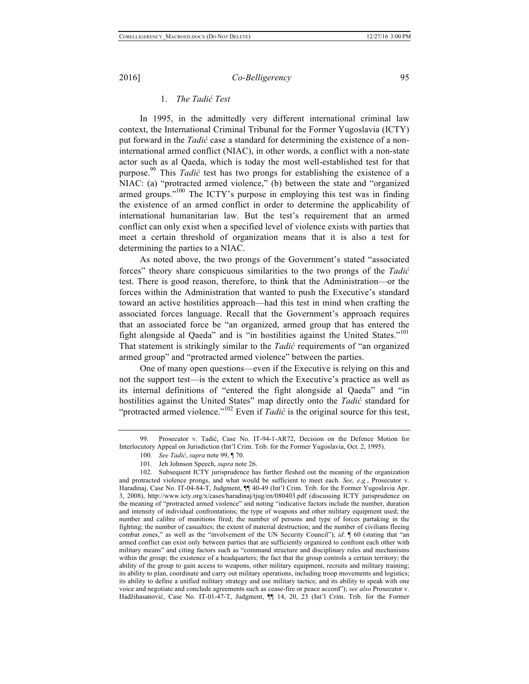# 1. *The Tadić Test*

In 1995, in the admittedly very different international criminal law context, the International Criminal Tribunal for the Former Yugoslavia (ICTY) put forward in the *Tadić* case a standard for determining the existence of a noninternational armed conflict (NIAC), in other words, a conflict with a non-state actor such as al Qaeda, which is today the most well-established test for that purpose. <sup>99</sup> This *Tadić* test has two prongs for establishing the existence of a NIAC: (a) "protracted armed violence," (b) between the state and "organized armed groups."<sup>100</sup> The ICTY's purpose in employing this test was in finding the existence of an armed conflict in order to determine the applicability of international humanitarian law. But the test's requirement that an armed conflict can only exist when a specified level of violence exists with parties that meet a certain threshold of organization means that it is also a test for determining the parties to a NIAC.

As noted above, the two prongs of the Government's stated "associated forces" theory share conspicuous similarities to the two prongs of the *Tadić* test. There is good reason, therefore, to think that the Administration—or the forces within the Administration that wanted to push the Executive's standard toward an active hostilities approach—had this test in mind when crafting the associated forces language. Recall that the Government's approach requires that an associated force be "an organized, armed group that has entered the fight alongside al Qaeda" and is "in hostilities against the United States."<sup>101</sup> That statement is strikingly similar to the *Tadić* requirements of "an organized armed group" and "protracted armed violence" between the parties.

One of many open questions—even if the Executive is relying on this and not the support test—is the extent to which the Executive's practice as well as its internal definitions of "entered the fight alongside al Qaeda" and "in hostilities against the United States" map directly onto the *Tadić* standard for "protracted armed violence."<sup>102</sup> Even if *Tadić* is the original source for this test,

<sup>99.</sup> Prosecutor v. Tadić, Case No. IT-94-1-AR72, Decision on the Defence Motion for Interlocutory Appeal on Jurisdiction (Int'l Crim. Trib. for the Former Yugoslavia, Oct. 2, 1995).

<sup>100.</sup> *See Tadić*, *supra* note 99, ¶ 70.

<sup>101.</sup> Jeh Johnson Speech, *supra* note 26.

<sup>102.</sup> Subsequent ICTY jurisprudence has further fleshed out the meaning of the organization and protracted violence prongs, and what would be sufficient to meet each. *See, e.g.*, Prosecutor v. Haradinaj, Case No. IT-04-84-T, Judgment, ¶¶ 40-49 (Int'l Crim. Trib. for the Former Yugoslavia Apr. 3, 2008), http://www.icty.org/x/cases/haradinaj/tjug/en/080403.pdf (discussing ICTY jurisprudence on the meaning of "protracted armed violence" and noting "indicative factors include the number, duration and intensity of individual confrontations; the type of weapons and other military equipment used; the number and calibre of munitions fired; the number of persons and type of forces partaking in the fighting; the number of casualties; the extent of material destruction; and the number of civilians fleeing combat zones," as well as the "involvement of the UN Security Council"); *id*.  $\sqrt{ }$  60 (stating that "an armed conflict can exist only between parties that are sufficiently organized to confront each other with military means" and citing factors such as "command structure and disciplinary rules and mechanisms within the group; the existence of a headquarters; the fact that the group controls a certain territory; the ability of the group to gain access to weapons, other military equipment, recruits and military training; its ability to plan, coordinate and carry out military operations, including troop movements and logistics; its ability to define a unified military strategy and use military tactics; and its ability to speak with one voice and negotiate and conclude agreements such as cease-fire or peace accord"); *see also* Prosecutor v. Hadžihasanović, Case No. IT-01-47-T, Judgment, ¶¶ 14, 20, 23 (Int'l Crim. Trib. for the Former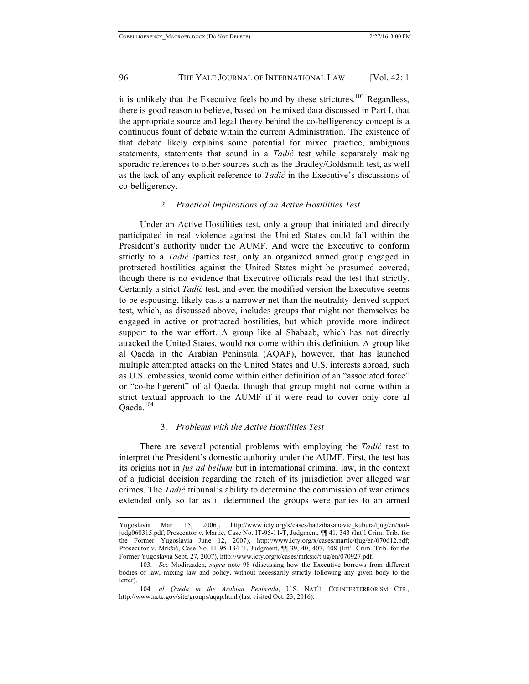it is unlikely that the Executive feels bound by these strictures.<sup>103</sup> Regardless, there is good reason to believe, based on the mixed data discussed in Part I, that the appropriate source and legal theory behind the co-belligerency concept is a continuous fount of debate within the current Administration. The existence of that debate likely explains some potential for mixed practice, ambiguous statements, statements that sound in a *Tadić* test while separately making sporadic references to other sources such as the Bradley/Goldsmith test, as well as the lack of any explicit reference to *Tadić* in the Executive's discussions of co-belligerency.

#### 2. *Practical Implications of an Active Hostilities Test*

Under an Active Hostilities test, only a group that initiated and directly participated in real violence against the United States could fall within the President's authority under the AUMF. And were the Executive to conform strictly to a *Tadić* /parties test, only an organized armed group engaged in protracted hostilities against the United States might be presumed covered, though there is no evidence that Executive officials read the test that strictly. Certainly a strict *Tadić* test, and even the modified version the Executive seems to be espousing, likely casts a narrower net than the neutrality-derived support test, which, as discussed above, includes groups that might not themselves be engaged in active or protracted hostilities, but which provide more indirect support to the war effort. A group like al Shabaab, which has not directly attacked the United States, would not come within this definition. A group like al Qaeda in the Arabian Peninsula (AQAP), however, that has launched multiple attempted attacks on the United States and U.S. interests abroad, such as U.S. embassies, would come within either definition of an "associated force" or "co-belligerent" of al Qaeda, though that group might not come within a strict textual approach to the AUMF if it were read to cover only core al Qaeda.<sup>104</sup>

# 3. *Problems with the Active Hostilities Test*

There are several potential problems with employing the *Tadić* test to interpret the President's domestic authority under the AUMF. First, the test has its origins not in *jus ad bellum* but in international criminal law, in the context of a judicial decision regarding the reach of its jurisdiction over alleged war crimes. The *Tadić* tribunal's ability to determine the commission of war crimes extended only so far as it determined the groups were parties to an armed

Yugoslavia Mar. 15, 2006), http://www.icty.org/x/cases/hadzihasanovic\_kubura/tjug/en/hadjudg060315.pdf; Prosecutor v. Martić, Case No. IT-95-11-T, Judgment, ¶¶ 41, 343 (Int'l Crim. Trib. for the Former Yugoslavia June 12, 2007), http://www.icty.org/x/cases/martic/tjug/en/070612.pdf; Prosecutor v. Mrkšić, Case No. IT-95-13/I-T, Judgment, ¶¶ 39, 40, 407, 408 (Int'l Crim. Trib. for the Former Yugoslavia Sept. 27, 2007), http://www.icty.org/x/cases/mrksic/tjug/en/070927.pdf.

<sup>103.</sup> *See* Modirzadeh, *supra* note 98 (discussing how the Executive borrows from different bodies of law, mixing law and policy, without necessarily strictly following any given body to the letter).

<sup>104.</sup> *al Qaeda in the Arabian Peninsula*, U.S. NAT'L COUNTERTERRORISM CTR., http://www.nctc.gov/site/groups/aqap.html (last visited Oct. 23, 2016).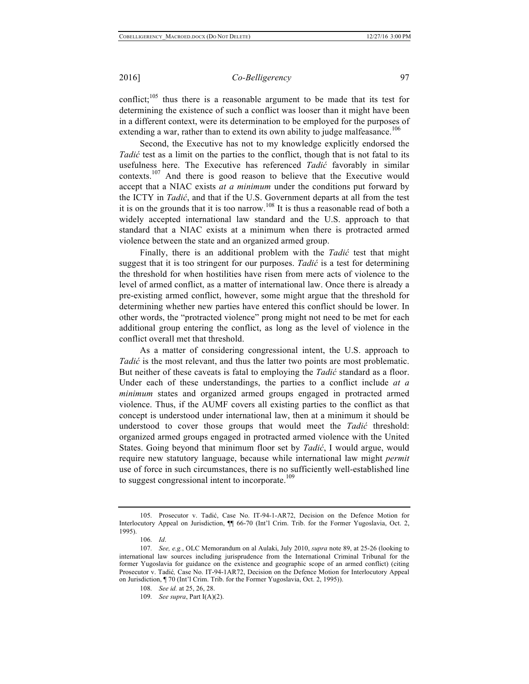conflict;  $^{105}$  thus there is a reasonable argument to be made that its test for determining the existence of such a conflict was looser than it might have been in a different context, were its determination to be employed for the purposes of extending a war, rather than to extend its own ability to judge malfeasance.<sup>106</sup>

Second, the Executive has not to my knowledge explicitly endorsed the *Tadić* test as a limit on the parties to the conflict, though that is not fatal to its usefulness here. The Executive has referenced *Tadić* favorably in similar contexts.<sup>107</sup> And there is good reason to believe that the Executive would accept that a NIAC exists *at a minimum* under the conditions put forward by the ICTY in *Tadić*, and that if the U.S. Government departs at all from the test it is on the grounds that it is too narrow.<sup>108</sup> It is thus a reasonable read of both a widely accepted international law standard and the U.S. approach to that standard that a NIAC exists at a minimum when there is protracted armed violence between the state and an organized armed group.

Finally, there is an additional problem with the *Tadić* test that might suggest that it is too stringent for our purposes. *Tadić* is a test for determining the threshold for when hostilities have risen from mere acts of violence to the level of armed conflict, as a matter of international law. Once there is already a pre-existing armed conflict, however, some might argue that the threshold for determining whether new parties have entered this conflict should be lower. In other words, the "protracted violence" prong might not need to be met for each additional group entering the conflict, as long as the level of violence in the conflict overall met that threshold.

As a matter of considering congressional intent, the U.S. approach to *Tadić* is the most relevant, and thus the latter two points are most problematic. But neither of these caveats is fatal to employing the *Tadić* standard as a floor. Under each of these understandings, the parties to a conflict include *at a minimum* states and organized armed groups engaged in protracted armed violence. Thus, if the AUMF covers all existing parties to the conflict as that concept is understood under international law, then at a minimum it should be understood to cover those groups that would meet the *Tadić* threshold: organized armed groups engaged in protracted armed violence with the United States. Going beyond that minimum floor set by *Tadić*, I would argue, would require new statutory language, because while international law might *permit* use of force in such circumstances, there is no sufficiently well-established line to suggest congressional intent to incorporate.<sup>109</sup>

<sup>105.</sup> Prosecutor v. Tadić, Case No. IT-94-1-AR72, Decision on the Defence Motion for Interlocutory Appeal on Jurisdiction,  $\P$  66-70 (Int'l Crim. Trib. for the Former Yugoslavia, Oct. 2, 1995).

<sup>106.</sup> *Id*.

<sup>107.</sup> *See, e.g.*, OLC Memorandum on al Aulaki, July 2010, *supra* note 89, at 25-26 (looking to international law sources including jurisprudence from the International Criminal Tribunal for the former Yugoslavia for guidance on the existence and geographic scope of an armed conflict) (citing Prosecutor v. Tadić*,* Case No. IT-94-1AR72, Decision on the Defence Motion for Interlocutory Appeal on Jurisdiction, ¶ 70 (Int'l Crim. Trib. for the Former Yugoslavia, Oct. 2, 1995)).

<sup>108.</sup> *See id.* at 25, 26, 28.

<sup>109.</sup> *See supra*, Part I(A)(2).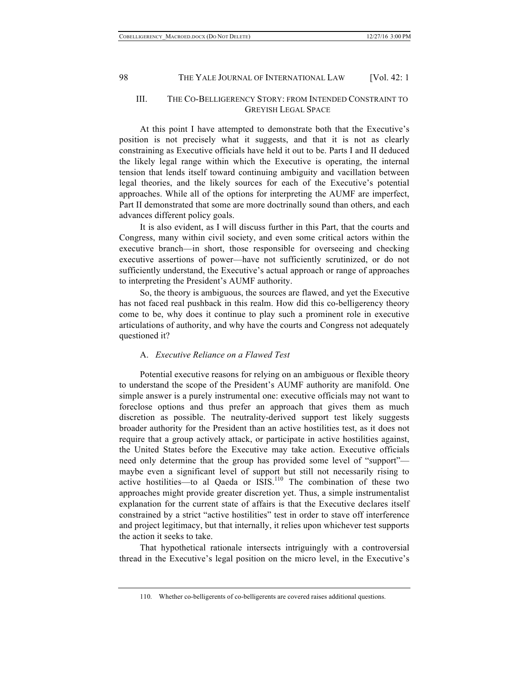# III. THE CO-BELLIGERENCY STORY: FROM INTENDED CONSTRAINT TO GREYISH LEGAL SPACE

At this point I have attempted to demonstrate both that the Executive's position is not precisely what it suggests, and that it is not as clearly constraining as Executive officials have held it out to be. Parts I and II deduced the likely legal range within which the Executive is operating, the internal tension that lends itself toward continuing ambiguity and vacillation between legal theories, and the likely sources for each of the Executive's potential approaches. While all of the options for interpreting the AUMF are imperfect, Part II demonstrated that some are more doctrinally sound than others, and each advances different policy goals.

It is also evident, as I will discuss further in this Part, that the courts and Congress, many within civil society, and even some critical actors within the executive branch—in short, those responsible for overseeing and checking executive assertions of power—have not sufficiently scrutinized, or do not sufficiently understand, the Executive's actual approach or range of approaches to interpreting the President's AUMF authority.

So, the theory is ambiguous, the sources are flawed, and yet the Executive has not faced real pushback in this realm. How did this co-belligerency theory come to be, why does it continue to play such a prominent role in executive articulations of authority, and why have the courts and Congress not adequately questioned it?

### A. *Executive Reliance on a Flawed Test*

Potential executive reasons for relying on an ambiguous or flexible theory to understand the scope of the President's AUMF authority are manifold. One simple answer is a purely instrumental one: executive officials may not want to foreclose options and thus prefer an approach that gives them as much discretion as possible. The neutrality-derived support test likely suggests broader authority for the President than an active hostilities test, as it does not require that a group actively attack, or participate in active hostilities against, the United States before the Executive may take action. Executive officials need only determine that the group has provided some level of "support" maybe even a significant level of support but still not necessarily rising to active hostilities—to al Qaeda or  $ISIS$ <sup>110</sup>. The combination of these two approaches might provide greater discretion yet. Thus, a simple instrumentalist explanation for the current state of affairs is that the Executive declares itself constrained by a strict "active hostilities" test in order to stave off interference and project legitimacy, but that internally, it relies upon whichever test supports the action it seeks to take.

That hypothetical rationale intersects intriguingly with a controversial thread in the Executive's legal position on the micro level, in the Executive's

<sup>110.</sup> Whether co-belligerents of co-belligerents are covered raises additional questions.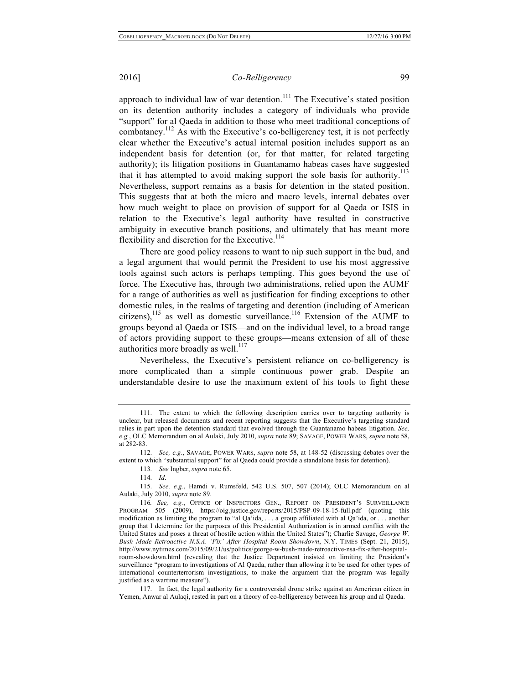approach to individual law of war detention.<sup>111</sup> The Executive's stated position on its detention authority includes a category of individuals who provide "support" for al Qaeda in addition to those who meet traditional conceptions of combatancy.<sup>112</sup> As with the Executive's co-belligerency test, it is not perfectly clear whether the Executive's actual internal position includes support as an independent basis for detention (or, for that matter, for related targeting authority); its litigation positions in Guantanamo habeas cases have suggested that it has attempted to avoid making support the sole basis for authority.<sup>113</sup> Nevertheless, support remains as a basis for detention in the stated position. This suggests that at both the micro and macro levels, internal debates over how much weight to place on provision of support for al Qaeda or ISIS in relation to the Executive's legal authority have resulted in constructive ambiguity in executive branch positions, and ultimately that has meant more flexibility and discretion for the Executive.<sup>114</sup>

There are good policy reasons to want to nip such support in the bud, and a legal argument that would permit the President to use his most aggressive tools against such actors is perhaps tempting. This goes beyond the use of force. The Executive has, through two administrations, relied upon the AUMF for a range of authorities as well as justification for finding exceptions to other domestic rules, in the realms of targeting and detention (including of American citizens),<sup>115</sup> as well as domestic surveillance.<sup>116</sup> Extension of the AUMF to groups beyond al Qaeda or ISIS—and on the individual level, to a broad range of actors providing support to these groups—means extension of all of these authorities more broadly as well. $^{117}$ 

Nevertheless, the Executive's persistent reliance on co-belligerency is more complicated than a simple continuous power grab. Despite an understandable desire to use the maximum extent of his tools to fight these

117. In fact, the legal authority for a controversial drone strike against an American citizen in Yemen, Anwar al Aulaqi, rested in part on a theory of co-belligerency between his group and al Qaeda.

<sup>111.</sup> The extent to which the following description carries over to targeting authority is unclear, but released documents and recent reporting suggests that the Executive's targeting standard relies in part upon the detention standard that evolved through the Guantanamo habeas litigation. *See, e.g.*, OLC Memorandum on al Aulaki, July 2010, *supra* note 89; SAVAGE, POWER WARS, *supra* note 58, at 282-83.

<sup>112.</sup> *See, e.g.*, SAVAGE, POWER WARS, *supra* note 58, at 148-52 (discussing debates over the extent to which "substantial support" for al Qaeda could provide a standalone basis for detention).

<sup>113.</sup> *See* Ingber, *supra* note 65.

<sup>114.</sup> *Id*.

<sup>115.</sup> *See, e.g.*, Hamdi v. Rumsfeld, 542 U.S. 507, 507 (2014); OLC Memorandum on al Aulaki, July 2010, *supra* note 89.

<sup>116</sup>*. See, e.g.*, OFFICE OF INSPECTORS GEN., REPORT ON PRESIDENT'S SURVEILLANCE PROGRAM 505 (2009), https://oig.justice.gov/reports/2015/PSP-09-18-15-full.pdf (quoting this modification as limiting the program to "al Qa'ida, . . . a group affiliated with al Qa'ida, or . . . another group that I determine for the purposes of this Presidential Authorization is in armed conflict with the United States and poses a threat of hostile action within the United States"); Charlie Savage, *George W. Bush Made Retroactive N.S.A. 'Fix' After Hospital Room Showdown*, N.Y. TIMES (Sept. 21, 2015), http://www.nytimes.com/2015/09/21/us/politics/george-w-bush-made-retroactive-nsa-fix-after-hospitalroom-showdown.html (revealing that the Justice Department insisted on limiting the President's surveillance "program to investigations of Al Qaeda, rather than allowing it to be used for other types of international counterterrorism investigations, to make the argument that the program was legally justified as a wartime measure").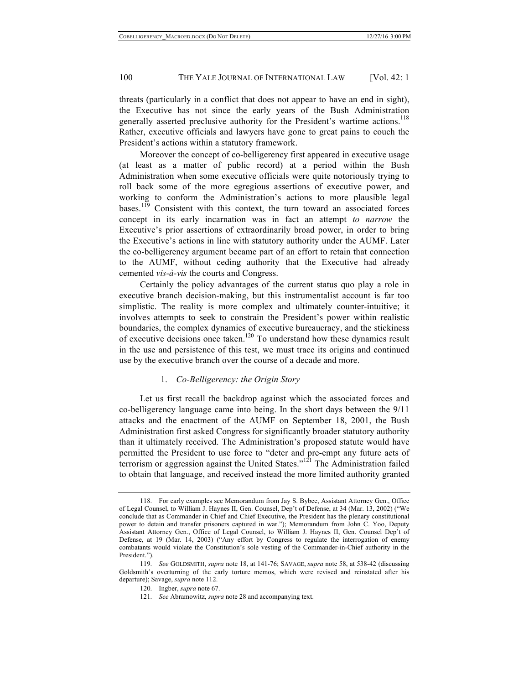threats (particularly in a conflict that does not appear to have an end in sight), the Executive has not since the early years of the Bush Administration generally asserted preclusive authority for the President's wartime actions.<sup>118</sup> Rather, executive officials and lawyers have gone to great pains to couch the President's actions within a statutory framework.

Moreover the concept of co-belligerency first appeared in executive usage (at least as a matter of public record) at a period within the Bush Administration when some executive officials were quite notoriously trying to roll back some of the more egregious assertions of executive power, and working to conform the Administration's actions to more plausible legal bases.<sup>119</sup> Consistent with this context, the turn toward an associated forces concept in its early incarnation was in fact an attempt *to narrow* the Executive's prior assertions of extraordinarily broad power, in order to bring the Executive's actions in line with statutory authority under the AUMF. Later the co-belligerency argument became part of an effort to retain that connection to the AUMF, without ceding authority that the Executive had already cemented *vis-à-vis* the courts and Congress.

Certainly the policy advantages of the current status quo play a role in executive branch decision-making, but this instrumentalist account is far too simplistic. The reality is more complex and ultimately counter-intuitive; it involves attempts to seek to constrain the President's power within realistic boundaries, the complex dynamics of executive bureaucracy, and the stickiness of executive decisions once taken.120 To understand how these dynamics result in the use and persistence of this test, we must trace its origins and continued use by the executive branch over the course of a decade and more.

# 1. *Co-Belligerency: the Origin Story*

Let us first recall the backdrop against which the associated forces and co-belligerency language came into being. In the short days between the 9/11 attacks and the enactment of the AUMF on September 18, 2001, the Bush Administration first asked Congress for significantly broader statutory authority than it ultimately received. The Administration's proposed statute would have permitted the President to use force to "deter and pre-empt any future acts of terrorism or aggression against the United States."<sup>121</sup> The Administration failed to obtain that language, and received instead the more limited authority granted

<sup>118.</sup> For early examples see Memorandum from Jay S. Bybee, Assistant Attorney Gen., Office of Legal Counsel, to William J. Haynes II, Gen. Counsel, Dep't of Defense, at 34 (Mar. 13, 2002) ("We conclude that as Commander in Chief and Chief Executive, the President has the plenary constitutional power to detain and transfer prisoners captured in war."); Memorandum from John C. Yoo, Deputy Assistant Attorney Gen., Office of Legal Counsel, to William J. Haynes II, Gen. Counsel Dep't of Defense, at 19 (Mar. 14, 2003) ("Any effort by Congress to regulate the interrogation of enemy combatants would violate the Constitution's sole vesting of the Commander-in-Chief authority in the President.")

<sup>119.</sup> *See* GOLDSMITH, *supra* note 18, at 141-76; SAVAGE, *supra* note 58, at 538-42 (discussing Goldsmith's overturning of the early torture memos, which were revised and reinstated after his departure); Savage, *supra* note 112.

<sup>120.</sup> Ingber, *supra* note 67.

<sup>121.</sup> *See* Abramowitz, *supra* note 28 and accompanying text.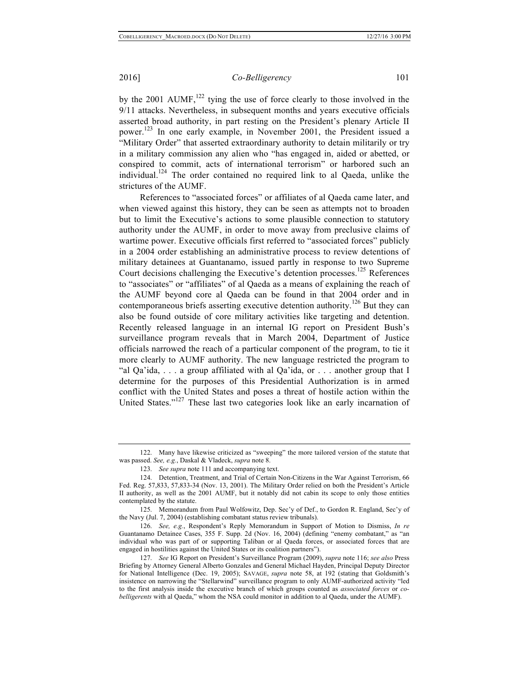by the 2001 AUMF, $^{122}$  tying the use of force clearly to those involved in the 9/11 attacks. Nevertheless, in subsequent months and years executive officials asserted broad authority, in part resting on the President's plenary Article II power. <sup>123</sup> In one early example, in November 2001, the President issued a "Military Order" that asserted extraordinary authority to detain militarily or try in a military commission any alien who "has engaged in, aided or abetted, or conspired to commit, acts of international terrorism" or harbored such an individual.<sup>124</sup> The order contained no required link to al Qaeda, unlike the strictures of the AUMF.

References to "associated forces" or affiliates of al Qaeda came later, and when viewed against this history, they can be seen as attempts not to broaden but to limit the Executive's actions to some plausible connection to statutory authority under the AUMF, in order to move away from preclusive claims of wartime power. Executive officials first referred to "associated forces" publicly in a 2004 order establishing an administrative process to review detentions of military detainees at Guantanamo, issued partly in response to two Supreme Court decisions challenging the Executive's detention processes.<sup>125</sup> References to "associates" or "affiliates" of al Qaeda as a means of explaining the reach of the AUMF beyond core al Qaeda can be found in that 2004 order and in contemporaneous briefs asserting executive detention authority.<sup>126</sup> But they can also be found outside of core military activities like targeting and detention. Recently released language in an internal IG report on President Bush's surveillance program reveals that in March 2004, Department of Justice officials narrowed the reach of a particular component of the program, to tie it more clearly to AUMF authority. The new language restricted the program to "al Qa'ida, . . . a group affiliated with al Qa'ida, or . . . another group that I determine for the purposes of this Presidential Authorization is in armed conflict with the United States and poses a threat of hostile action within the United States."<sup>127</sup> These last two categories look like an early incarnation of

<sup>122.</sup> Many have likewise criticized as "sweeping" the more tailored version of the statute that was passed. *See, e.g.*, Daskal & Vladeck, *supra* note 8.

<sup>123.</sup> *See supra* note 111 and accompanying text.

<sup>124.</sup> Detention, Treatment, and Trial of Certain Non-Citizens in the War Against Terrorism, 66 Fed. Reg. 57,833, 57,833-34 (Nov. 13, 2001). The Military Order relied on both the President's Article II authority, as well as the 2001 AUMF, but it notably did not cabin its scope to only those entities contemplated by the statute.

<sup>125.</sup> Memorandum from Paul Wolfowitz, Dep. Sec'y of Def., to Gordon R. England, Sec'y of the Navy (Jul. 7, 2004) (establishing combatant status review tribunals).

<sup>126.</sup> *See, e.g.*, Respondent's Reply Memorandum in Support of Motion to Dismiss, *In re* Guantanamo Detainee Cases, 355 F. Supp. 2d (Nov. 16, 2004) (defining "enemy combatant," as "an individual who was part of or supporting Taliban or al Qaeda forces, or associated forces that are engaged in hostilities against the United States or its coalition partners").

<sup>127.</sup> *See* IG Report on President's Surveillance Program (2009), *supra* note 116; *see also* Press Briefing by Attorney General Alberto Gonzales and General Michael Hayden, Principal Deputy Director for National Intelligence (Dec. 19, 2005); SAVAGE, *supra* note 58, at 192 (stating that Goldsmith's insistence on narrowing the "Stellarwind" surveillance program to only AUMF-authorized activity "led to the first analysis inside the executive branch of which groups counted as *associated forces* or *cobelligerents* with al Qaeda," whom the NSA could monitor in addition to al Qaeda, under the AUMF).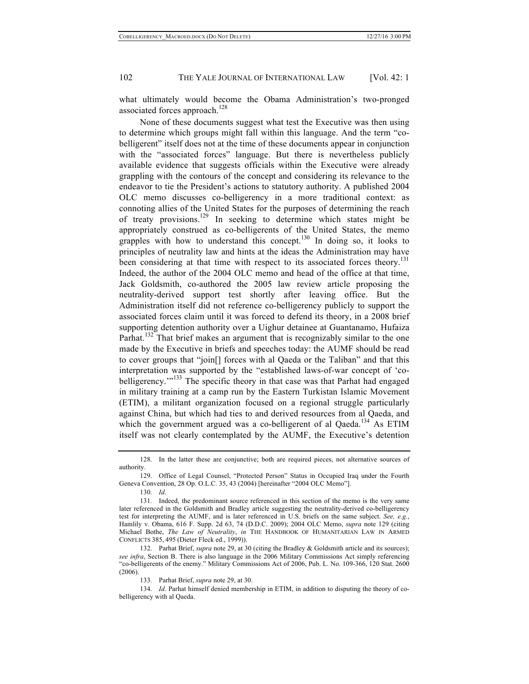what ultimately would become the Obama Administration's two-pronged associated forces approach.<sup>128</sup>

None of these documents suggest what test the Executive was then using to determine which groups might fall within this language. And the term "cobelligerent" itself does not at the time of these documents appear in conjunction with the "associated forces" language. But there is nevertheless publicly available evidence that suggests officials within the Executive were already grappling with the contours of the concept and considering its relevance to the endeavor to tie the President's actions to statutory authority. A published 2004 OLC memo discusses co-belligerency in a more traditional context: as connoting allies of the United States for the purposes of determining the reach of treaty provisions.<sup>129</sup> In seeking to determine which states might be appropriately construed as co-belligerents of the United States, the memo grapples with how to understand this concept.<sup>130</sup> In doing so, it looks to principles of neutrality law and hints at the ideas the Administration may have been considering at that time with respect to its associated forces theory.<sup>131</sup> Indeed, the author of the 2004 OLC memo and head of the office at that time, Jack Goldsmith, co-authored the 2005 law review article proposing the neutrality-derived support test shortly after leaving office. But the Administration itself did not reference co-belligerency publicly to support the associated forces claim until it was forced to defend its theory, in a 2008 brief supporting detention authority over a Uighur detainee at Guantanamo, Hufaiza Parhat.<sup>132</sup> That brief makes an argument that is recognizably similar to the one made by the Executive in briefs and speeches today: the AUMF should be read to cover groups that "join[] forces with al Qaeda or the Taliban" and that this interpretation was supported by the "established laws-of-war concept of 'cobelligerency."<sup>133</sup> The specific theory in that case was that Parhat had engaged in military training at a camp run by the Eastern Turkistan Islamic Movement (ETIM), a militant organization focused on a regional struggle particularly against China, but which had ties to and derived resources from al Qaeda, and which the government argued was a co-belligerent of al Qaeda.<sup>134</sup> As ETIM itself was not clearly contemplated by the AUMF, the Executive's detention

130. *Id*.

<sup>128.</sup> In the latter these are conjunctive; both are required pieces, not alternative sources of authority.

<sup>129.</sup> Office of Legal Counsel, "Protected Person" Status in Occupied Iraq under the Fourth Geneva Convention, 28 Op. O.L.C. 35, 43 (2004) [hereinafter "2004 OLC Memo"].

<sup>131.</sup> Indeed, the predominant source referenced in this section of the memo is the very same later referenced in the Goldsmith and Bradley article suggesting the neutrality-derived co-belligerency test for interpreting the AUMF, and is later referenced in U.S. briefs on the same subject. *See, e.g.*, Hamlily v. Obama, 616 F. Supp. 2d 63, 74 (D.D.C. 2009); 2004 OLC Memo, *supra* note 129 (citing Michael Bothe, *The Law of Neutrality*, *in* THE HANDBOOK OF HUMANITARIAN LAW IN ARMED CONFLICTS 385, 495 (Dieter Fleck ed., 1999)).

<sup>132.</sup> Parhat Brief, *supra* note 29, at 30 (citing the Bradley & Goldsmith article and its sources); *see infra*, Section B. There is also language in the 2006 Military Commissions Act simply referencing "co-belligerents of the enemy." Military Commissions Act of 2006, Pub. L. No. 109-366, 120 Stat. 2600 (2006).

<sup>133.</sup> Parhat Brief, *supra* note 29, at 30.

<sup>134.</sup> *Id*. Parhat himself denied membership in ETIM, in addition to disputing the theory of cobelligerency with al Qaeda.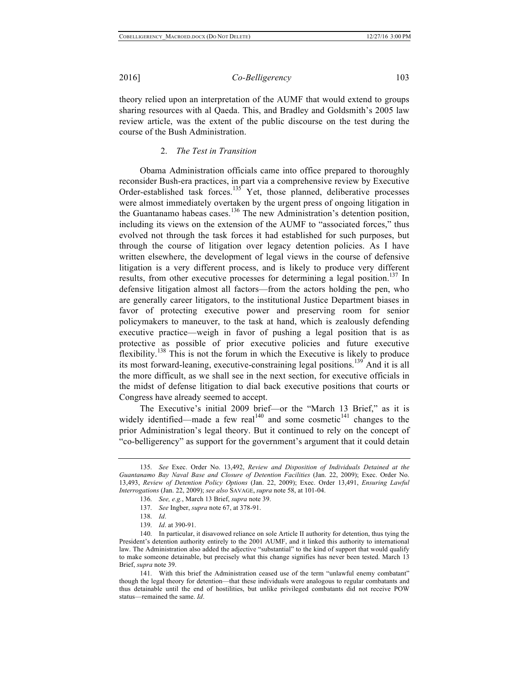theory relied upon an interpretation of the AUMF that would extend to groups sharing resources with al Qaeda. This, and Bradley and Goldsmith's 2005 law review article, was the extent of the public discourse on the test during the course of the Bush Administration.

### 2. *The Test in Transition*

Obama Administration officials came into office prepared to thoroughly reconsider Bush-era practices, in part via a comprehensive review by Executive Order-established task forces.<sup>135</sup> Yet, those planned, deliberative processes were almost immediately overtaken by the urgent press of ongoing litigation in the Guantanamo habeas cases.<sup>136</sup> The new Administration's detention position, including its views on the extension of the AUMF to "associated forces," thus evolved not through the task forces it had established for such purposes, but through the course of litigation over legacy detention policies. As I have written elsewhere, the development of legal views in the course of defensive litigation is a very different process, and is likely to produce very different results, from other executive processes for determining a legal position.<sup>137</sup> In defensive litigation almost all factors—from the actors holding the pen, who are generally career litigators, to the institutional Justice Department biases in favor of protecting executive power and preserving room for senior policymakers to maneuver, to the task at hand, which is zealously defending executive practice—weigh in favor of pushing a legal position that is as protective as possible of prior executive policies and future executive flexibility.<sup>138</sup> This is not the forum in which the Executive is likely to produce its most forward-leaning, executive-constraining legal positions.<sup>139</sup> And it is all the more difficult, as we shall see in the next section, for executive officials in the midst of defense litigation to dial back executive positions that courts or Congress have already seemed to accept.

The Executive's initial 2009 brief—or the "March 13 Brief," as it is widely identified—made a few real<sup>140</sup> and some cosmetic<sup>141</sup> changes to the prior Administration's legal theory. But it continued to rely on the concept of "co-belligerency" as support for the government's argument that it could detain

<sup>135.</sup> *See* Exec. Order No. 13,492, *Review and Disposition of Individuals Detained at the Guantanamo Bay Naval Base and Closure of Detention Facilities* (Jan. 22, 2009); Exec. Order No. 13,493, *Review of Detention Policy Options* (Jan. 22, 2009); Exec. Order 13,491, *Ensuring Lawful Interrogations* (Jan. 22, 2009); *see also* SAVAGE, *supra* note 58, at 101-04.

<sup>136.</sup> *See, e.g.*, March 13 Brief, *supra* note 39.

<sup>137.</sup> *See* Ingber, *supra* note 67, at 378-91.

<sup>138.</sup> *Id*.

<sup>139.</sup> *Id*. at 390-91.

<sup>140.</sup> In particular, it disavowed reliance on sole Article II authority for detention, thus tying the President's detention authority entirely to the 2001 AUMF, and it linked this authority to international law. The Administration also added the adjective "substantial" to the kind of support that would qualify to make someone detainable, but precisely what this change signifies has never been tested. March 13 Brief, *supra* note 39.

<sup>141.</sup> With this brief the Administration ceased use of the term "unlawful enemy combatant" though the legal theory for detention—that these individuals were analogous to regular combatants and thus detainable until the end of hostilities, but unlike privileged combatants did not receive POW status—remained the same. *Id*.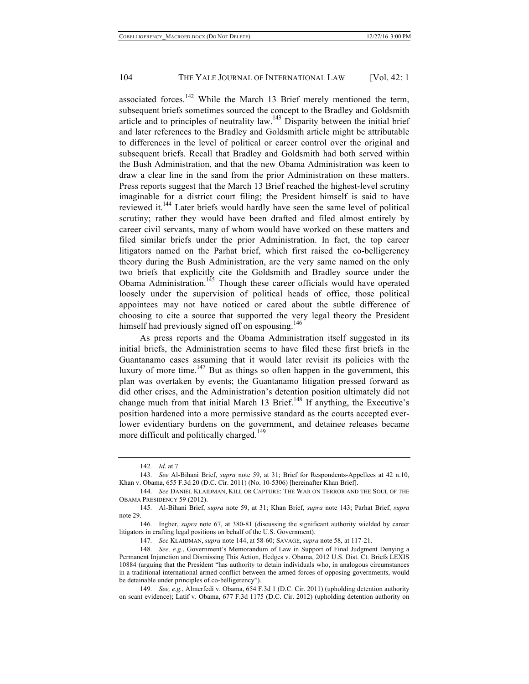associated forces.<sup>142</sup> While the March 13 Brief merely mentioned the term, subsequent briefs sometimes sourced the concept to the Bradley and Goldsmith article and to principles of neutrality law.<sup>143</sup> Disparity between the initial brief and later references to the Bradley and Goldsmith article might be attributable to differences in the level of political or career control over the original and subsequent briefs. Recall that Bradley and Goldsmith had both served within the Bush Administration, and that the new Obama Administration was keen to draw a clear line in the sand from the prior Administration on these matters. Press reports suggest that the March 13 Brief reached the highest-level scrutiny imaginable for a district court filing; the President himself is said to have reviewed it.144 Later briefs would hardly have seen the same level of political scrutiny; rather they would have been drafted and filed almost entirely by career civil servants, many of whom would have worked on these matters and filed similar briefs under the prior Administration. In fact, the top career litigators named on the Parhat brief, which first raised the co-belligerency theory during the Bush Administration, are the very same named on the only two briefs that explicitly cite the Goldsmith and Bradley source under the Obama Administration.<sup>145</sup> Though these career officials would have operated loosely under the supervision of political heads of office, those political appointees may not have noticed or cared about the subtle difference of choosing to cite a source that supported the very legal theory the President himself had previously signed off on espousing.<sup>146</sup>

As press reports and the Obama Administration itself suggested in its initial briefs, the Administration seems to have filed these first briefs in the Guantanamo cases assuming that it would later revisit its policies with the luxury of more time.<sup>147</sup> But as things so often happen in the government, this plan was overtaken by events; the Guantanamo litigation pressed forward as did other crises, and the Administration's detention position ultimately did not change much from that initial March 13 Brief.<sup>148</sup> If anything, the Executive's position hardened into a more permissive standard as the courts accepted everlower evidentiary burdens on the government, and detainee releases became more difficult and politically charged.<sup>149</sup>

147. *See* KLAIDMAN, *supra* note 144, at 58-60; SAVAGE, *supra* note 58, at 117-21.

148. *See, e.g.*, Government's Memorandum of Law in Support of Final Judgment Denying a Permanent Injunction and Dismissing This Action, Hedges v. Obama, 2012 U.S. Dist. Ct. Briefs LEXIS 10884 (arguing that the President "has authority to detain individuals who, in analogous circumstances in a traditional international armed conflict between the armed forces of opposing governments, would be detainable under principles of co-belligerency").

149. *See, e.g.*, Almerfedi v. Obama, 654 F.3d 1 (D.C. Cir. 2011) (upholding detention authority on scant evidence); Latif v. Obama, 677 F.3d 1175 (D.C. Cir. 2012) (upholding detention authority on

<sup>142.</sup> *Id*. at 7.

<sup>143.</sup> *See* Al-Bihani Brief, *supra* note 59, at 31; Brief for Respondents-Appellees at 42 n.10, Khan v. Obama, 655 F.3d 20 (D.C. Cir. 2011) (No. 10-5306) [hereinafter Khan Brief].

<sup>144.</sup> *See* DANIEL KLAIDMAN, KILL OR CAPTURE: THE WAR ON TERROR AND THE SOUL OF THE OBAMA PRESIDENCY 59 (2012).

<sup>145.</sup> Al-Bihani Brief, *supra* note 59, at 31; Khan Brief, *supra* note 143; Parhat Brief, *supra* note 29.

<sup>146.</sup> Ingber, *supra* note 67, at 380-81 (discussing the significant authority wielded by career litigators in crafting legal positions on behalf of the U.S. Government).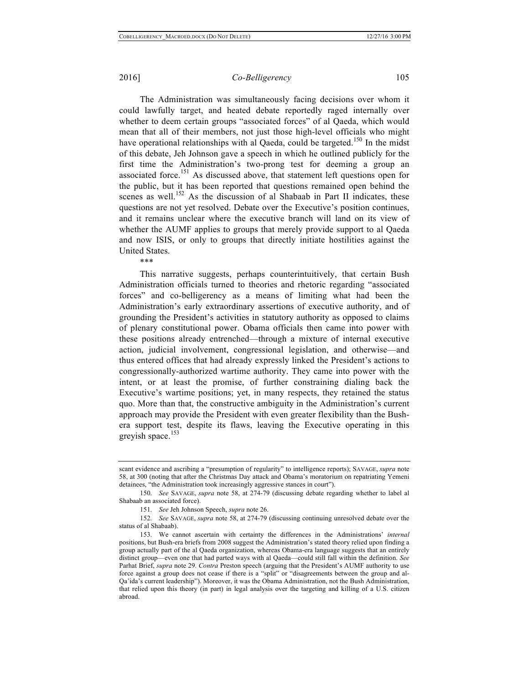The Administration was simultaneously facing decisions over whom it could lawfully target, and heated debate reportedly raged internally over whether to deem certain groups "associated forces" of al Qaeda, which would mean that all of their members, not just those high-level officials who might have operational relationships with al Qaeda, could be targeted.<sup>150</sup> In the midst of this debate, Jeh Johnson gave a speech in which he outlined publicly for the first time the Administration's two-prong test for deeming a group an associated force.<sup>151</sup> As discussed above, that statement left questions open for the public, but it has been reported that questions remained open behind the scenes as well.<sup>152</sup> As the discussion of al Shabaab in Part II indicates, these questions are not yet resolved. Debate over the Executive's position continues, and it remains unclear where the executive branch will land on its view of whether the AUMF applies to groups that merely provide support to al Qaeda and now ISIS, or only to groups that directly initiate hostilities against the United States.

\*\*\*

This narrative suggests, perhaps counterintuitively, that certain Bush Administration officials turned to theories and rhetoric regarding "associated forces" and co-belligerency as a means of limiting what had been the Administration's early extraordinary assertions of executive authority, and of grounding the President's activities in statutory authority as opposed to claims of plenary constitutional power. Obama officials then came into power with these positions already entrenched—through a mixture of internal executive action, judicial involvement, congressional legislation, and otherwise—and thus entered offices that had already expressly linked the President's actions to congressionally-authorized wartime authority. They came into power with the intent, or at least the promise, of further constraining dialing back the Executive's wartime positions; yet, in many respects, they retained the status quo. More than that, the constructive ambiguity in the Administration's current approach may provide the President with even greater flexibility than the Bushera support test, despite its flaws, leaving the Executive operating in this greyish space. $153$ 

scant evidence and ascribing a "presumption of regularity" to intelligence reports); SAVAGE, *supra* note 58, at 300 (noting that after the Christmas Day attack and Obama's moratorium on repatriating Yemeni detainees, "the Administration took increasingly aggressive stances in court").

<sup>150.</sup> *See* SAVAGE, *supra* note 58, at 274-79 (discussing debate regarding whether to label al Shabaab an associated force).

<sup>151.</sup> *See* Jeh Johnson Speech, *supra* note 26.

<sup>152.</sup> *See* SAVAGE, *supra* note 58, at 274-79 (discussing continuing unresolved debate over the status of al Shabaab).

<sup>153.</sup> We cannot ascertain with certainty the differences in the Administrations' *internal* positions, but Bush-era briefs from 2008 suggest the Administration's stated theory relied upon finding a group actually part of the al Qaeda organization, whereas Obama-era language suggests that an entirely distinct group—even one that had parted ways with al Qaeda—could still fall within the definition. *See* Parhat Brief, *supra* note 29. *Contra* Preston speech (arguing that the President's AUMF authority to use force against a group does not cease if there is a "split" or "disagreements between the group and al-Qa'ida's current leadership"). Moreover, it was the Obama Administration, not the Bush Administration, that relied upon this theory (in part) in legal analysis over the targeting and killing of a U.S. citizen abroad.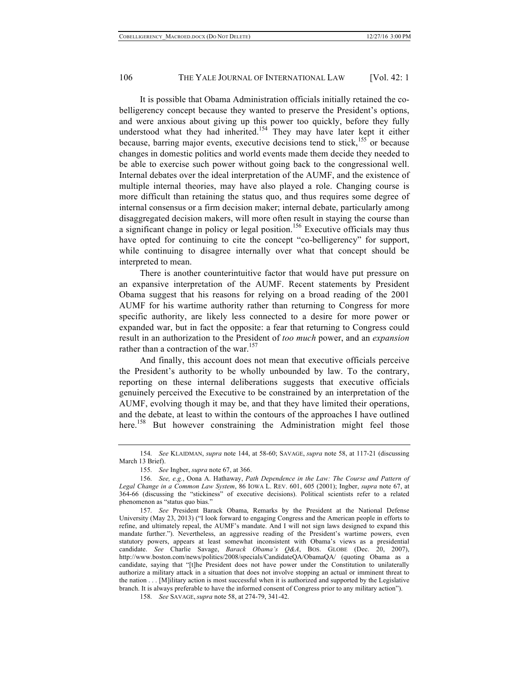It is possible that Obama Administration officials initially retained the cobelligerency concept because they wanted to preserve the President's options, and were anxious about giving up this power too quickly, before they fully understood what they had inherited.<sup>154</sup> They may have later kept it either because, barring major events, executive decisions tend to stick,<sup>155</sup> or because changes in domestic politics and world events made them decide they needed to be able to exercise such power without going back to the congressional well. Internal debates over the ideal interpretation of the AUMF, and the existence of multiple internal theories, may have also played a role. Changing course is more difficult than retaining the status quo, and thus requires some degree of internal consensus or a firm decision maker; internal debate, particularly among disaggregated decision makers, will more often result in staying the course than a significant change in policy or legal position.<sup>156</sup> Executive officials may thus have opted for continuing to cite the concept "co-belligerency" for support, while continuing to disagree internally over what that concept should be interpreted to mean.

There is another counterintuitive factor that would have put pressure on an expansive interpretation of the AUMF. Recent statements by President Obama suggest that his reasons for relying on a broad reading of the 2001 AUMF for his wartime authority rather than returning to Congress for more specific authority, are likely less connected to a desire for more power or expanded war, but in fact the opposite: a fear that returning to Congress could result in an authorization to the President of *too much* power, and an *expansion* rather than a contraction of the war.<sup>157</sup>

And finally, this account does not mean that executive officials perceive the President's authority to be wholly unbounded by law. To the contrary, reporting on these internal deliberations suggests that executive officials genuinely perceived the Executive to be constrained by an interpretation of the AUMF, evolving though it may be, and that they have limited their operations, and the debate, at least to within the contours of the approaches I have outlined here.<sup>158</sup> But however constraining the Administration might feel those

<sup>154.</sup> *See* KLAIDMAN, *supra* note 144, at 58-60; SAVAGE, *supra* note 58, at 117-21 (discussing March 13 Brief).

<sup>155.</sup> *See* Ingber, *supra* note 67, at 366.

<sup>156.</sup> *See, e.g.*, Oona A. Hathaway, *Path Dependence in the Law: The Course and Pattern of Legal Change in a Common Law System*, 86 IOWA L. REV. 601, 605 (2001); Ingber, *supra* note 67, at 364-66 (discussing the "stickiness" of executive decisions). Political scientists refer to a related phenomenon as "status quo bias."

<sup>157.</sup> *See* President Barack Obama, Remarks by the President at the National Defense University (May 23, 2013) ("I look forward to engaging Congress and the American people in efforts to refine, and ultimately repeal, the AUMF's mandate. And I will not sign laws designed to expand this mandate further."). Nevertheless, an aggressive reading of the President's wartime powers, even statutory powers, appears at least somewhat inconsistent with Obama's views as a presidential candidate. *See* Charlie Savage, *Barack Obama's Q&A*, BOS. GLOBE (Dec. 20, 2007), http://www.boston.com/news/politics/2008/specials/CandidateQA/ObamaQA/ (quoting Obama as a candidate, saying that "[t]he President does not have power under the Constitution to unilaterally authorize a military attack in a situation that does not involve stopping an actual or imminent threat to the nation . . . [M]ilitary action is most successful when it is authorized and supported by the Legislative branch. It is always preferable to have the informed consent of Congress prior to any military action").

<sup>158.</sup> *See* SAVAGE, *supra* note 58, at 274-79, 341-42.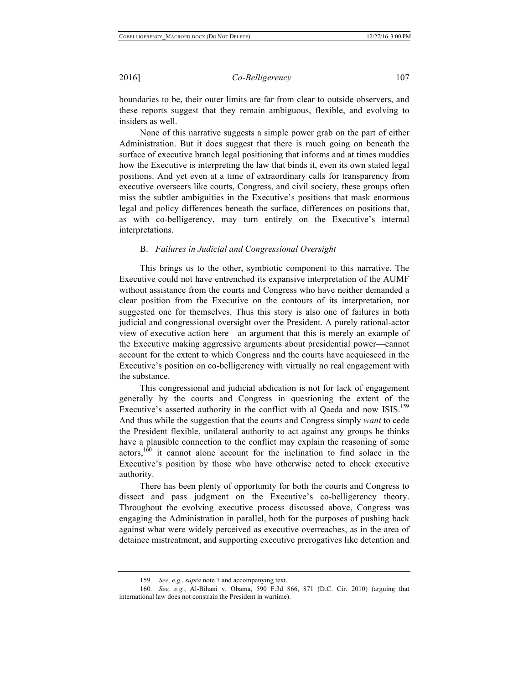boundaries to be, their outer limits are far from clear to outside observers, and these reports suggest that they remain ambiguous, flexible, and evolving to insiders as well.

None of this narrative suggests a simple power grab on the part of either Administration. But it does suggest that there is much going on beneath the surface of executive branch legal positioning that informs and at times muddies how the Executive is interpreting the law that binds it, even its own stated legal positions. And yet even at a time of extraordinary calls for transparency from executive overseers like courts, Congress, and civil society, these groups often miss the subtler ambiguities in the Executive's positions that mask enormous legal and policy differences beneath the surface, differences on positions that, as with co-belligerency, may turn entirely on the Executive's internal interpretations.

#### B. *Failures in Judicial and Congressional Oversight*

This brings us to the other, symbiotic component to this narrative. The Executive could not have entrenched its expansive interpretation of the AUMF without assistance from the courts and Congress who have neither demanded a clear position from the Executive on the contours of its interpretation, nor suggested one for themselves. Thus this story is also one of failures in both judicial and congressional oversight over the President. A purely rational-actor view of executive action here—an argument that this is merely an example of the Executive making aggressive arguments about presidential power—cannot account for the extent to which Congress and the courts have acquiesced in the Executive's position on co-belligerency with virtually no real engagement with the substance.

This congressional and judicial abdication is not for lack of engagement generally by the courts and Congress in questioning the extent of the Executive's asserted authority in the conflict with al Qaeda and now ISIS.<sup>159</sup> And thus while the suggestion that the courts and Congress simply *want* to cede the President flexible, unilateral authority to act against any groups he thinks have a plausible connection to the conflict may explain the reasoning of some actors,160 it cannot alone account for the inclination to find solace in the Executive's position by those who have otherwise acted to check executive authority.

There has been plenty of opportunity for both the courts and Congress to dissect and pass judgment on the Executive's co-belligerency theory. Throughout the evolving executive process discussed above, Congress was engaging the Administration in parallel, both for the purposes of pushing back against what were widely perceived as executive overreaches, as in the area of detainee mistreatment, and supporting executive prerogatives like detention and

<sup>159.</sup> *See, e.g.*, *supra* note 7 and accompanying text.

<sup>160.</sup> *See, e.g.*, Al-Bihani v. Obama, 590 F.3d 866, 871 (D.C. Cir. 2010) (arguing that international law does not constrain the President in wartime).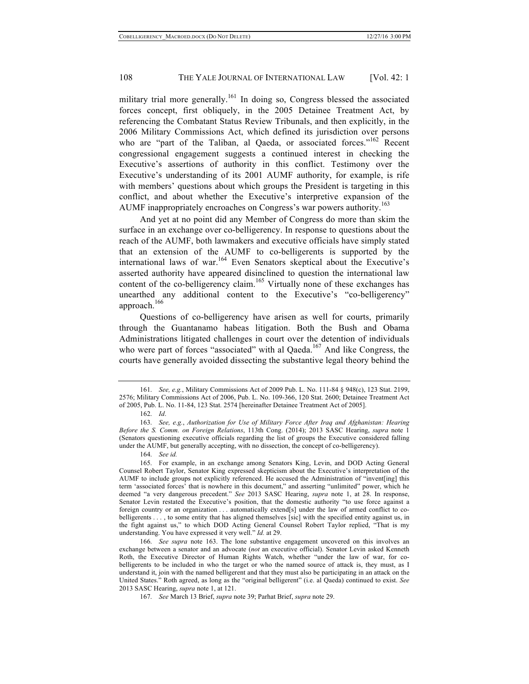military trial more generally.<sup>161</sup> In doing so, Congress blessed the associated forces concept, first obliquely, in the 2005 Detainee Treatment Act, by referencing the Combatant Status Review Tribunals, and then explicitly, in the 2006 Military Commissions Act, which defined its jurisdiction over persons who are "part of the Taliban, al Qaeda, or associated forces."<sup>162</sup> Recent congressional engagement suggests a continued interest in checking the Executive's assertions of authority in this conflict. Testimony over the Executive's understanding of its 2001 AUMF authority, for example, is rife with members' questions about which groups the President is targeting in this conflict, and about whether the Executive's interpretive expansion of the AUMF inappropriately encroaches on Congress's war powers authority.<sup>163</sup>

And yet at no point did any Member of Congress do more than skim the surface in an exchange over co-belligerency. In response to questions about the reach of the AUMF, both lawmakers and executive officials have simply stated that an extension of the AUMF to co-belligerents is supported by the international laws of war.<sup>164</sup> Even Senators skeptical about the Executive's asserted authority have appeared disinclined to question the international law content of the co-belligerency claim.<sup>165</sup> Virtually none of these exchanges has unearthed any additional content to the Executive's "co-belligerency" approach.166

Questions of co-belligerency have arisen as well for courts, primarily through the Guantanamo habeas litigation. Both the Bush and Obama Administrations litigated challenges in court over the detention of individuals who were part of forces "associated" with al Qaeda.<sup>167</sup> And like Congress, the courts have generally avoided dissecting the substantive legal theory behind the

<sup>161.</sup> *See, e.g.*, Military Commissions Act of 2009 Pub. L. No. 111-84 § 948(c), 123 Stat. 2199, 2576; Military Commissions Act of 2006, Pub. L. No. 109-366, 120 Stat. 2600; Detainee Treatment Act of 2005, Pub. L. No. 11-84, 123 Stat. 2574 [hereinafter Detainee Treatment Act of 2005].

<sup>162.</sup> *Id*.

<sup>163.</sup> *See, e.g.*, *Authorization for Use of Military Force After Iraq and Afghanistan: Hearing Before the S. Comm. on Foreign Relations*, 113th Cong. (2014); 2013 SASC Hearing, *supra* note 1 (Senators questioning executive officials regarding the list of groups the Executive considered falling under the AUMF, but generally accepting, with no dissection, the concept of co-belligerency).

<sup>164.</sup> *See id.*

<sup>165.</sup> For example, in an exchange among Senators King, Levin, and DOD Acting General Counsel Robert Taylor, Senator King expressed skepticism about the Executive's interpretation of the AUMF to include groups not explicitly referenced. He accused the Administration of "invent[ing] this term 'associated forces' that is nowhere in this document," and asserting "unlimited" power, which he deemed "a very dangerous precedent." *See* 2013 SASC Hearing, *supra* note 1, at 28. In response, Senator Levin restated the Executive's position, that the domestic authority "to use force against a foreign country or an organization . . . automatically extend[s] under the law of armed conflict to cobelligerents . . . , to some entity that has aligned themselves [sic] with the specified entity against us, in the fight against us," to which DOD Acting General Counsel Robert Taylor replied, "That is my understanding. You have expressed it very well." *Id.* at 29.

<sup>166.</sup> *See supra* note 163. The lone substantive engagement uncovered on this involves an exchange between a senator and an advocate (*not* an executive official). Senator Levin asked Kenneth Roth, the Executive Director of Human Rights Watch, whether "under the law of war, for cobelligerents to be included in who the target or who the named source of attack is, they must, as I understand it, join with the named belligerent and that they must also be participating in an attack on the United States." Roth agreed, as long as the "original belligerent" (i.e. al Qaeda) continued to exist. *See*  2013 SASC Hearing, *supra* note 1, at 121.

<sup>167.</sup> *See* March 13 Brief, *supra* note 39; Parhat Brief, *supra* note 29.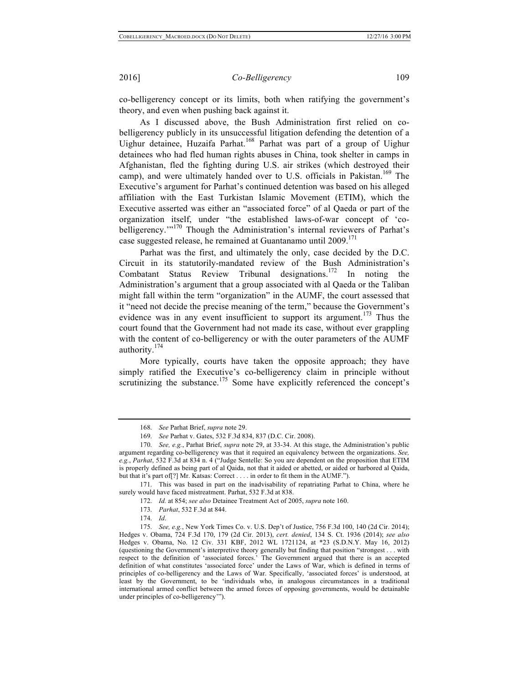co-belligerency concept or its limits, both when ratifying the government's theory, and even when pushing back against it.

As I discussed above, the Bush Administration first relied on cobelligerency publicly in its unsuccessful litigation defending the detention of a Uighur detainee, Huzaifa Parhat.<sup>168</sup> Parhat was part of a group of Uighur detainees who had fled human rights abuses in China, took shelter in camps in Afghanistan, fled the fighting during U.S. air strikes (which destroyed their camp), and were ultimately handed over to U.S. officials in Pakistan.<sup>169</sup> The Executive's argument for Parhat's continued detention was based on his alleged affiliation with the East Turkistan Islamic Movement (ETIM), which the Executive asserted was either an "associated force" of al Qaeda or part of the organization itself, under "the established laws-of-war concept of 'cobelligerency."<sup>170</sup> Though the Administration's internal reviewers of Parhat's case suggested release, he remained at Guantanamo until  $2009$ .<sup>171</sup>

Parhat was the first, and ultimately the only, case decided by the D.C. Circuit in its statutorily-mandated review of the Bush Administration's Combatant Status Review Tribunal designations.<sup>172</sup> In noting the Administration's argument that a group associated with al Qaeda or the Taliban might fall within the term "organization" in the AUMF, the court assessed that it "need not decide the precise meaning of the term," because the Government's evidence was in any event insufficient to support its argument.<sup>173</sup> Thus the court found that the Government had not made its case, without ever grappling with the content of co-belligerency or with the outer parameters of the AUMF authority.<sup>174</sup>

More typically, courts have taken the opposite approach; they have simply ratified the Executive's co-belligerency claim in principle without scrutinizing the substance.<sup>175</sup> Some have explicitly referenced the concept's

171. This was based in part on the inadvisability of repatriating Parhat to China, where he surely would have faced mistreatment. Parhat, 532 F.3d at 838.

<sup>168.</sup> *See* Parhat Brief, *supra* note 29.

<sup>169.</sup> *See* Parhat v. Gates, 532 F.3d 834, 837 (D.C. Cir. 2008).

<sup>170.</sup> *See, e.g.*, Parhat Brief, *supra* note 29, at 33-34. At this stage, the Administration's public argument regarding co-belligerency was that it required an equivalency between the organizations. *See, e.g.*, *Parhat*, 532 F.3d at 834 n. 4 ("Judge Sentelle: So you are dependent on the proposition that ETIM is properly defined as being part of al Qaida, not that it aided or abetted, or aided or harbored al Qaida, but that it's part of[?] Mr. Katsas: Correct . . . . in order to fit them in the AUMF.").

<sup>172.</sup> *Id.* at 854; *see also* Detainee Treatment Act of 2005, *supra* note 160.

<sup>173.</sup> *Parhat*, 532 F.3d at 844.

<sup>174.</sup> *Id*.

<sup>175.</sup> *See, e.g.*, New York Times Co. v. U.S. Dep't of Justice, 756 F.3d 100, 140 (2d Cir. 2014); Hedges v. Obama, 724 F.3d 170, 179 (2d Cir. 2013), *cert. denied*, 134 S. Ct. 1936 (2014); *see also* Hedges v. Obama, No. 12 Civ. 331 KBF, 2012 WL 1721124, at \*23 (S.D.N.Y. May 16, 2012) (questioning the Government's interpretive theory generally but finding that position "strongest . . . with respect to the definition of 'associated forces.' The Government argued that there is an accepted definition of what constitutes 'associated force' under the Laws of War, which is defined in terms of principles of co-belligerency and the Laws of War. Specifically, 'associated forces' is understood, at least by the Government, to be 'individuals who, in analogous circumstances in a traditional international armed conflict between the armed forces of opposing governments, would be detainable under principles of co-belligerency'").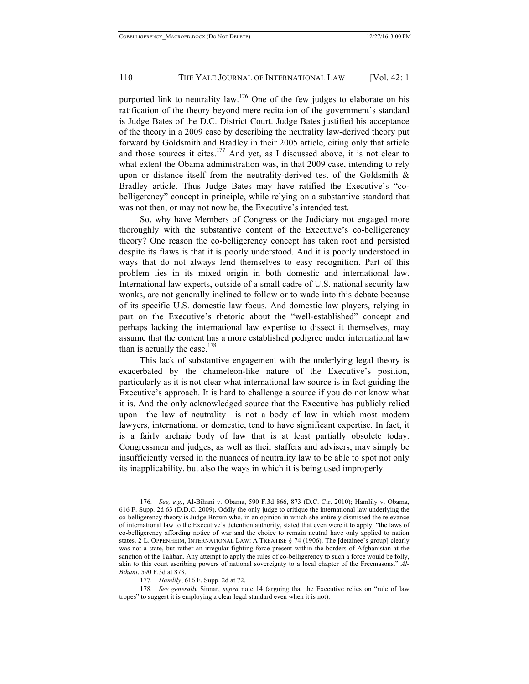purported link to neutrality law.<sup>176</sup> One of the few judges to elaborate on his ratification of the theory beyond mere recitation of the government's standard is Judge Bates of the D.C. District Court. Judge Bates justified his acceptance of the theory in a 2009 case by describing the neutrality law-derived theory put forward by Goldsmith and Bradley in their 2005 article, citing only that article and those sources it cites.<sup>177</sup> And yet, as I discussed above, it is not clear to what extent the Obama administration was, in that 2009 case, intending to rely upon or distance itself from the neutrality-derived test of the Goldsmith  $\&$ Bradley article. Thus Judge Bates may have ratified the Executive's "cobelligerency" concept in principle, while relying on a substantive standard that was not then, or may not now be, the Executive's intended test.

So, why have Members of Congress or the Judiciary not engaged more thoroughly with the substantive content of the Executive's co-belligerency theory? One reason the co-belligerency concept has taken root and persisted despite its flaws is that it is poorly understood. And it is poorly understood in ways that do not always lend themselves to easy recognition. Part of this problem lies in its mixed origin in both domestic and international law. International law experts, outside of a small cadre of U.S. national security law wonks, are not generally inclined to follow or to wade into this debate because of its specific U.S. domestic law focus. And domestic law players, relying in part on the Executive's rhetoric about the "well-established" concept and perhaps lacking the international law expertise to dissect it themselves, may assume that the content has a more established pedigree under international law than is actually the case. $178$ 

This lack of substantive engagement with the underlying legal theory is exacerbated by the chameleon-like nature of the Executive's position, particularly as it is not clear what international law source is in fact guiding the Executive's approach. It is hard to challenge a source if you do not know what it is. And the only acknowledged source that the Executive has publicly relied upon—the law of neutrality—is not a body of law in which most modern lawyers, international or domestic, tend to have significant expertise. In fact, it is a fairly archaic body of law that is at least partially obsolete today. Congressmen and judges, as well as their staffers and advisers, may simply be insufficiently versed in the nuances of neutrality law to be able to spot not only its inapplicability, but also the ways in which it is being used improperly.

<sup>176.</sup> *See, e.g.*, Al-Bihani v. Obama, 590 F.3d 866, 873 (D.C. Cir. 2010); Hamlily v. Obama, 616 F. Supp. 2d 63 (D.D.C. 2009). Oddly the only judge to critique the international law underlying the co-belligerency theory is Judge Brown who, in an opinion in which she entirely dismissed the relevance of international law to the Executive's detention authority, stated that even were it to apply, "the laws of co-belligerency affording notice of war and the choice to remain neutral have only applied to nation states. 2 L. OPPENHEIM, INTERNATIONAL LAW: A TREATISE § 74 (1906). The [detainee's group] clearly was not a state, but rather an irregular fighting force present within the borders of Afghanistan at the sanction of the Taliban. Any attempt to apply the rules of co-belligerency to such a force would be folly, akin to this court ascribing powers of national sovereignty to a local chapter of the Freemasons." *Al-Bihani*, 590 F.3d at 873.

<sup>177.</sup> *Hamlily*, 616 F. Supp. 2d at 72.

<sup>178.</sup> *See generally* Sinnar, *supra* note 14 (arguing that the Executive relies on "rule of law tropes" to suggest it is employing a clear legal standard even when it is not).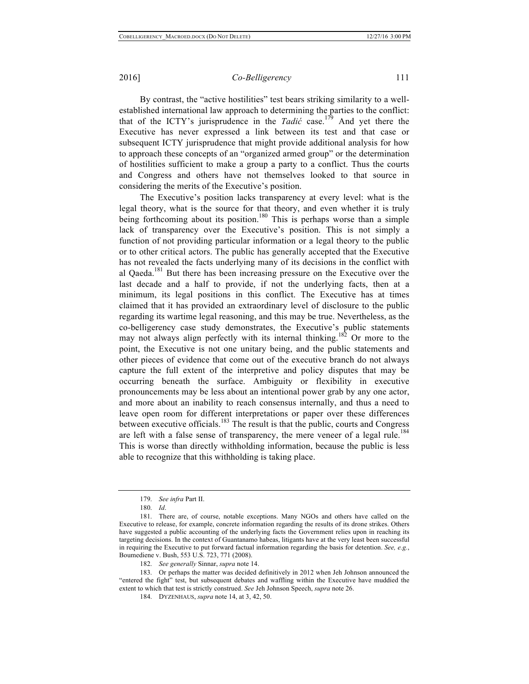By contrast, the "active hostilities" test bears striking similarity to a wellestablished international law approach to determining the parties to the conflict: that of the ICTY's jurisprudence in the *Tadić* case.<sup>179</sup> And yet there the Executive has never expressed a link between its test and that case or subsequent ICTY jurisprudence that might provide additional analysis for how to approach these concepts of an "organized armed group" or the determination of hostilities sufficient to make a group a party to a conflict. Thus the courts and Congress and others have not themselves looked to that source in considering the merits of the Executive's position.

The Executive's position lacks transparency at every level: what is the legal theory, what is the source for that theory, and even whether it is truly being forthcoming about its position.<sup>180</sup> This is perhaps worse than a simple lack of transparency over the Executive's position. This is not simply a function of not providing particular information or a legal theory to the public or to other critical actors. The public has generally accepted that the Executive has not revealed the facts underlying many of its decisions in the conflict with al Qaeda.181 But there has been increasing pressure on the Executive over the last decade and a half to provide, if not the underlying facts, then at a minimum, its legal positions in this conflict. The Executive has at times claimed that it has provided an extraordinary level of disclosure to the public regarding its wartime legal reasoning, and this may be true. Nevertheless, as the co-belligerency case study demonstrates, the Executive's public statements may not always align perfectly with its internal thinking.<sup>182</sup> Or more to the point, the Executive is not one unitary being, and the public statements and other pieces of evidence that come out of the executive branch do not always capture the full extent of the interpretive and policy disputes that may be occurring beneath the surface. Ambiguity or flexibility in executive pronouncements may be less about an intentional power grab by any one actor, and more about an inability to reach consensus internally, and thus a need to leave open room for different interpretations or paper over these differences between executive officials.<sup>183</sup> The result is that the public, courts and Congress are left with a false sense of transparency, the mere veneer of a legal rule.<sup>184</sup> This is worse than directly withholding information, because the public is less able to recognize that this withholding is taking place.

<sup>179.</sup> *See infra* Part II.

<sup>180.</sup> *Id*.

<sup>181.</sup> There are, of course, notable exceptions. Many NGOs and others have called on the Executive to release, for example, concrete information regarding the results of its drone strikes. Others have suggested a public accounting of the underlying facts the Government relies upon in reaching its targeting decisions. In the context of Guantanamo habeas, litigants have at the very least been successful in requiring the Executive to put forward factual information regarding the basis for detention. *See, e.g.*, Boumediene v. Bush, 553 U.S. 723, 771 (2008).

<sup>182.</sup> *See generally* Sinnar, *supra* note 14.

<sup>183.</sup> Or perhaps the matter was decided definitively in 2012 when Jeh Johnson announced the "entered the fight" test, but subsequent debates and waffling within the Executive have muddied the extent to which that test is strictly construed. *See* Jeh Johnson Speech, *supra* note 26.

<sup>184.</sup> DYZENHAUS, *supra* note 14, at 3, 42, 50.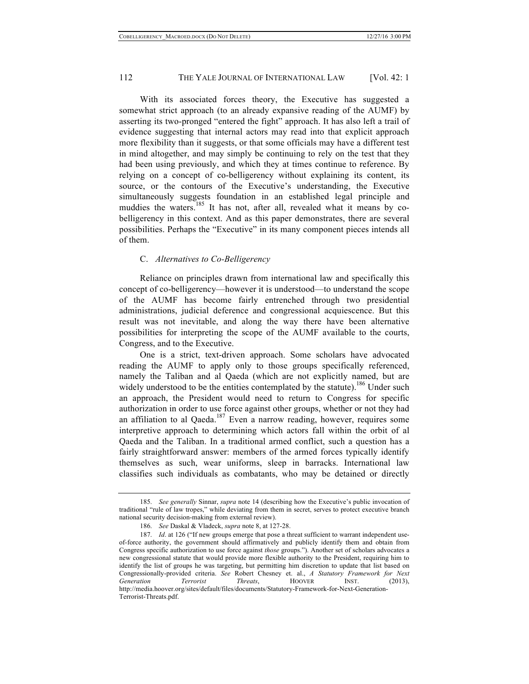With its associated forces theory, the Executive has suggested a somewhat strict approach (to an already expansive reading of the AUMF) by asserting its two-pronged "entered the fight" approach. It has also left a trail of evidence suggesting that internal actors may read into that explicit approach more flexibility than it suggests, or that some officials may have a different test in mind altogether, and may simply be continuing to rely on the test that they had been using previously, and which they at times continue to reference. By relying on a concept of co-belligerency without explaining its content, its source, or the contours of the Executive's understanding, the Executive simultaneously suggests foundation in an established legal principle and muddies the waters.<sup>185</sup> It has not, after all, revealed what it means by cobelligerency in this context. And as this paper demonstrates, there are several possibilities. Perhaps the "Executive" in its many component pieces intends all of them.

#### C. *Alternatives to Co-Belligerency*

Reliance on principles drawn from international law and specifically this concept of co-belligerency—however it is understood—to understand the scope of the AUMF has become fairly entrenched through two presidential administrations, judicial deference and congressional acquiescence. But this result was not inevitable, and along the way there have been alternative possibilities for interpreting the scope of the AUMF available to the courts, Congress, and to the Executive.

One is a strict, text-driven approach. Some scholars have advocated reading the AUMF to apply only to those groups specifically referenced, namely the Taliban and al Qaeda (which are not explicitly named, but are widely understood to be the entities contemplated by the statute).<sup>186</sup> Under such an approach, the President would need to return to Congress for specific authorization in order to use force against other groups, whether or not they had an affiliation to al Qaeda.<sup>187</sup> Even a narrow reading, however, requires some interpretive approach to determining which actors fall within the orbit of al Qaeda and the Taliban. In a traditional armed conflict, such a question has a fairly straightforward answer: members of the armed forces typically identify themselves as such, wear uniforms, sleep in barracks. International law classifies such individuals as combatants, who may be detained or directly

<sup>185.</sup> *See generally* Sinnar, *supra* note 14 (describing how the Executive's public invocation of traditional "rule of law tropes," while deviating from them in secret, serves to protect executive branch national security decision-making from external review).

<sup>186.</sup> *See* Daskal & Vladeck, *supra* note 8, at 127-28.

<sup>187.</sup> *Id*. at 126 ("If new groups emerge that pose a threat sufficient to warrant independent useof-force authority, the government should affirmatively and publicly identify them and obtain from Congress specific authorization to use force against *those* groups."). Another set of scholars advocates a new congressional statute that would provide more flexible authority to the President, requiring him to identify the list of groups he was targeting, but permitting him discretion to update that list based on Congressionally-provided criteria. *See* Robert Chesney et. al., *A Statutory Framework for Next Generation Terrorist Threats*, HOOVER INST. (2013), http://media.hoover.org/sites/default/files/documents/Statutory-Framework-for-Next-Generation-Terrorist-Threats.pdf.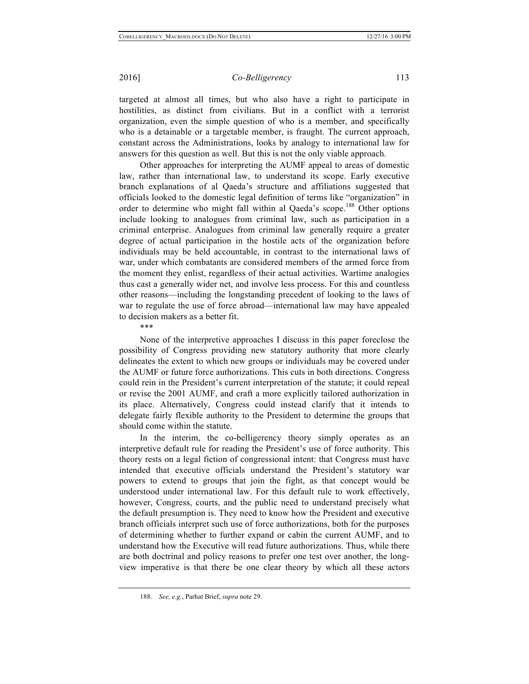targeted at almost all times, but who also have a right to participate in hostilities, as distinct from civilians. But in a conflict with a terrorist organization, even the simple question of who is a member, and specifically who is a detainable or a targetable member, is fraught. The current approach, constant across the Administrations, looks by analogy to international law for answers for this question as well. But this is not the only viable approach.

Other approaches for interpreting the AUMF appeal to areas of domestic law, rather than international law, to understand its scope. Early executive branch explanations of al Qaeda's structure and affiliations suggested that officials looked to the domestic legal definition of terms like "organization" in order to determine who might fall within al Qaeda's scope.<sup>188</sup> Other options include looking to analogues from criminal law, such as participation in a criminal enterprise. Analogues from criminal law generally require a greater degree of actual participation in the hostile acts of the organization before individuals may be held accountable, in contrast to the international laws of war, under which combatants are considered members of the armed force from the moment they enlist, regardless of their actual activities. Wartime analogies thus cast a generally wider net, and involve less process. For this and countless other reasons—including the longstanding precedent of looking to the laws of war to regulate the use of force abroad—international law may have appealed to decision makers as a better fit.

\*\*\*

None of the interpretive approaches I discuss in this paper foreclose the possibility of Congress providing new statutory authority that more clearly delineates the extent to which new groups or individuals may be covered under the AUMF or future force authorizations. This cuts in both directions. Congress could rein in the President's current interpretation of the statute; it could repeal or revise the 2001 AUMF, and craft a more explicitly tailored authorization in its place. Alternatively, Congress could instead clarify that it intends to delegate fairly flexible authority to the President to determine the groups that should come within the statute.

In the interim, the co-belligerency theory simply operates as an interpretive default rule for reading the President's use of force authority. This theory rests on a legal fiction of congressional intent: that Congress must have intended that executive officials understand the President's statutory war powers to extend to groups that join the fight, as that concept would be understood under international law. For this default rule to work effectively, however, Congress, courts, and the public need to understand precisely what the default presumption is. They need to know how the President and executive branch officials interpret such use of force authorizations, both for the purposes of determining whether to further expand or cabin the current AUMF, and to understand how the Executive will read future authorizations. Thus, while there are both doctrinal and policy reasons to prefer one test over another, the longview imperative is that there be one clear theory by which all these actors

<sup>188.</sup> *See, e.g.*, Parhat Brief, *supra* note 29.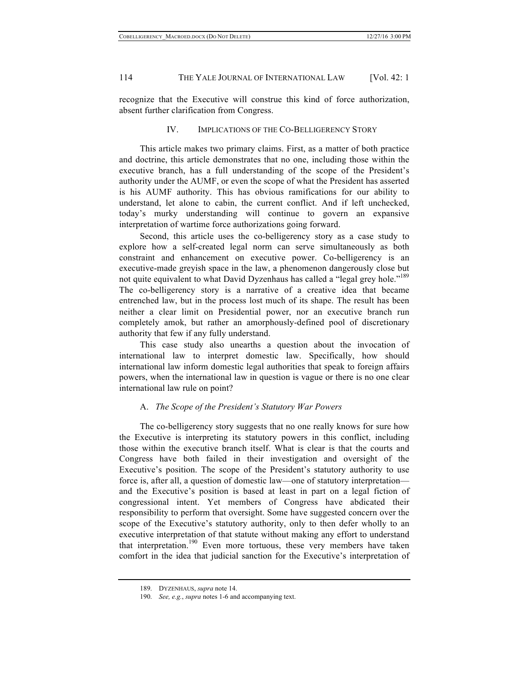recognize that the Executive will construe this kind of force authorization, absent further clarification from Congress.

# IV. IMPLICATIONS OF THE CO-BELLIGERENCY STORY

This article makes two primary claims. First, as a matter of both practice and doctrine, this article demonstrates that no one, including those within the executive branch, has a full understanding of the scope of the President's authority under the AUMF, or even the scope of what the President has asserted is his AUMF authority. This has obvious ramifications for our ability to understand, let alone to cabin, the current conflict. And if left unchecked, today's murky understanding will continue to govern an expansive interpretation of wartime force authorizations going forward.

Second, this article uses the co-belligerency story as a case study to explore how a self-created legal norm can serve simultaneously as both constraint and enhancement on executive power. Co-belligerency is an executive-made greyish space in the law, a phenomenon dangerously close but not quite equivalent to what David Dyzenhaus has called a "legal grey hole."<sup>189</sup> The co-belligerency story is a narrative of a creative idea that became entrenched law, but in the process lost much of its shape. The result has been neither a clear limit on Presidential power, nor an executive branch run completely amok, but rather an amorphously-defined pool of discretionary authority that few if any fully understand.

This case study also unearths a question about the invocation of international law to interpret domestic law. Specifically, how should international law inform domestic legal authorities that speak to foreign affairs powers, when the international law in question is vague or there is no one clear international law rule on point?

## A. *The Scope of the President's Statutory War Powers*

The co-belligerency story suggests that no one really knows for sure how the Executive is interpreting its statutory powers in this conflict, including those within the executive branch itself. What is clear is that the courts and Congress have both failed in their investigation and oversight of the Executive's position. The scope of the President's statutory authority to use force is, after all, a question of domestic law—one of statutory interpretation and the Executive's position is based at least in part on a legal fiction of congressional intent. Yet members of Congress have abdicated their responsibility to perform that oversight. Some have suggested concern over the scope of the Executive's statutory authority, only to then defer wholly to an executive interpretation of that statute without making any effort to understand that interpretation.<sup>190</sup> Even more tortuous, these very members have taken comfort in the idea that judicial sanction for the Executive's interpretation of

<sup>189.</sup> DYZENHAUS, *supra* note 14.

<sup>190.</sup> *See, e.g.*, *supra* notes 1-6 and accompanying text.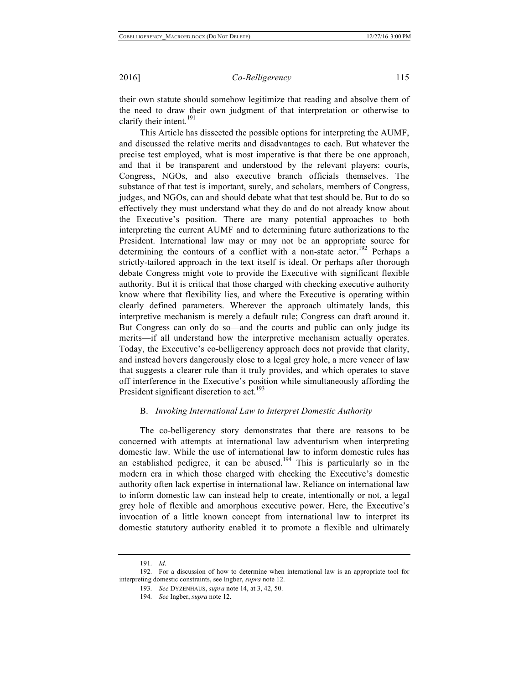their own statute should somehow legitimize that reading and absolve them of the need to draw their own judgment of that interpretation or otherwise to clarify their intent.<sup>191</sup>

This Article has dissected the possible options for interpreting the AUMF, and discussed the relative merits and disadvantages to each. But whatever the precise test employed, what is most imperative is that there be one approach, and that it be transparent and understood by the relevant players: courts, Congress, NGOs, and also executive branch officials themselves. The substance of that test is important, surely, and scholars, members of Congress, judges, and NGOs, can and should debate what that test should be. But to do so effectively they must understand what they do and do not already know about the Executive's position. There are many potential approaches to both interpreting the current AUMF and to determining future authorizations to the President. International law may or may not be an appropriate source for determining the contours of a conflict with a non-state actor.<sup>192</sup> Perhaps a strictly-tailored approach in the text itself is ideal. Or perhaps after thorough debate Congress might vote to provide the Executive with significant flexible authority. But it is critical that those charged with checking executive authority know where that flexibility lies, and where the Executive is operating within clearly defined parameters. Wherever the approach ultimately lands, this interpretive mechanism is merely a default rule; Congress can draft around it. But Congress can only do so—and the courts and public can only judge its merits—if all understand how the interpretive mechanism actually operates. Today, the Executive's co-belligerency approach does not provide that clarity, and instead hovers dangerously close to a legal grey hole, a mere veneer of law that suggests a clearer rule than it truly provides, and which operates to stave off interference in the Executive's position while simultaneously affording the President significant discretion to act.<sup>193</sup>

#### B. *Invoking International Law to Interpret Domestic Authority*

The co-belligerency story demonstrates that there are reasons to be concerned with attempts at international law adventurism when interpreting domestic law. While the use of international law to inform domestic rules has an established pedigree, it can be abused.<sup>194</sup> This is particularly so in the modern era in which those charged with checking the Executive's domestic authority often lack expertise in international law. Reliance on international law to inform domestic law can instead help to create, intentionally or not, a legal grey hole of flexible and amorphous executive power. Here, the Executive's invocation of a little known concept from international law to interpret its domestic statutory authority enabled it to promote a flexible and ultimately

<sup>191.</sup> *Id*.

<sup>192.</sup> For a discussion of how to determine when international law is an appropriate tool for interpreting domestic constraints, see Ingber, *supra* note 12.

<sup>193.</sup> *See* DYZENHAUS, *supra* note 14, at 3, 42, 50.

<sup>194.</sup> *See* Ingber, *supra* note 12.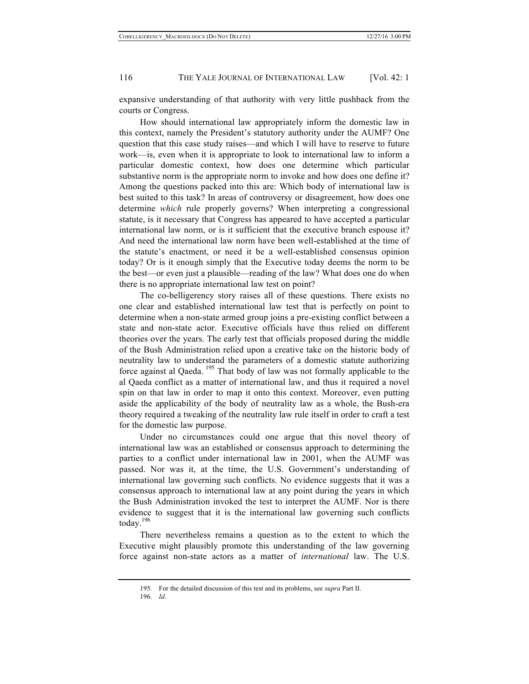expansive understanding of that authority with very little pushback from the courts or Congress.

How should international law appropriately inform the domestic law in this context, namely the President's statutory authority under the AUMF? One question that this case study raises—and which I will have to reserve to future work—is, even when it is appropriate to look to international law to inform a particular domestic context, how does one determine which particular substantive norm is the appropriate norm to invoke and how does one define it? Among the questions packed into this are: Which body of international law is best suited to this task? In areas of controversy or disagreement, how does one determine *which* rule properly governs? When interpreting a congressional statute, is it necessary that Congress has appeared to have accepted a particular international law norm, or is it sufficient that the executive branch espouse it? And need the international law norm have been well-established at the time of the statute's enactment, or need it be a well-established consensus opinion today? Or is it enough simply that the Executive today deems the norm to be the best—or even just a plausible—reading of the law? What does one do when there is no appropriate international law test on point?

The co-belligerency story raises all of these questions. There exists no one clear and established international law test that is perfectly on point to determine when a non-state armed group joins a pre-existing conflict between a state and non-state actor. Executive officials have thus relied on different theories over the years. The early test that officials proposed during the middle of the Bush Administration relied upon a creative take on the historic body of neutrality law to understand the parameters of a domestic statute authorizing force against al Qaeda. <sup>195</sup> That body of law was not formally applicable to the al Qaeda conflict as a matter of international law, and thus it required a novel spin on that law in order to map it onto this context. Moreover, even putting aside the applicability of the body of neutrality law as a whole, the Bush-era theory required a tweaking of the neutrality law rule itself in order to craft a test for the domestic law purpose.

Under no circumstances could one argue that this novel theory of international law was an established or consensus approach to determining the parties to a conflict under international law in 2001, when the AUMF was passed. Nor was it, at the time, the U.S. Government's understanding of international law governing such conflicts. No evidence suggests that it was a consensus approach to international law at any point during the years in which the Bush Administration invoked the test to interpret the AUMF. Nor is there evidence to suggest that it is the international law governing such conflicts today.<sup>196</sup>

There nevertheless remains a question as to the extent to which the Executive might plausibly promote this understanding of the law governing force against non-state actors as a matter of *international* law. The U.S.

<sup>195.</sup> For the detailed discussion of this test and its problems, see *supra* Part II.

<sup>196.</sup> *Id*.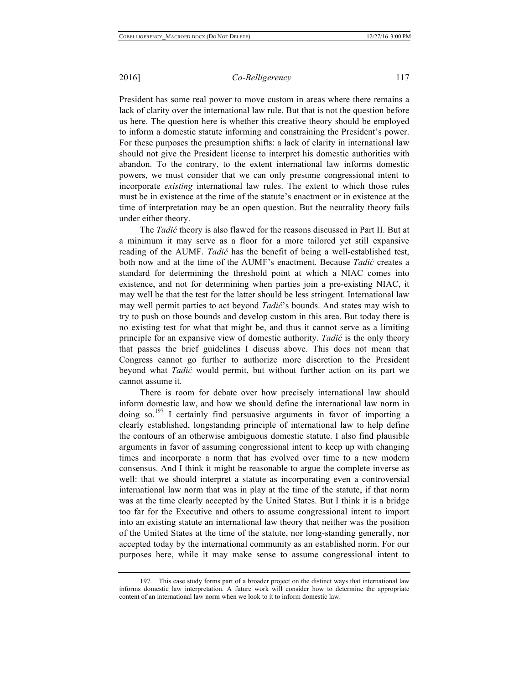President has some real power to move custom in areas where there remains a lack of clarity over the international law rule. But that is not the question before us here. The question here is whether this creative theory should be employed to inform a domestic statute informing and constraining the President's power. For these purposes the presumption shifts: a lack of clarity in international law should not give the President license to interpret his domestic authorities with abandon. To the contrary, to the extent international law informs domestic powers, we must consider that we can only presume congressional intent to incorporate *existing* international law rules. The extent to which those rules must be in existence at the time of the statute's enactment or in existence at the time of interpretation may be an open question. But the neutrality theory fails under either theory.

The *Tadić* theory is also flawed for the reasons discussed in Part II. But at a minimum it may serve as a floor for a more tailored yet still expansive reading of the AUMF. *Tadić* has the benefit of being a well-established test, both now and at the time of the AUMF's enactment. Because *Tadić* creates a standard for determining the threshold point at which a NIAC comes into existence, and not for determining when parties join a pre-existing NIAC, it may well be that the test for the latter should be less stringent. International law may well permit parties to act beyond *Tadić*'s bounds. And states may wish to try to push on those bounds and develop custom in this area. But today there is no existing test for what that might be, and thus it cannot serve as a limiting principle for an expansive view of domestic authority. *Tadić* is the only theory that passes the brief guidelines I discuss above. This does not mean that Congress cannot go further to authorize more discretion to the President beyond what *Tadić* would permit, but without further action on its part we cannot assume it.

There is room for debate over how precisely international law should inform domestic law, and how we should define the international law norm in doing so.<sup>197</sup> I certainly find persuasive arguments in favor of importing a clearly established, longstanding principle of international law to help define the contours of an otherwise ambiguous domestic statute. I also find plausible arguments in favor of assuming congressional intent to keep up with changing times and incorporate a norm that has evolved over time to a new modern consensus. And I think it might be reasonable to argue the complete inverse as well: that we should interpret a statute as incorporating even a controversial international law norm that was in play at the time of the statute, if that norm was at the time clearly accepted by the United States. But I think it is a bridge too far for the Executive and others to assume congressional intent to import into an existing statute an international law theory that neither was the position of the United States at the time of the statute, nor long-standing generally, nor accepted today by the international community as an established norm. For our purposes here, while it may make sense to assume congressional intent to

<sup>197.</sup> This case study forms part of a broader project on the distinct ways that international law informs domestic law interpretation. A future work will consider how to determine the appropriate content of an international law norm when we look to it to inform domestic law.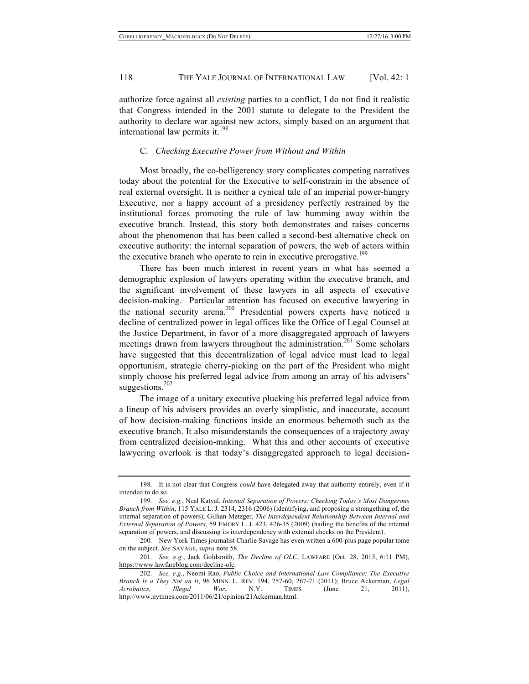authorize force against all *existing* parties to a conflict, I do not find it realistic that Congress intended in the 2001 statute to delegate to the President the authority to declare war against new actors, simply based on an argument that international law permits it.<sup>198</sup>

### C. *Checking Executive Power from Without and Within*

Most broadly, the co-belligerency story complicates competing narratives today about the potential for the Executive to self-constrain in the absence of real external oversight. It is neither a cynical tale of an imperial power-hungry Executive, nor a happy account of a presidency perfectly restrained by the institutional forces promoting the rule of law humming away within the executive branch. Instead, this story both demonstrates and raises concerns about the phenomenon that has been called a second-best alternative check on executive authority: the internal separation of powers, the web of actors within the executive branch who operate to rein in executive prerogative.<sup>199</sup>

There has been much interest in recent years in what has seemed a demographic explosion of lawyers operating within the executive branch, and the significant involvement of these lawyers in all aspects of executive decision-making. Particular attention has focused on executive lawyering in the national security arena.<sup>200</sup> Presidential powers experts have noticed a decline of centralized power in legal offices like the Office of Legal Counsel at the Justice Department, in favor of a more disaggregated approach of lawyers meetings drawn from lawyers throughout the administration.<sup>201</sup> Some scholars have suggested that this decentralization of legal advice must lead to legal opportunism, strategic cherry-picking on the part of the President who might simply choose his preferred legal advice from among an array of his advisers' suggestions.<sup>202</sup>

The image of a unitary executive plucking his preferred legal advice from a lineup of his advisers provides an overly simplistic, and inaccurate, account of how decision-making functions inside an enormous behemoth such as the executive branch. It also misunderstands the consequences of a trajectory away from centralized decision-making. What this and other accounts of executive lawyering overlook is that today's disaggregated approach to legal decision-

<sup>198.</sup> It is not clear that Congress *could* have delegated away that authority entirely, even if it intended to do so.

<sup>199.</sup> *See, e.g.*, Neal Katyal, *Internal Separation of Powers: Checking Today's Most Dangerous Branch from Within*, 115 YALE L. J. 2314, 2316 (2006) (identifying, and proposing a strengething of, the internal separation of powers); Gillian Metzger, *The Interdependent Relationship Between Internal and External Separation of Powers*, 59 EMORY L. J. 423, 426-35 (2009) (hailing the benefits of the internal separation of powers, and discussing its interdependency with external checks on the President).

<sup>200.</sup> New York Times journalist Charlie Savage has even written a 600-plus page popular tome on the subject. *See* SAVAGE, *supra* note 58.

<sup>201.</sup> *See, e.g.*, Jack Goldsmith, *The Decline of OLC*, LAWFARE (Oct. 28, 2015, 6:11 PM), https://www.lawfareblog.com/decline-olc.

<sup>202.</sup> *See, e.g.*, Neomi Rao, *Public Choice and International Law Compliance: The Executive Branch Is a They Not an It*, 96 MINN. L. REV. 194, 257-60, 267-71 (2011); Bruce Ackerman, *Legal Acrobatics, Illegal War*, N.Y. TIMES (June 21, 2011), http://www.nytimes.com/2011/06/21/opinion/21Ackerman.html.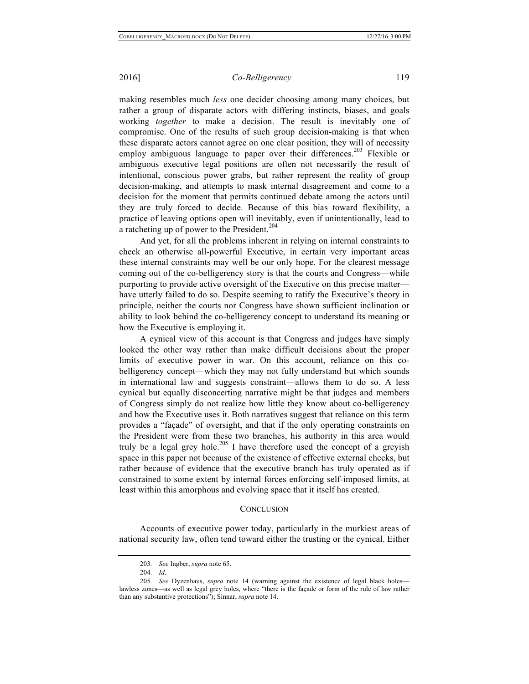making resembles much *less* one decider choosing among many choices, but rather a group of disparate actors with differing instincts, biases, and goals working *together* to make a decision. The result is inevitably one of compromise. One of the results of such group decision-making is that when these disparate actors cannot agree on one clear position, they will of necessity employ ambiguous language to paper over their differences.<sup>203</sup> Flexible or ambiguous executive legal positions are often not necessarily the result of intentional, conscious power grabs, but rather represent the reality of group decision-making, and attempts to mask internal disagreement and come to a decision for the moment that permits continued debate among the actors until they are truly forced to decide. Because of this bias toward flexibility, a practice of leaving options open will inevitably, even if unintentionally, lead to a ratcheting up of power to the President.<sup>204</sup>

And yet, for all the problems inherent in relying on internal constraints to check an otherwise all-powerful Executive, in certain very important areas these internal constraints may well be our only hope. For the clearest message coming out of the co-belligerency story is that the courts and Congress—while purporting to provide active oversight of the Executive on this precise matter have utterly failed to do so. Despite seeming to ratify the Executive's theory in principle, neither the courts nor Congress have shown sufficient inclination or ability to look behind the co-belligerency concept to understand its meaning or how the Executive is employing it.

A cynical view of this account is that Congress and judges have simply looked the other way rather than make difficult decisions about the proper limits of executive power in war. On this account, reliance on this cobelligerency concept—which they may not fully understand but which sounds in international law and suggests constraint—allows them to do so. A less cynical but equally disconcerting narrative might be that judges and members of Congress simply do not realize how little they know about co-belligerency and how the Executive uses it. Both narratives suggest that reliance on this term provides a "façade" of oversight, and that if the only operating constraints on the President were from these two branches, his authority in this area would truly be a legal grey hole.<sup>205</sup> I have therefore used the concept of a greyish space in this paper not because of the existence of effective external checks, but rather because of evidence that the executive branch has truly operated as if constrained to some extent by internal forces enforcing self-imposed limits, at least within this amorphous and evolving space that it itself has created.

# **CONCLUSION**

Accounts of executive power today, particularly in the murkiest areas of national security law, often tend toward either the trusting or the cynical. Either

<sup>203.</sup> *See* Ingber, *supra* note 65.

<sup>204.</sup> *Id*.

<sup>205.</sup> *See* Dyzenhaus, *supra* note 14 (warning against the existence of legal black holes lawless zones—as well as legal grey holes, where "there is the façade or form of the rule of law rather than any substantive protections"); Sinnar, *supra* note 14.